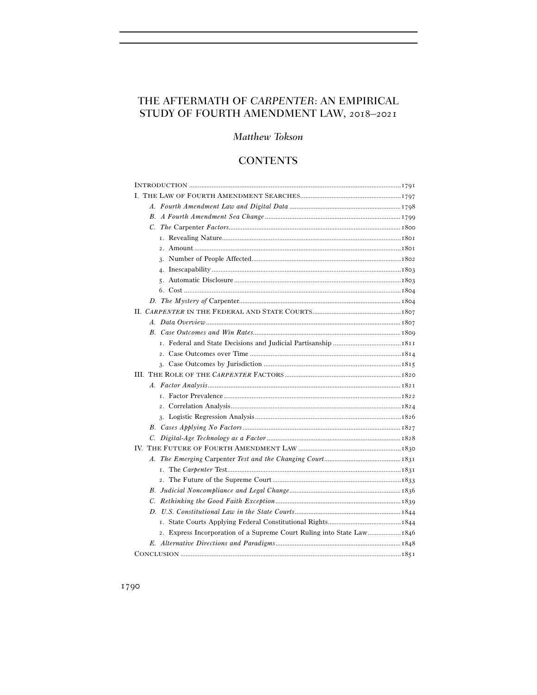# THE AFTERMATH OF CARPENTER: AN EMPIRICAL STUDY OF FOURTH AMENDMENT LAW, 2018–2021

# Matthew Tokson

# **CONTENTS**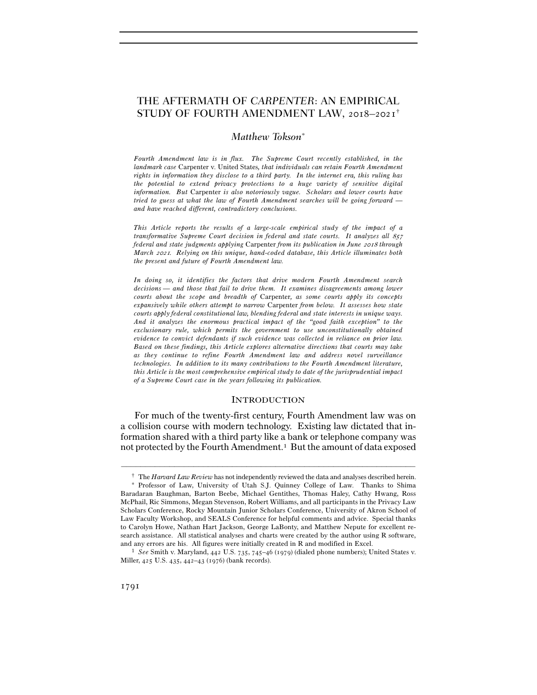# THE AFTERMATH OF *CARPENTER*: AN EMPIRICAL STUDY OF FOURTH AMENDMENT LAW, 2018–2021†

## *Matthew Tokson*<sup>∗</sup>

*Fourth Amendment law is in flux. The Supreme Court recently established, in the landmark case* Carpenter v. United States*, that individuals can retain Fourth Amendment rights in information they disclose to a third party. In the internet era, this ruling has the potential to extend privacy protections to a huge variety of sensitive digital information. But* Carpenter *is also notoriously vague. Scholars and lower courts have tried to guess at what the law of Fourth Amendment searches will be going forward and have reached different, contradictory conclusions.* 

*This Article reports the results of a large-scale empirical study of the impact of a transformative Supreme Court decision in federal and state courts. It analyzes all 857 federal and state judgments applying* Carpenter *from its publication in June* 2018 *through March* 2021*. Relying on this unique, hand-coded database, this Article illuminates both the present and future of Fourth Amendment law.* 

*In doing so, it identifies the factors that drive modern Fourth Amendment search decisions — and those that fail to drive them. It examines disagreements among lower courts about the scope and breadth of* Carpenter*, as some courts apply its concepts expansively while others attempt to narrow* Carpenter *from below. It assesses how state courts apply federal constitutional law, blending federal and state interests in unique ways. And it analyzes the enormous practical impact of the "good faith exception" to the exclusionary rule, which permits the government to use unconstitutionally obtained evidence to convict defendants if such evidence was collected in reliance on prior law. Based on these findings, this Article explores alternative directions that courts may take as they continue to refine Fourth Amendment law and address novel surveillance technologies. In addition to its many contributions to the Fourth Amendment literature, this Article is the most comprehensive empirical study to date of the jurisprudential impact of a Supreme Court case in the years following its publication.* 

#### **INTRODUCTION**

 For much of the twenty-first century, Fourth Amendment law was on a collision course with modern technology. Existing law dictated that information shared with a third party like a bank or telephone company was not protected by the Fourth Amendment.1 But the amount of data exposed

<sup>–––––––––––––––––––––––––––––––––––––––––––––––––––––––––––––</sup> † The *Harvard Law Review* has not independently reviewed the data and analyses described herein.

<sup>∗</sup> Professor of Law, University of Utah S.J. Quinney College of Law. Thanks to Shima Baradaran Baughman, Barton Beebe, Michael Gentithes, Thomas Haley, Cathy Hwang, Ross McPhail, Ric Simmons, Megan Stevenson, Robert Williams, and all participants in the Privacy Law Scholars Conference, Rocky Mountain Junior Scholars Conference, University of Akron School of Law Faculty Workshop, and SEALS Conference for helpful comments and advice. Special thanks to Carolyn Howe, Nathan Hart Jackson, George LaBonty, and Matthew Nepute for excellent research assistance. All statistical analyses and charts were created by the author using R software, and any errors are his. All figures were initially created in R and modified in Excel. 1 *See* Smith v. Maryland, 442 U.S. 735, 745–46 (1979) (dialed phone numbers); United States v.

Miller, 425 U.S. 435, 442–43 (1976) (bank records).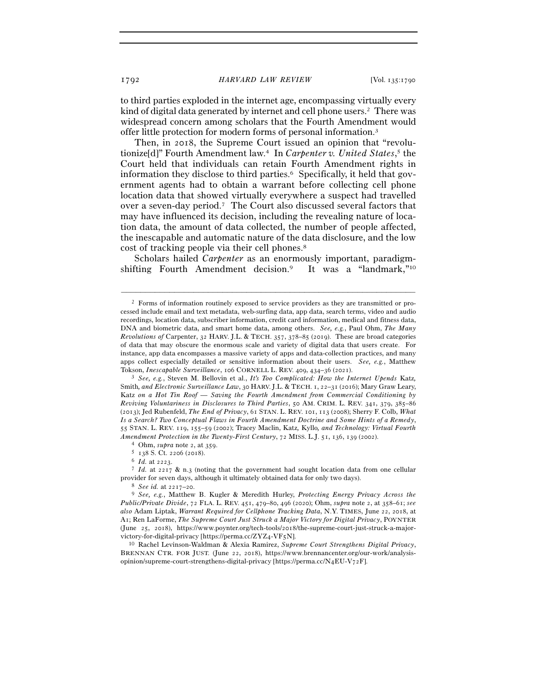to third parties exploded in the internet age, encompassing virtually every kind of digital data generated by internet and cell phone users.2 There was widespread concern among scholars that the Fourth Amendment would offer little protection for modern forms of personal information.3

Then, in 2018, the Supreme Court issued an opinion that "revolutionize[d]" Fourth Amendment law.4 In *Carpenter v. United States*, 5 the Court held that individuals can retain Fourth Amendment rights in information they disclose to third parties.6 Specifically, it held that government agents had to obtain a warrant before collecting cell phone location data that showed virtually everywhere a suspect had travelled over a seven-day period.7 The Court also discussed several factors that may have influenced its decision, including the revealing nature of location data, the amount of data collected, the number of people affected, the inescapable and automatic nature of the data disclosure, and the low cost of tracking people via their cell phones.8

Scholars hailed *Carpenter* as an enormously important, paradigmshifting Fourth Amendment decision.<sup>9</sup> It was a "landmark,"<sup>10</sup>

–––––––––––––––––––––––––––––––––––––––––––––––––––––––––––––

BRENNAN CTR. FOR JUST. (June 22, 2018), https://www.brennancenter.org/our-work/analysisopinion/supreme-court-strengthens-digital-privacy [https://perma.cc/N4EU-V72F].

<sup>2</sup> Forms of information routinely exposed to service providers as they are transmitted or processed include email and text metadata, web-surfing data, app data, search terms, video and audio recordings, location data, subscriber information, credit card information, medical and fitness data, DNA and biometric data, and smart home data, among others. *See, e.g.*, Paul Ohm, *The Many Revolutions of* Carpenter, 32 HARV. J.L. & TECH. 357, 378–85 (2019). These are broad categories of data that may obscure the enormous scale and variety of digital data that users create. For instance, app data encompasses a massive variety of apps and data-collection practices, and many apps collect especially detailed or sensitive information about their users. *See, e.g.*, Matthew Tokson, *Inescapable Surveillance*, 106 CORNELL L. REV. 409, 434–36 (<sup>2021</sup>). 3 *See, e.g.*, Steven M. Bellovin et al., *It's Too Complicated: How the Internet Upends* Katz*,* 

Smith*, and Electronic Surveillance Law*, 30 HARV. J.L. & TECH. 1, 22–31 (2016); Mary Graw Leary, Katz *on a Hot Tin Roof — Saving the Fourth Amendment from Commercial Conditioning by Reviving Voluntariness in Disclosures to Third Parties*, 50 AM. CRIM. L. REV. 341, 379, 385–86 (2013); Jed Rubenfeld, *The End of Privacy*, 61 STAN. L. REV. 101, 113 (2008); Sherry F. Colb, *What Is a Search? Two Conceptual Flaws in Fourth Amendment Doctrine and Some Hints of a Remedy*, 55 STAN. L. REV. 119, 155–59 (2002); Tracey Maclin, Katz*,* Kyllo*, and Technology: Virtual Fourth Amendment Protection in the Twenty-First Century*, 72 MISS. L.J. 51, 136, 139 (2002).<br>
<sup>4</sup> Ohm, *supra* note 2, at 359.<br>
<sup>5</sup> 138 S. Ct. 2206 (2018).<br>
<sup>6</sup> *Id.* at 2223.<br>
<sup>7</sup> *Id.* at 2217 & n.3 (noting that the governmen

provider for seven days, although it ultimately obtained data for only two days). 8 *See id.* at 2217–<sup>20</sup>. 9 *See, e.g.*, Matthew B. Kugler & Meredith Hurley, *Protecting Energy Privacy Across the* 

*Public/Private Divide*, 72 FLA. L. REV. 451, 479–80, 496 (2020); Ohm, *supra* note 2, at 358–61; *see also* Adam Liptak, *Warrant Required for Cellphone Tracking Data*, N.Y. TIMES, June 22, 2018, at A1; Ren LaForme, *The Supreme Court Just Struck a Major Victory for Digital Privacy*, POYNTER (June 25, 2018), https://www.poynter.org/tech-tools/2018/the-supreme-court-just-struck-a-majorvictory-for-digital-privacy [https://perma.cc/ZYZ4-VF<sup>5</sup>N]. 10 Rachel Levinson-Waldman & Alexia Ramirez, *Supreme Court Strengthens Digital Privacy*,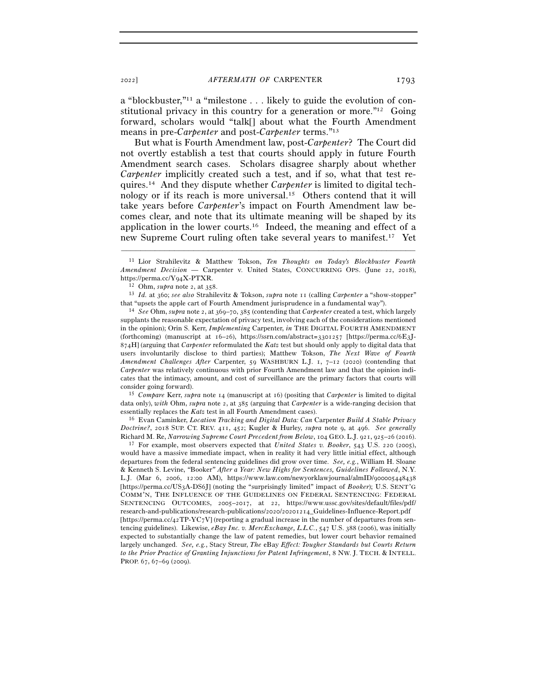a "blockbuster,"11 a "milestone . . . likely to guide the evolution of constitutional privacy in this country for a generation or more."12 Going forward, scholars would "talk[] about what the Fourth Amendment means in pre-*Carpenter* and post-*Carpenter* terms."13

But what is Fourth Amendment law, post-*Carpenter*? The Court did not overtly establish a test that courts should apply in future Fourth Amendment search cases. Scholars disagree sharply about whether *Carpenter* implicitly created such a test, and if so, what that test requires.14 And they dispute whether *Carpenter* is limited to digital technology or if its reach is more universal.15 Others contend that it will take years before *Carpenter*'s impact on Fourth Amendment law becomes clear, and note that its ultimate meaning will be shaped by its application in the lower courts.16 Indeed, the meaning and effect of a new Supreme Court ruling often take several years to manifest.17 Yet

–––––––––––––––––––––––––––––––––––––––––––––––––––––––––––––

that "upsets the apple cart of Fourth Amendment jurisprudence in a fundamental way"). 14 *See* Ohm, *supra* note 2, at 369–70, 385 (contending that *Carpenter* created a test, which largely

supplants the reasonable expectation of privacy test, involving each of the considerations mentioned in the opinion); Orin S. Kerr, *Implementing* Carpenter, *in* THE DIGITAL FOURTH AMENDMENT (forthcoming) (manuscript at 16–26), https://ssrn.com/abstract=3301257 [https://perma.cc/6E3J-874H] (arguing that *Carpenter* reformulated the *Katz* test but should only apply to digital data that users involuntarily disclose to third parties); Matthew Tokson, *The Next Wave of Fourth Amendment Challenges After* Carpenter, 59 WASHBURN L.J. 1, 7–12 (2020) (contending that *Carpenter* was relatively continuous with prior Fourth Amendment law and that the opinion indicates that the intimacy, amount, and cost of surveillance are the primary factors that courts will consider going forward). 15 *Compare* Kerr, *supra* note 14 (manuscript at 16) (positing that *Carpenter* is limited to digital

data only), *with* Ohm, *supra* note 2, at 385 (arguing that *Carpenter* is a wide-ranging decision that essentially replaces the *Katz* test in all Fourth Amendment cases). 16 Evan Caminker, *Location Tracking and Digital Data: Can* Carpenter *Build A Stable Privacy* 

*Doctrine?*, 2018 SUP. CT. REV. 411, 452; Kugler & Hurley, *supra* note 9, at 496. *See generally* Richard M. Re, *Narrowing Supreme Court Precedent from Below*, 104 GEO. L.J. 921, 925–26 (<sup>2016</sup>). 17 For example, most observers expected that *United States v. Booker*, 543 U.S. 220 (2005),

would have a massive immediate impact, when in reality it had very little initial effect, although departures from the federal sentencing guidelines did grow over time. *See, e.g.*, William H. Sloane & Kenneth S. Levine, *"*Booker*" After a Year: New Highs for Sentences, Guidelines Followed*, N.Y. L.J. (Mar 6, 2006, 12:00 AM), https://www.law.com/newyorklawjournal/almID/900005448438 [https://perma.cc/US3A-DS6J] (noting the "surprisingly limited" impact of *Booker*); U.S. SENT'G COMM'N, THE INFLUENCE OF THE GUIDELINES ON FEDERAL SENTENCING: FEDERAL SENTENCING OUTCOMES, 2005–2017, at 22, https://www.ussc.gov/sites/default/files/pdf/ research-and-publications/research-publications/2020/20201214\_Guidelines-Influence-Report.pdf [https://perma.cc/42TP-YC7V] (reporting a gradual increase in the number of departures from sentencing guidelines). Likewise, *eBay Inc. v. MercExchange, L.L.C.*, 547 U.S. 388 (2006), was initially expected to substantially change the law of patent remedies, but lower court behavior remained largely unchanged. *See, e.g.*, Stacy Streur, *The* eBay *Effect: Tougher Standards but Courts Return to the Prior Practice of Granting Injunctions for Patent Infringement*, 8 NW. J. TECH. & INTELL. PROP. 67, 67–69 (2009).

<sup>11</sup> Lior Strahilevitz & Matthew Tokson, *Ten Thoughts on Today's Blockbuster Fourth Amendment Decision —* Carpenter v. United States, CONCURRING OPS. (June 22, 2018), https://perma.cc/Y<sup>94</sup>X-PTXR. 12 Ohm, *supra* note 2, at <sup>358</sup>. 13 *Id.* at 360; *see also* Strahilevitz & Tokson, *supra* note 11 (calling *Carpenter* a "show-stopper"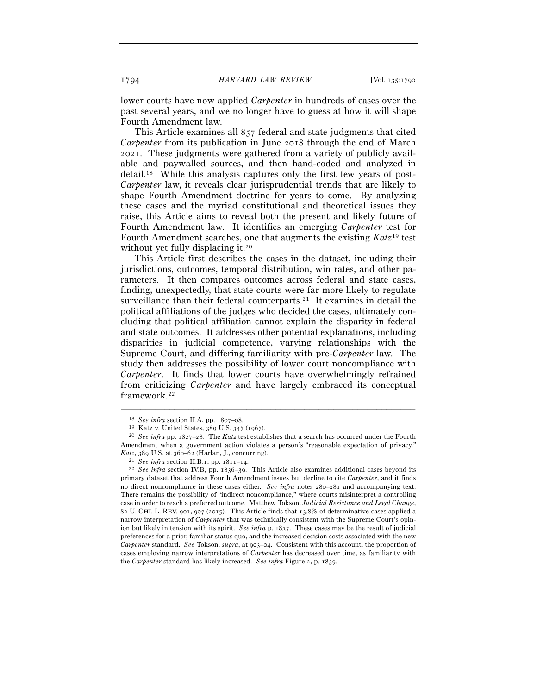lower courts have now applied *Carpenter* in hundreds of cases over the past several years, and we no longer have to guess at how it will shape Fourth Amendment law.

This Article examines all 857 federal and state judgments that cited *Carpenter* from its publication in June 2018 through the end of March 2021. These judgments were gathered from a variety of publicly available and paywalled sources, and then hand-coded and analyzed in detail.18 While this analysis captures only the first few years of post-*Carpenter* law, it reveals clear jurisprudential trends that are likely to shape Fourth Amendment doctrine for years to come. By analyzing these cases and the myriad constitutional and theoretical issues they raise, this Article aims to reveal both the present and likely future of Fourth Amendment law. It identifies an emerging *Carpenter* test for Fourth Amendment searches, one that augments the existing *Katz*19 test without yet fully displacing it.<sup>20</sup>

This Article first describes the cases in the dataset, including their jurisdictions, outcomes, temporal distribution, win rates, and other parameters. It then compares outcomes across federal and state cases, finding, unexpectedly, that state courts were far more likely to regulate surveillance than their federal counterparts.<sup>21</sup> It examines in detail the political affiliations of the judges who decided the cases, ultimately concluding that political affiliation cannot explain the disparity in federal and state outcomes. It addresses other potential explanations, including disparities in judicial competence, varying relationships with the Supreme Court, and differing familiarity with pre-*Carpenter* law. The study then addresses the possibility of lower court noncompliance with *Carpenter*. It finds that lower courts have overwhelmingly refrained from criticizing *Carpenter* and have largely embraced its conceptual framework.22

<sup>&</sup>lt;sup>18</sup> See *infra* section II.A, pp. 1807–08.<br><sup>19</sup> Katz v. United States, 389 U.S. 347 (1967).<br><sup>20</sup> *See infra* pp. 1827–28. The *Katz* test establishes that a search has occurred under the Fourth Amendment when a government action violates a person's "reasonable expectation of privacy." *Katz*, 389 U.S. at 360–62 (Harlan, J., concurring).<br><sup>21</sup> *See infra* section II.B.1, pp. 1811–14.<br><sup>22</sup> *See infra* section IV.B, pp. 1836–39. This Article also examines additional cases beyond its

primary dataset that address Fourth Amendment issues but decline to cite *Carpenter*, and it finds no direct noncompliance in these cases either. *See infra* notes 280–281 and accompanying text. There remains the possibility of "indirect noncompliance," where courts misinterpret a controlling case in order to reach a preferred outcome. Matthew Tokson, *Judicial Resistance and Legal Change*, 82 U. CHI. L. REV. 901, 907 (2015). This Article finds that 13.8% of determinative cases applied a narrow interpretation of *Carpenter* that was technically consistent with the Supreme Court's opinion but likely in tension with its spirit. *See infra* p. 1837. These cases may be the result of judicial preferences for a prior, familiar status quo, and the increased decision costs associated with the new *Carpenter* standard. *See* Tokson, *supra*, at 903–04. Consistent with this account, the proportion of cases employing narrow interpretations of *Carpenter* has decreased over time, as familiarity with the *Carpenter* standard has likely increased. *See infra* Figure 2, p. 1839.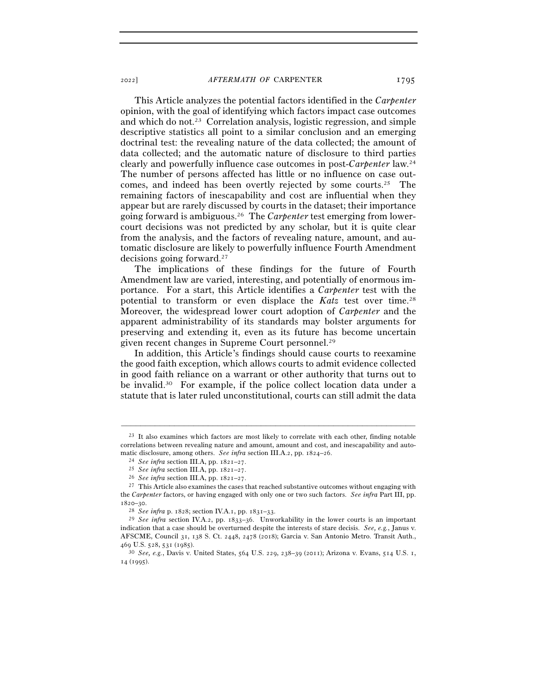This Article analyzes the potential factors identified in the *Carpenter* opinion, with the goal of identifying which factors impact case outcomes and which do not.23 Correlation analysis, logistic regression, and simple descriptive statistics all point to a similar conclusion and an emerging doctrinal test: the revealing nature of the data collected; the amount of data collected; and the automatic nature of disclosure to third parties clearly and powerfully influence case outcomes in post-*Carpenter* law.24 The number of persons affected has little or no influence on case outcomes, and indeed has been overtly rejected by some courts.25 The remaining factors of inescapability and cost are influential when they appear but are rarely discussed by courts in the dataset; their importance going forward is ambiguous.26 The *Carpenter* test emerging from lowercourt decisions was not predicted by any scholar, but it is quite clear from the analysis, and the factors of revealing nature, amount, and automatic disclosure are likely to powerfully influence Fourth Amendment decisions going forward.27

The implications of these findings for the future of Fourth Amendment law are varied, interesting, and potentially of enormous importance. For a start, this Article identifies a *Carpenter* test with the potential to transform or even displace the *Katz* test over time.28 Moreover, the widespread lower court adoption of *Carpenter* and the apparent administrability of its standards may bolster arguments for preserving and extending it, even as its future has become uncertain given recent changes in Supreme Court personnel.29

In addition, this Article's findings should cause courts to reexamine the good faith exception, which allows courts to admit evidence collected in good faith reliance on a warrant or other authority that turns out to be invalid.30 For example, if the police collect location data under a statute that is later ruled unconstitutional, courts can still admit the data

<sup>&</sup>lt;sup>23</sup> It also examines which factors are most likely to correlate with each other, finding notable correlations between revealing nature and amount, amount and cost, and inescapability and automatic disclosure, among others. See infra section III.A.2, pp. 1824–26.<br>
<sup>24</sup> See infra section III.A, pp. 1821–27.<br>
<sup>25</sup> See infra section III.A, pp. 1821–27.<br>
<sup>26</sup> See infra section III.A, pp. 1821–27.<br>
<sup>26</sup> See infra s

the *Carpenter* factors, or having engaged with only one or two such factors. *See infra* Part III, pp.

<sup>1820</sup>–<sup>30</sup>. 28 *See infra* p. 1828; section IV.A.1, pp. 1831–<sup>33</sup>. 29 *See infra* section IV.A.2, pp. 1833–36. Unworkability in the lower courts is an important indication that a case should be overturned despite the interests of stare decisis. *See, e.g.*, Janus v. AFSCME, Council 31, 138 S. Ct. 2448, 2478 (2018); Garcia v. San Antonio Metro. Transit Auth., <sup>469</sup> U.S. 528, 531 (<sup>1985</sup>). 30 *See, e.g.*, Davis v. United States, 564 U.S. 229, 238–39 (2011); Arizona v. Evans, 514 U.S. 1,

<sup>14</sup> (1995).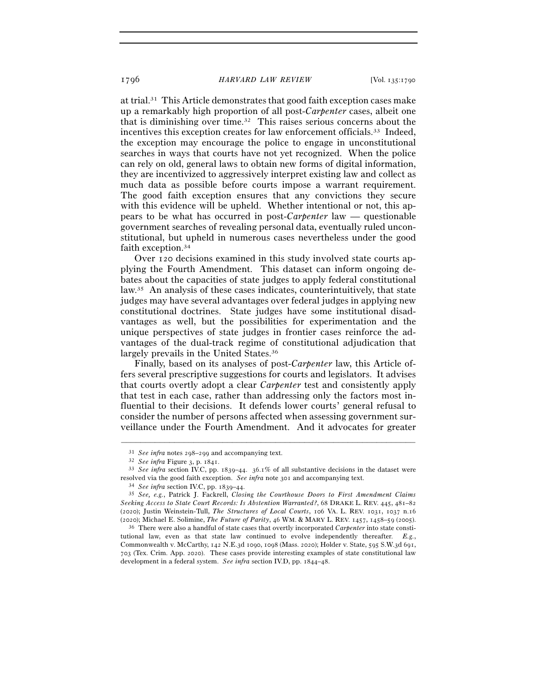at trial.31 This Article demonstrates that good faith exception cases make up a remarkably high proportion of all post-*Carpenter* cases, albeit one that is diminishing over time.32 This raises serious concerns about the incentives this exception creates for law enforcement officials.33 Indeed, the exception may encourage the police to engage in unconstitutional searches in ways that courts have not yet recognized. When the police can rely on old, general laws to obtain new forms of digital information, they are incentivized to aggressively interpret existing law and collect as much data as possible before courts impose a warrant requirement. The good faith exception ensures that any convictions they secure with this evidence will be upheld. Whether intentional or not, this appears to be what has occurred in post-*Carpenter* law — questionable government searches of revealing personal data, eventually ruled unconstitutional, but upheld in numerous cases nevertheless under the good faith exception.34

Over 120 decisions examined in this study involved state courts applying the Fourth Amendment. This dataset can inform ongoing debates about the capacities of state judges to apply federal constitutional law.35 An analysis of these cases indicates, counterintuitively, that state judges may have several advantages over federal judges in applying new constitutional doctrines. State judges have some institutional disadvantages as well, but the possibilities for experimentation and the unique perspectives of state judges in frontier cases reinforce the advantages of the dual-track regime of constitutional adjudication that largely prevails in the United States.36

Finally, based on its analyses of post-*Carpenter* law, this Article offers several prescriptive suggestions for courts and legislators. It advises that courts overtly adopt a clear *Carpenter* test and consistently apply that test in each case, rather than addressing only the factors most influential to their decisions. It defends lower courts' general refusal to consider the number of persons affected when assessing government surveillance under the Fourth Amendment. And it advocates for greater

<sup>31</sup> *See infra* notes 298–<sup>299</sup> and accompanying text. 32 *See infra* Figure 3, p.<sup>1841</sup>. 33 *See infra* section IV.C, pp. 1839–44. 36.1% of all substantive decisions in the dataset were resolved via the good faith exception. See infra note 301 and accompanying text.<br><sup>34</sup> See infra section IV.C, pp. 1839–44.<br><sup>35</sup> See, e.g., Patrick J. Fackrell, Closing the Courthouse Doors to First Amendment Claims

*Seeking Access to State Court Records: Is Abstention Warranted?*, 68 DRAKE L. REV. 445, 481–82 (2020); Justin Weinstein-Tull, *The Structures of Local Courts*, 106 VA. L. REV. 1031, 1037 n.16 (2020); Michael E. Solimine, *The Future of Parity*, 46 WM. & MARY L. REV. 1457, 1458–59 (<sup>2005</sup>). 36 There were also a handful of state cases that overtly incorporated *Carpenter* into state consti-

tutional law, even as that state law continued to evolve independently thereafter. *E.g.*, Commonwealth v. McCarthy, 142 N.E.3d 1090, 1098 (Mass. 2020); Holder v. State, 595 S.W.3d 691, 703 (Tex. Crim. App. 2020). These cases provide interesting examples of state constitutional law development in a federal system. *See infra* section IV.D, pp. 1844–48.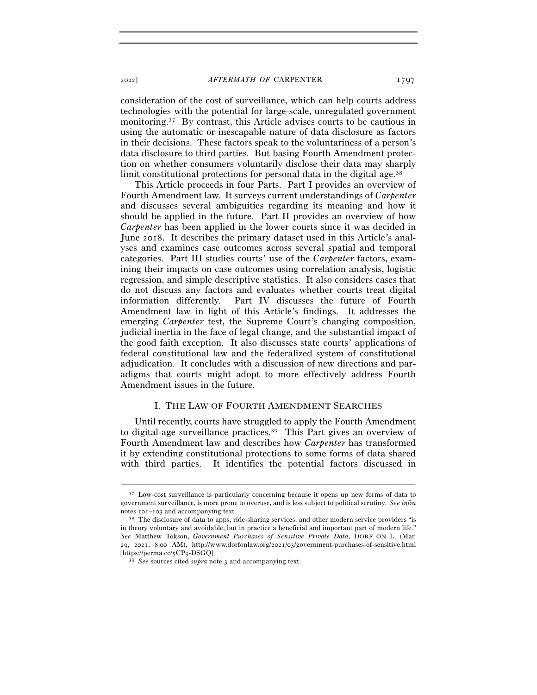consideration of the cost of surveillance, which can help courts address technologies with the potential for large-scale, unregulated government monitoring.37 By contrast, this Article advises courts to be cautious in using the automatic or inescapable nature of data disclosure as factors in their decisions. These factors speak to the voluntariness of a person's data disclosure to third parties. But basing Fourth Amendment protection on whether consumers voluntarily disclose their data may sharply limit constitutional protections for personal data in the digital age.<sup>38</sup>

This Article proceeds in four Parts. Part I provides an overview of Fourth Amendment law. It surveys current understandings of *Carpenter* and discusses several ambiguities regarding its meaning and how it should be applied in the future. Part II provides an overview of how *Carpenter* has been applied in the lower courts since it was decided in June 2018. It describes the primary dataset used in this Article's analyses and examines case outcomes across several spatial and temporal categories. Part III studies courts' use of the *Carpenter* factors, examining their impacts on case outcomes using correlation analysis, logistic regression, and simple descriptive statistics. It also considers cases that do not discuss any factors and evaluates whether courts treat digital information differently. Part IV discusses the future of Fourth Amendment law in light of this Article's findings. It addresses the emerging *Carpenter* test, the Supreme Court's changing composition, judicial inertia in the face of legal change, and the substantial impact of the good faith exception. It also discusses state courts' applications of federal constitutional law and the federalized system of constitutional adjudication. It concludes with a discussion of new directions and paradigms that courts might adopt to more effectively address Fourth Amendment issues in the future.

## I. THE LAW OF FOURTH AMENDMENT SEARCHES

Until recently, courts have struggled to apply the Fourth Amendment to digital-age surveillance practices.39 This Part gives an overview of Fourth Amendment law and describes how *Carpenter* has transformed it by extending constitutional protections to some forms of data shared with third parties. It identifies the potential factors discussed in

<sup>&</sup>lt;sup>37</sup> Low-cost surveillance is particularly concerning because it opens up new forms of data to government surveillance, is more prone to overuse, and is less subject to political scrutiny. *See infra* notes  $101-103$  and accompanying text.<br><sup>38</sup> The disclosure of data to apps, ride-sharing services, and other modern service providers "is

in theory voluntary and avoidable, but in practice a beneficial and important part of modern life." *See* Matthew Tokson, *Government Purchases of Sensitive Private Data*, DORF ON L. (Mar. 29, 2021, 8:00 AM), http://www.dorfonlaw.org/2021/03/government-purchases-of-sensitive.html [https://perma.cc/5CP<sup>9</sup>-DSGQ]. 39 *See* sources cited *supra* note 3 and accompanying text.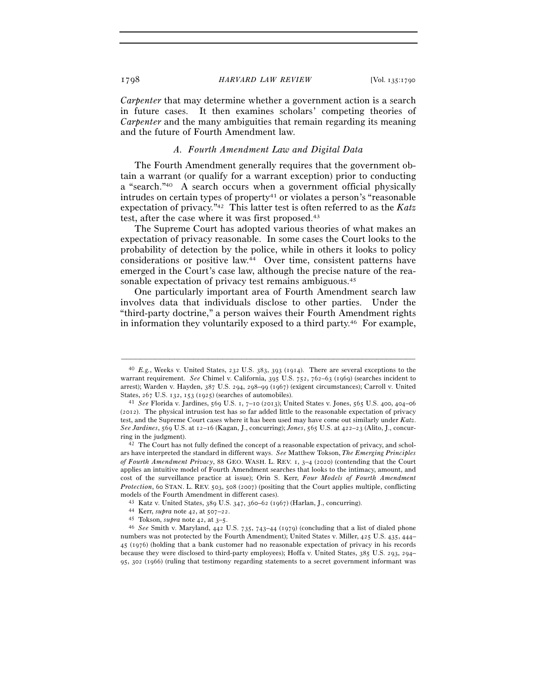*Carpenter* that may determine whether a government action is a search in future cases. It then examines scholars' competing theories of *Carpenter* and the many ambiguities that remain regarding its meaning and the future of Fourth Amendment law.

#### *A. Fourth Amendment Law and Digital Data*

The Fourth Amendment generally requires that the government obtain a warrant (or qualify for a warrant exception) prior to conducting a "search."40 A search occurs when a government official physically  $intudes on certain types of property<sup>41</sup> or violates a person's "reasonable"$ expectation of privacy."42 This latter test is often referred to as the *Katz* test, after the case where it was first proposed.<sup>43</sup>

The Supreme Court has adopted various theories of what makes an expectation of privacy reasonable. In some cases the Court looks to the probability of detection by the police, while in others it looks to policy considerations or positive law.44 Over time, consistent patterns have emerged in the Court's case law, although the precise nature of the reasonable expectation of privacy test remains ambiguous.45

One particularly important area of Fourth Amendment search law involves data that individuals disclose to other parties. Under the "third-party doctrine," a person waives their Fourth Amendment rights in information they voluntarily exposed to a third party.46 For example,

<sup>40</sup> *E.g.*, Weeks v. United States, 232 U.S. 383, 393 (1914). There are several exceptions to the warrant requirement. *See* Chimel v. California, 395 U.S. 752, 762–63 (1969) (searches incident to arrest); Warden v. Hayden, 387 U.S. 294, 298–99 (1967) (exigent circumstances); Carroll v. United States, 267 U.S. 132, 153 (<sup>1925</sup>) (searches of automobiles). 41 *See* Florida v. Jardines, 569 U.S. 1, 7–10 (2013); United States v. Jones, 565 U.S. 400, 404–<sup>06</sup>

<sup>(</sup>2012). The physical intrusion test has so far added little to the reasonable expectation of privacy test, and the Supreme Court cases where it has been used may have come out similarly under *Katz*. *See Jardines*, 569 U.S. at 12–16 (Kagan, J., concurring); *Jones*, 565 U.S. at 422–23 (Alito, J., concur-

ring in the judgment).<br><sup>42</sup> The Court has not fully defined the concept of a reasonable expectation of privacy, and scholars have interpreted the standard in different ways. *See* Matthew Tokson, *The Emerging Principles of Fourth Amendment Privacy*, 88 GEO. WASH. L. REV. 1, 3–4 (2020) (contending that the Court applies an intuitive model of Fourth Amendment searches that looks to the intimacy, amount, and cost of the surveillance practice at issue); Orin S. Kerr, *Four Models of Fourth Amendment Protection*, 60 STAN. L. REV. 503, 508 (2007) (positing that the Court applies multiple, conflicting models of the Fourth Amendment in different cases).<br>  $^{43}$  Katz v. United States, 389 U.S. 347, 360–62 (1967) (Harlan, J., concurring).<br>  $^{44}$  Kerr, *supra* note 42, at 507–22.<br>  $^{45}$  Tokson, *supra* note 42, at 3–5.<br>

numbers was not protected by the Fourth Amendment); United States v. Miller, 425 U.S. 435, 444– 45 (1976) (holding that a bank customer had no reasonable expectation of privacy in his records because they were disclosed to third-party employees); Hoffa v. United States, 385 U.S. 293, 294– 95, 302 (1966) (ruling that testimony regarding statements to a secret government informant was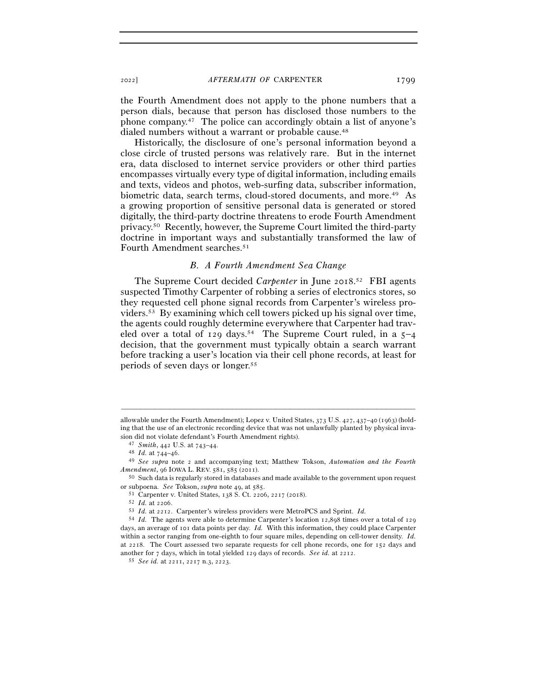the Fourth Amendment does not apply to the phone numbers that a person dials, because that person has disclosed those numbers to the phone company.47 The police can accordingly obtain a list of anyone's dialed numbers without a warrant or probable cause.<sup>48</sup>

Historically, the disclosure of one's personal information beyond a close circle of trusted persons was relatively rare. But in the internet era, data disclosed to internet service providers or other third parties encompasses virtually every type of digital information, including emails and texts, videos and photos, web-surfing data, subscriber information, biometric data, search terms, cloud-stored documents, and more.<sup>49</sup> As a growing proportion of sensitive personal data is generated or stored digitally, the third-party doctrine threatens to erode Fourth Amendment privacy.50 Recently, however, the Supreme Court limited the third-party doctrine in important ways and substantially transformed the law of Fourth Amendment searches.51

## *B. A Fourth Amendment Sea Change*

The Supreme Court decided *Carpenter* in June 2018. 52 FBI agents suspected Timothy Carpenter of robbing a series of electronics stores, so they requested cell phone signal records from Carpenter's wireless providers.53 By examining which cell towers picked up his signal over time, the agents could roughly determine everywhere that Carpenter had traveled over a total of  $129 \text{ days}^{54}$  The Supreme Court ruled, in a  $5-4$ decision, that the government must typically obtain a search warrant before tracking a user's location via their cell phone records, at least for periods of seven days or longer.55

allowable under the Fourth Amendment); Lopez v. United States, 373 U.S. 427, 437–40 (1963) (holding that the use of an electronic recording device that was not unlawfully planted by physical inva-% sion did not violate defendant's Fourth Amendment rights).<br>  $^{47}$  Smith, 442 U.S. at 743–44.<br>  $^{48}$  Id. at 744–46.<br>  $^{49}$  See supra note 2 and accompanying text; Matthew Tokson, Automation and the Fourth

 $A {\it{mendment}}$ , 96 IOWA L. REV. 581, 585 (2011).  $$50\,$  Such data is regularly stored in databases and made available to the government upon request

<sup>%</sup> or subpoena. See Tokson, *supra* note 49, at 585.<br>
<sup>51</sup> Carpenter v. United States, 138 S. Ct. 2206, 2217 (2018).<br>
<sup>52</sup> Id. at 2206.<br>
<sup>53</sup> Id. at 2212. Carpenter's wireless providers were MetroPCS and Sprint. Id.

<sup>54</sup> *Id.* The agents were able to determine Carpenter's location 12,898 times over a total of 129 days, an average of 101 data points per day. *Id.* With this information, they could place Carpenter within a sector ranging from one-eighth to four square miles, depending on cell-tower density. *Id.* at 2218. The Court assessed two separate requests for cell phone records, one for 152 days and another for 7 days, which in total yielded 129 days of records. *See id.* at <sup>2212</sup>. 55 *See id.* at 2211, 2217 n.3, 2223.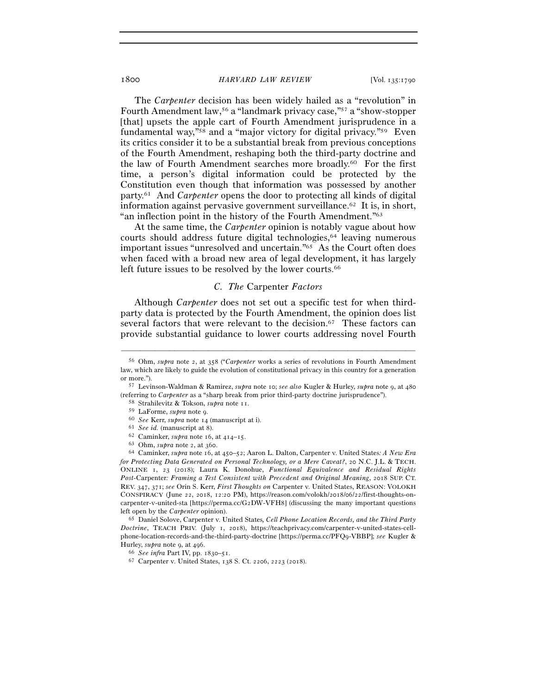The *Carpenter* decision has been widely hailed as a "revolution" in Fourth Amendment law,56 a "landmark privacy case,"57 a "show-stopper [that] upsets the apple cart of Fourth Amendment jurisprudence in a fundamental way,"58 and a "major victory for digital privacy."59 Even its critics consider it to be a substantial break from previous conceptions of the Fourth Amendment, reshaping both the third-party doctrine and the law of Fourth Amendment searches more broadly.60 For the first time, a person's digital information could be protected by the Constitution even though that information was possessed by another party.61 And *Carpenter* opens the door to protecting all kinds of digital information against pervasive government surveillance.62 It is, in short, "an inflection point in the history of the Fourth Amendment."63

At the same time, the *Carpenter* opinion is notably vague about how courts should address future digital technologies,64 leaving numerous important issues "unresolved and uncertain."65 As the Court often does when faced with a broad new area of legal development, it has largely left future issues to be resolved by the lower courts.<sup>66</sup>

#### *C. The* Carpenter *Factors*

Although *Carpenter* does not set out a specific test for when thirdparty data is protected by the Fourth Amendment, the opinion does list several factors that were relevant to the decision.<sup>67</sup> These factors can provide substantial guidance to lower courts addressing novel Fourth

–––––––––––––––––––––––––––––––––––––––––––––––––––––––––––––

- 
- 
- 
- 

*Doctrine*, TEACH PRIV. (July 1, 2018), https://teachprivacy.com/carpenter-v-united-states-cellphone-location-records-and-the-third-party-doctrine [https://perma.cc/PFQ9-VBBP]; *see* Kugler & Hurley, *supra* note 9, at <sup>496</sup>. 66 *See infra* Part IV, pp. 1830–<sup>51</sup>. 67 Carpenter v. United States, 138 S. Ct. 2206, 2223 (2018).

<sup>56</sup> Ohm, *supra* note 2, at 358 ("*Carpenter* works a series of revolutions in Fourth Amendment law, which are likely to guide the evolution of constitutional privacy in this country for a generation or more."). 57 Levinson-Waldman & Ramirez, *supra* note 10; *see also* Kugler & Hurley, *supra* note 9, at <sup>480</sup>

<sup>(</sup>referring to Carpenter as a "sharp break from prior third-party doctrine jurisprudence").<br>
<sup>58</sup> Strahilevitz & Tokson, *supra* note 11.<br>
<sup>59</sup> LaForme, *supra* note 9.<br>
<sup>60</sup> See Kerr, *supra* note 14 (manuscript at i).<br>
<sup></sup>

*for Protecting Data Generated on Personal Technology, or a Mere Caveat?*, 20 N.C. J.L. & TECH. ONLINE 1, 23 (2018); Laura K. Donohue, *Functional Equivalence and Residual Rights Post-*Carpenter*: Framing a Test Consistent with Precedent and Original Meaning*, 2018 SUP. CT. REV. 347, 371; *see* Orin S. Kerr, *First Thoughts on* Carpenter v. United States, REASON: VOLOKH CONSPIRACY (June 22, 2018, 12:20 PM), https://reason.com/volokh/2018/06/22/first-thoughts-oncarpenter-v-united-sta [https://perma.cc/G2DW-VFH8] (discussing the many important questions left open by the *Carpenter* opinion). 65 Daniel Solove, Carpenter v. United States*, Cell Phone Location Records, and the Third Party*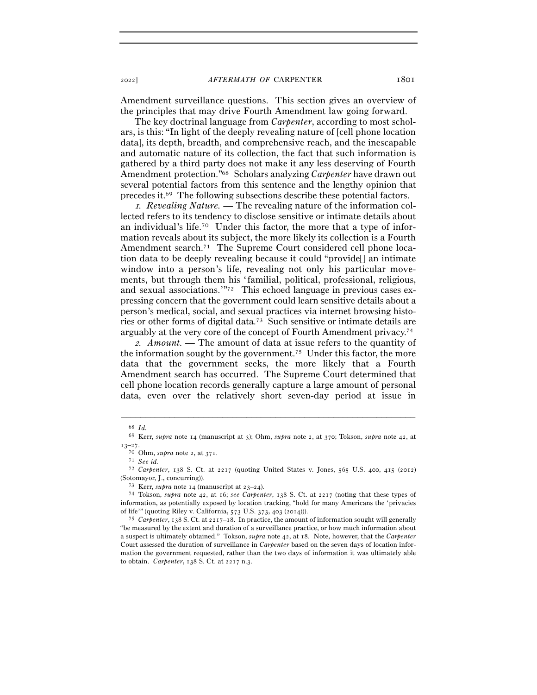Amendment surveillance questions. This section gives an overview of the principles that may drive Fourth Amendment law going forward.

The key doctrinal language from *Carpenter*, according to most scholars, is this: "In light of the deeply revealing nature of [cell phone location data], its depth, breadth, and comprehensive reach, and the inescapable and automatic nature of its collection, the fact that such information is gathered by a third party does not make it any less deserving of Fourth Amendment protection."68 Scholars analyzing *Carpenter* have drawn out several potential factors from this sentence and the lengthy opinion that precedes it.69 The following subsections describe these potential factors.

1*. Revealing Nature. —* The revealing nature of the information collected refers to its tendency to disclose sensitive or intimate details about an individual's life.70 Under this factor, the more that a type of information reveals about its subject, the more likely its collection is a Fourth Amendment search.<sup>71</sup> The Supreme Court considered cell phone location data to be deeply revealing because it could "provide[] an intimate window into a person's life, revealing not only his particular movements, but through them his 'familial, political, professional, religious, and sexual associations.'"72 This echoed language in previous cases expressing concern that the government could learn sensitive details about a person's medical, social, and sexual practices via internet browsing histories or other forms of digital data.73 Such sensitive or intimate details are arguably at the very core of the concept of Fourth Amendment privacy.74

<sup>2</sup>*. Amount. —* The amount of data at issue refers to the quantity of the information sought by the government.75 Under this factor, the more data that the government seeks, the more likely that a Fourth Amendment search has occurred. The Supreme Court determined that cell phone location records generally capture a large amount of personal data, even over the relatively short seven-day period at issue in

<sup>68</sup> *Id.* 69 Kerr, *supra* note 14 (manuscript at 3); Ohm, *supra* note 2, at 370; Tokson, *supra* note 42, at <sup>13</sup>–<sup>27</sup>. 70 Ohm, *supra* note 2, at <sup>371</sup>. 71 *See id.*

<sup>72</sup> *Carpenter*, 138 S. Ct. at 2217 (quoting United States v. Jones, 565 U.S. 400, 415 (2012) (Sotomayor, J., concurring)). 73 Kerr, *supra* note 14 (manuscript at 23–24). 74 Tokson, *supra* note 42, at 16; *see Carpenter*, 138 S. Ct. at 2217 (noting that these types of

information, as potentially exposed by location tracking, "hold for many Americans the 'privacies of life'" (quoting Riley v. California, 573 U.S. 373, 403 (<sup>2014</sup>))). 75 *Carpenter*, 138 S. Ct. at 2217–18. In practice, the amount of information sought will generally

<sup>&</sup>quot;be measured by the extent and duration of a surveillance practice, or how much information about a suspect is ultimately obtained." Tokson, *supra* note 42, at 18. Note, however, that the *Carpenter* Court assessed the duration of surveillance in *Carpenter* based on the seven days of location information the government requested, rather than the two days of information it was ultimately able to obtain. *Carpenter*, 138 S. Ct. at 2217 n.3.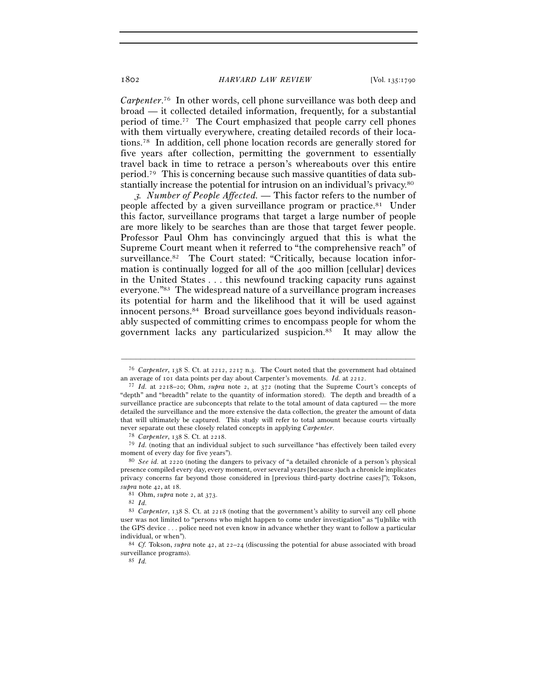*Carpenter*. 76 In other words, cell phone surveillance was both deep and broad — it collected detailed information, frequently, for a substantial period of time.77 The Court emphasized that people carry cell phones with them virtually everywhere, creating detailed records of their locations.78 In addition, cell phone location records are generally stored for five years after collection, permitting the government to essentially travel back in time to retrace a person's whereabouts over this entire period.79 This is concerning because such massive quantities of data substantially increase the potential for intrusion on an individual's privacy.80

<sup>3</sup>*. Number of People Affected. —* This factor refers to the number of people affected by a given surveillance program or practice.81 Under this factor, surveillance programs that target a large number of people are more likely to be searches than are those that target fewer people. Professor Paul Ohm has convincingly argued that this is what the Supreme Court meant when it referred to "the comprehensive reach" of surveillance.<sup>82</sup> The Court stated: "Critically, because location information is continually logged for all of the 400 million [cellular] devices in the United States . . . this newfound tracking capacity runs against everyone."83 The widespread nature of a surveillance program increases its potential for harm and the likelihood that it will be used against innocent persons.84 Broad surveillance goes beyond individuals reasonably suspected of committing crimes to encompass people for whom the government lacks any particularized suspicion.85 It may allow the

<sup>–––––––––––––––––––––––––––––––––––––––––––––––––––––––––––––</sup> <sup>76</sup> *Carpenter*, 138 S. Ct. at 2212, 2217 n.3. The Court noted that the government had obtained an average of 101 data points per day about Carpenter's movements. *Id.* at <sup>2212</sup>. 77 *Id.* at 2218–20; Ohm, *supra* note 2, at 372 (noting that the Supreme Court's concepts of

<sup>&</sup>quot;depth" and "breadth" relate to the quantity of information stored). The depth and breadth of a surveillance practice are subconcepts that relate to the total amount of data captured — the more detailed the surveillance and the more extensive the data collection, the greater the amount of data that will ultimately be captured. This study will refer to total amount because courts virtually mever separate out these closely related concepts in applying *Carpenter*.<br><sup>78</sup> *Carpenter*, 138 S. Ct. at 2218.<br><sup>79</sup> *Id.* (noting that an individual subject to such surveillance "has effectively been tailed every

moment of every day for five years").<br><sup>80</sup> *See id.* at 2220 (noting the dangers to privacy of "a detailed chronicle of a person's physical

presence compiled every day, every moment, over several years [because s]uch a chronicle implicates privacy concerns far beyond those considered in [previous third-party doctrine cases]"); Tokson, *supra* note 42, at <sup>18</sup>. 81 Ohm, *supra* note 2, at <sup>373</sup>. 82 *Id.*

<sup>83</sup> *Carpenter*, 138 S. Ct. at 2218 (noting that the government's ability to surveil any cell phone user was not limited to "persons who might happen to come under investigation" as "[u]nlike with the GPS device . . . police need not even know in advance whether they want to follow a particular individual, or when"). 84 *Cf.* Tokson, *supra* note 42, at 22–24 (discussing the potential for abuse associated with broad

surveillance programs). 85 *Id.*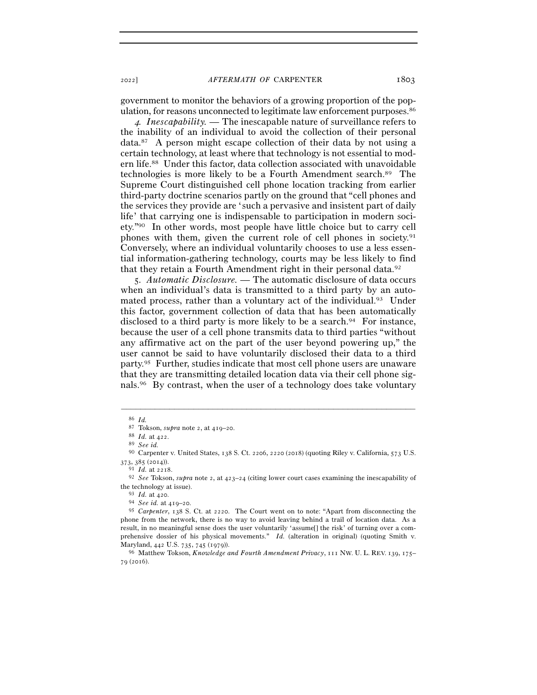government to monitor the behaviors of a growing proportion of the population, for reasons unconnected to legitimate law enforcement purposes.86

<sup>4</sup>*. Inescapability. —* The inescapable nature of surveillance refers to the inability of an individual to avoid the collection of their personal data.87 A person might escape collection of their data by not using a certain technology, at least where that technology is not essential to modern life.88 Under this factor, data collection associated with unavoidable technologies is more likely to be a Fourth Amendment search.89 The Supreme Court distinguished cell phone location tracking from earlier third-party doctrine scenarios partly on the ground that "cell phones and the services they provide are 'such a pervasive and insistent part of daily life' that carrying one is indispensable to participation in modern society."90 In other words, most people have little choice but to carry cell phones with them, given the current role of cell phones in society.91 Conversely, where an individual voluntarily chooses to use a less essential information-gathering technology, courts may be less likely to find that they retain a Fourth Amendment right in their personal data.92

5*. Automatic Disclosure. —* The automatic disclosure of data occurs when an individual's data is transmitted to a third party by an automated process, rather than a voluntary act of the individual.<sup>93</sup> Under this factor, government collection of data that has been automatically disclosed to a third party is more likely to be a search.<sup>94</sup> For instance, because the user of a cell phone transmits data to third parties "without any affirmative act on the part of the user beyond powering up," the user cannot be said to have voluntarily disclosed their data to a third party.95 Further, studies indicate that most cell phone users are unaware that they are transmitting detailed location data via their cell phone signals.96 By contrast, when the user of a technology does take voluntary

<sup>86</sup> *Id.* 

<sup>87</sup> Tokson, *supra* note 2, at 419–<sup>20</sup>. 88 *Id.* at <sup>422</sup>. 89 *See id.*

<sup>90</sup> Carpenter v. United States, 138 S. Ct. 2206, 2220 (2018) (quoting Riley v. California, 573 U.S.

<sup>373</sup>, 385 (<sup>2014</sup>)). 91 *Id.* at <sup>2218</sup>. 92 *See* Tokson, *supra* note 2, at 423–24 (citing lower court cases examining the inescapability of the technology at issue).<br><sup>93</sup> *Id.* at 420.<br><sup>94</sup> *See id.* at 419–20.<br><sup>95</sup> *Carpenter*, 138 S. Ct. at 2220. The Court went on to note: "Apart from disconnecting the

phone from the network, there is no way to avoid leaving behind a trail of location data. As a result, in no meaningful sense does the user voluntarily 'assume[] the risk' of turning over a comprehensive dossier of his physical movements." *Id.* (alteration in original) (quoting Smith v. Maryland, 442 U.S. 735, 745 (<sup>1979</sup>)). 96 Matthew Tokson, *Knowledge and Fourth Amendment Privacy*, 111 NW. U. L. REV. <sup>139</sup>, 175–

<sup>79</sup> (2016).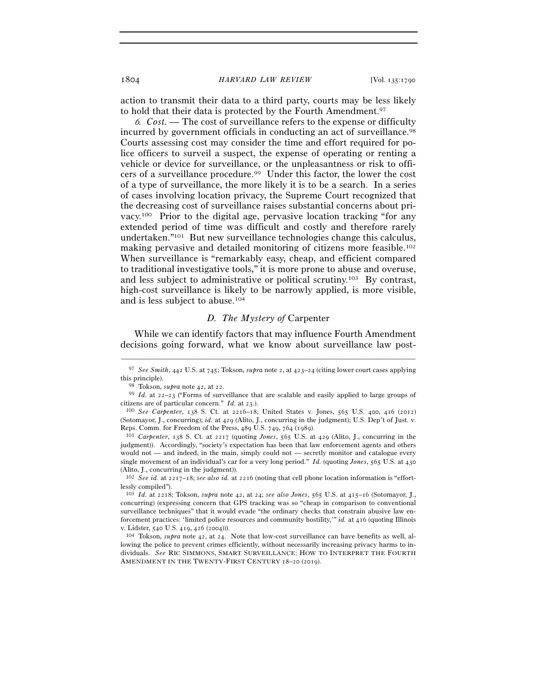action to transmit their data to a third party, courts may be less likely to hold that their data is protected by the Fourth Amendment.97

<sup>6</sup>*. Cost. —* The cost of surveillance refers to the expense or difficulty incurred by government officials in conducting an act of surveillance.98 Courts assessing cost may consider the time and effort required for police officers to surveil a suspect, the expense of operating or renting a vehicle or device for surveillance, or the unpleasantness or risk to officers of a surveillance procedure.99 Under this factor, the lower the cost of a type of surveillance, the more likely it is to be a search. In a series of cases involving location privacy, the Supreme Court recognized that the decreasing cost of surveillance raises substantial concerns about privacy.100 Prior to the digital age, pervasive location tracking "for any extended period of time was difficult and costly and therefore rarely undertaken."101 But new surveillance technologies change this calculus, making pervasive and detailed monitoring of citizens more feasible.102 When surveillance is "remarkably easy, cheap, and efficient compared to traditional investigative tools," it is more prone to abuse and overuse, and less subject to administrative or political scrutiny.103 By contrast, high-cost surveillance is likely to be narrowly applied, is more visible, and is less subject to abuse.104

### *D. The Mystery of* Carpenter

While we can identify factors that may influence Fourth Amendment decisions going forward, what we know about surveillance law post-

<sup>–––––––––––––––––––––––––––––––––––––––––––––––––––––––––––––</sup> <sup>97</sup> *See Smith*, 442 U.S. at 745; Tokson, *supra* note 2, at 423–24 (citing lower court cases applying this principle).<br><sup>98</sup> Tokson, *supra* note 42, at 22.<br><sup>99</sup> *Id.* at 22–23 ("Forms of surveillance that are scalable and easily applied to large groups of

citizens are of particular concern." *Id.* at <sup>23</sup>.). 100 *See Carpenter*, 138 S. Ct. at 2216–18; United States v. Jones, 565 U.S. 400, 416 (2012)

<sup>(</sup>Sotomayor, J., concurring); *id.* at 429 (Alito, J., concurring in the judgment); U.S. Dep't of Just. v. Reps. Comm. for Freedom of the Press, 489 U.S. 749, 764 (<sup>1989</sup>). 101 *Carpenter*, 138 S. Ct. at 2217 (quoting *Jones*, 565 U.S. at 429 (Alito, J., concurring in the

judgment)). Accordingly, "society's expectation has been that law enforcement agents and others would not — and indeed, in the main, simply could not — secretly monitor and catalogue every single movement of an individual's car for a very long period." *Id.* (quoting *Jones*, 565 U.S. at 430 (Alito, J., concurring in the judgment)).

<sup>102</sup> *See id.* at 2217–18; *see also id.* at 2216 (noting that cell phone location information is "effortlessly compiled").

<sup>103</sup> *Id.* at 2218; Tokson, *supra* note 42, at 24; *see also Jones*, 565 U.S. at 415–16 (Sotomayor, J., concurring) (expressing concern that GPS tracking was so "cheap in comparison to conventional surveillance techniques" that it would evade "the ordinary checks that constrain abusive law enforcement practices: 'limited police resources and community hostility,'" *id.* at 416 (quoting Illinois v. Lidster, 540 U.S. 419, 426 (<sup>2004</sup>))). 104 Tokson, *supra* note 42, at 24. Note that low-cost surveillance can have benefits as well, al-

lowing the police to prevent crimes efficiently, without necessarily increasing privacy harms to individuals. *See* RIC SIMMONS, SMART SURVEILLANCE: HOW TO INTERPRET THE FOURTH AMENDMENT IN THE TWENTY-FIRST CENTURY 18-20 (2019).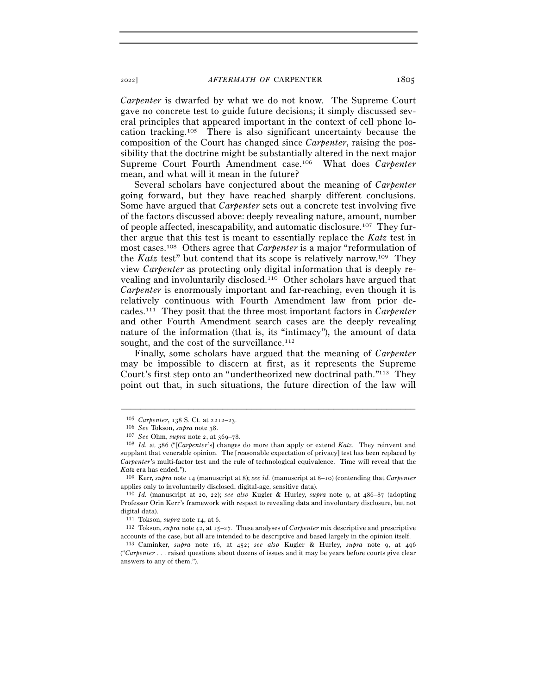*Carpenter* is dwarfed by what we do not know. The Supreme Court gave no concrete test to guide future decisions; it simply discussed several principles that appeared important in the context of cell phone location tracking.105 There is also significant uncertainty because the composition of the Court has changed since *Carpenter*, raising the possibility that the doctrine might be substantially altered in the next major Supreme Court Fourth Amendment case.106 What does *Carpenter* mean, and what will it mean in the future?

Several scholars have conjectured about the meaning of *Carpenter* going forward, but they have reached sharply different conclusions. Some have argued that *Carpenter* sets out a concrete test involving five of the factors discussed above: deeply revealing nature, amount, number of people affected, inescapability, and automatic disclosure.107 They further argue that this test is meant to essentially replace the *Katz* test in most cases.108 Others agree that *Carpenter* is a major "reformulation of the *Katz* test" but contend that its scope is relatively narrow.109 They view *Carpenter* as protecting only digital information that is deeply revealing and involuntarily disclosed.110 Other scholars have argued that *Carpenter* is enormously important and far-reaching, even though it is relatively continuous with Fourth Amendment law from prior decades.111 They posit that the three most important factors in *Carpenter* and other Fourth Amendment search cases are the deeply revealing nature of the information (that is, its "intimacy"), the amount of data sought, and the cost of the surveillance.<sup>112</sup>

Finally, some scholars have argued that the meaning of *Carpenter* may be impossible to discern at first, as it represents the Supreme Court's first step onto an "undertheorized new doctrinal path."113 They point out that, in such situations, the future direction of the law will

<sup>&</sup>lt;sup>105</sup> Carpenter, 138 S. Ct. at 2212–23.<br>
<sup>106</sup> See Tokson, supra note 38.<br>
<sup>107</sup> See Ohm, supra note 2, at 369–78.<br>
<sup>107</sup> *See* Ohm, supra note 2, at 369–78.<br>
<sup>108</sup> *Id.* at 386 ("[Carpenter's] changes do more than apply supplant that venerable opinion. The [reasonable expectation of privacy] test has been replaced by *Carpenter*'s multi-factor test and the rule of technological equivalence. Time will reveal that the *Katz* era has ended."). 109 Kerr, *supra* note 14 (manuscript at 8); *see id.* (manuscript at 8–10) (contending that *Carpenter*

applies only to involuntarily disclosed, digital-age, sensitive data).

<sup>110</sup> *Id.* (manuscript at 20, 22); *see also* Kugler & Hurley, *supra* note 9, at 486–87 (adopting Professor Orin Kerr's framework with respect to revealing data and involuntary disclosure, but not digital data).

<sup>111</sup> Tokson, *supra* note 14, at <sup>6</sup>. 112 Tokson, *supra* note 42, at 15–27. These analyses of *Carpenter* mix descriptive and prescriptive accounts of the case, but all are intended to be descriptive and based largely in the opinion itself. 113 Caminker, *supra* note 16, at 452; *see also* Kugler & Hurley, *supra* note 9, at <sup>496</sup>

<sup>(&</sup>quot;*Carpenter* . . . raised questions about dozens of issues and it may be years before courts give clear answers to any of them.").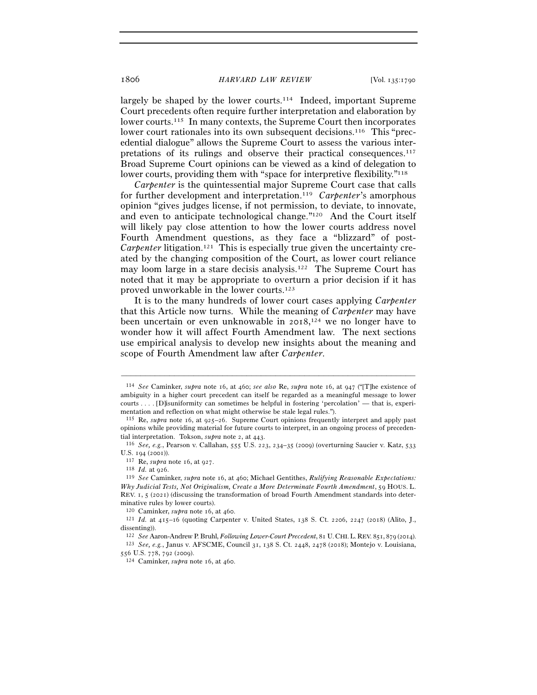largely be shaped by the lower courts.<sup>114</sup> Indeed, important Supreme Court precedents often require further interpretation and elaboration by lower courts.115 In many contexts, the Supreme Court then incorporates lower court rationales into its own subsequent decisions.116 This "precedential dialogue" allows the Supreme Court to assess the various interpretations of its rulings and observe their practical consequences.117 Broad Supreme Court opinions can be viewed as a kind of delegation to lower courts, providing them with "space for interpretive flexibility."<sup>118</sup>

*Carpenter* is the quintessential major Supreme Court case that calls for further development and interpretation.119 *Carpenter*'s amorphous opinion "gives judges license, if not permission, to deviate, to innovate, and even to anticipate technological change."120 And the Court itself will likely pay close attention to how the lower courts address novel Fourth Amendment questions, as they face a "blizzard" of post-*Carpenter* litigation.<sup>121</sup> This is especially true given the uncertainty created by the changing composition of the Court, as lower court reliance may loom large in a stare decisis analysis.122 The Supreme Court has noted that it may be appropriate to overturn a prior decision if it has proved unworkable in the lower courts.123

It is to the many hundreds of lower court cases applying *Carpenter* that this Article now turns. While the meaning of *Carpenter* may have been uncertain or even unknowable in 2018,<sup>124</sup> we no longer have to wonder how it will affect Fourth Amendment law. The next sections use empirical analysis to develop new insights about the meaning and scope of Fourth Amendment law after *Carpenter*.

<sup>114</sup> *See* Caminker, *supra* note 16, at 460; *see also* Re, *supra* note 16, at 947 ("[T]he existence of ambiguity in a higher court precedent can itself be regarded as a meaningful message to lower courts . . . . [D]isuniformity can sometimes be helpful in fostering 'percolation' — that is, experimentation and reflection on what might otherwise be stale legal rules.").<br><sup>115</sup> Re, *supra* note 16, at 925–26. Supreme Court opinions frequently interpret and apply past

opinions while providing material for future courts to interpret, in an ongoing process of precedential interpretation. Tokson, *supra* note 2, at 443.<br><sup>116</sup> *See, e.g.*, Pearson v. Callahan, 555 U.S. 223, 234–35 (2009) (overturning Saucier v. Katz, 533

U.S. 194 (2001)).<br><sup>117</sup> Re, *supra* note 16, at 927.<br><sup>118</sup> *Id.* at 926.<br><sup>119</sup> *See* Caminker, *supra* note 16, at 460; Michael Gentithes, *Rulifying Reasonable Expectations:* 

*Why Judicial Tests, Not Originalism, Create a More Determinate Fourth Amendment*, 59 HOUS. L. REV. 1, 5 (2021) (discussing the transformation of broad Fourth Amendment standards into determinative rules by lower courts).

<sup>120</sup> Caminker, *supra* note 16, at <sup>460</sup>. 121 *Id.* at 415–16 (quoting Carpenter v. United States, 138 S. Ct. 2206, 2247 (2018) (Alito, J., dissenting)).

<sup>122</sup> *See* Aaron-Andrew P. Bruhl, *Following Lower-Court Precedent*, 81 U.CHI.L.REV. 851, 879 (<sup>2014</sup>). 123 *See, e.g.*, Janus v. AFSCME, Council 31, 138 S. Ct. 2448, 2478 (2018); Montejo v. Louisiana,

<sup>124</sup> Caminker, *supra* note 16, at 460.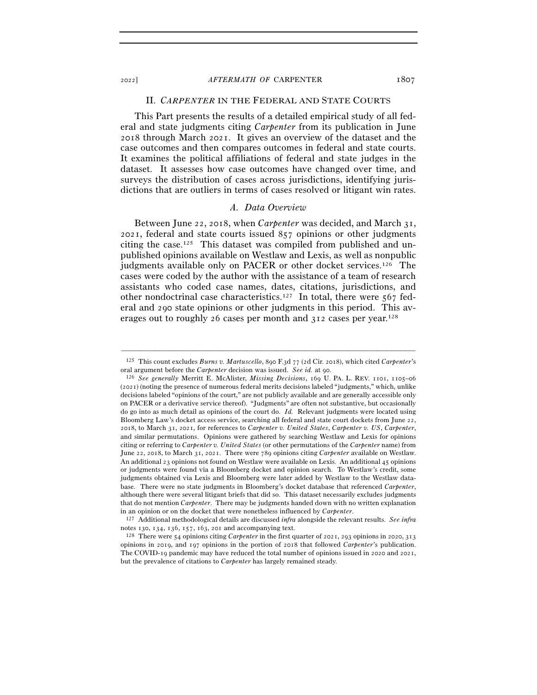#### II. *CARPENTER* IN THE FEDERAL AND STATE COURTS

This Part presents the results of a detailed empirical study of all federal and state judgments citing *Carpenter* from its publication in June 2018 through March 2021. It gives an overview of the dataset and the case outcomes and then compares outcomes in federal and state courts. It examines the political affiliations of federal and state judges in the dataset. It assesses how case outcomes have changed over time, and surveys the distribution of cases across jurisdictions, identifying jurisdictions that are outliers in terms of cases resolved or litigant win rates.

### *A. Data Overview*

Between June 22, 2018, when *Carpenter* was decided, and March 31, 2021, federal and state courts issued 857 opinions or other judgments citing the case.125 This dataset was compiled from published and unpublished opinions available on Westlaw and Lexis, as well as nonpublic judgments available only on PACER or other docket services.<sup>126</sup> The cases were coded by the author with the assistance of a team of research assistants who coded case names, dates, citations, jurisdictions, and other nondoctrinal case characteristics.127 In total, there were 567 federal and 290 state opinions or other judgments in this period. This averages out to roughly 26 cases per month and 312 cases per year.128

<sup>–––––––––––––––––––––––––––––––––––––––––––––––––––––––––––––</sup> <sup>125</sup> This count excludes *Burns v. Martuscello*, 890 F.3d 77 (2d Cir. 2018), which cited *Carpenter*'s oral argument before the *Carpenter* decision was issued. *See id.* at <sup>90</sup>. 126 *See generally* Merritt E. McAlister, *Missing Decisions*, 169 U. PA. L. REV. 1101, 1105–<sup>06</sup>

<sup>(</sup>2021) (noting the presence of numerous federal merits decisions labeled "judgments," which, unlike decisions labeled "opinions of the court," are not publicly available and are generally accessible only on PACER or a derivative service thereof). "Judgments" are often not substantive, but occasionally do go into as much detail as opinions of the court do. *Id.* Relevant judgments were located using Bloomberg Law's docket access service, searching all federal and state court dockets from June 22, 2018, to March 31, 2021, for references to *Carpenter v. United States*, *Carpenter v. US*, *Carpenter*, and similar permutations. Opinions were gathered by searching Westlaw and Lexis for opinions citing or referring to *Carpenter v. United States* (or other permutations of the *Carpenter* name) from June 22, 2018, to March 31, 2021. There were 789 opinions citing *Carpenter* available on Westlaw. An additional 23 opinions not found on Westlaw were available on Lexis. An additional 45 opinions or judgments were found via a Bloomberg docket and opinion search. To Westlaw's credit, some judgments obtained via Lexis and Bloomberg were later added by Westlaw to the Westlaw database. There were no state judgments in Bloomberg's docket database that referenced *Carpenter*, although there were several litigant briefs that did so. This dataset necessarily excludes judgments that do not mention *Carpenter*. There may be judgments handed down with no written explanation

in an opinion or on the docket that were nonetheless influenced by *Carpenter*. 127 Additional methodological details are discussed *infra* alongside the relevant results. *See infra* notes 130, 134, 136, 157, 163, 201 and accompanying text.<br><sup>128</sup> There were 54 opinions citing *Carpenter* in the first quarter of 2021, 293 opinions in 2020, 313

opinions in 2019, and 197 opinions in the portion of 2018 that followed *Carpenter*'s publication. The COVID-19 pandemic may have reduced the total number of opinions issued in 2020 and 2021, but the prevalence of citations to *Carpenter* has largely remained steady.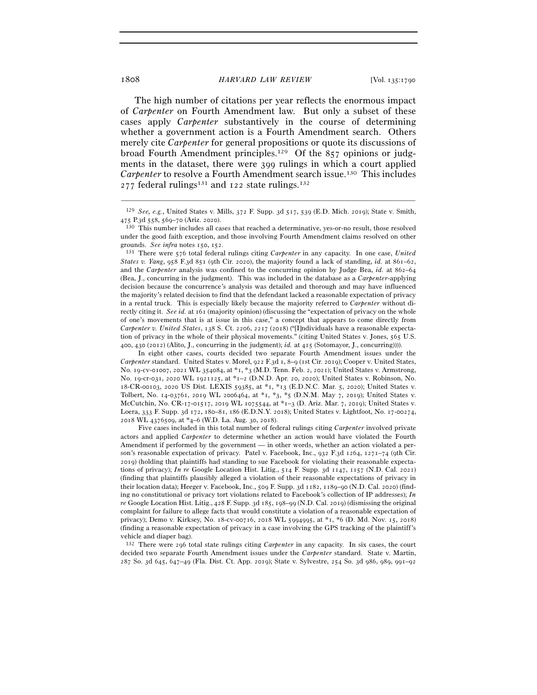The high number of citations per year reflects the enormous impact of *Carpenter* on Fourth Amendment law. But only a subset of these cases apply *Carpenter* substantively in the course of determining whether a government action is a Fourth Amendment search. Others merely cite *Carpenter* for general propositions or quote its discussions of broad Fourth Amendment principles.129 Of the 857 opinions or judgments in the dataset, there were 399 rulings in which a court applied *Carpenter* to resolve a Fourth Amendment search issue.<sup>130</sup> This includes  $277$  federal rulings<sup>131</sup> and 122 state rulings.<sup>132</sup>

 In eight other cases, courts decided two separate Fourth Amendment issues under the *Carpenter* standard. United States v. Morel, 922 F.3d 1, 8–9 (1st Cir. 2019); Cooper v. United States, No. 19-cv-01007, 2021 WL 354084, at \*1, \*3 (M.D. Tenn. Feb. 2, 2021); United States v. Armstrong, No. 19-cr-031, 2020 WL 1921125, at \*1–2 (D.N.D. Apr. 20, 2020); United States v. Robinson, No. 18-CR-00103, 2020 US Dist. LEXIS 59385, at \*1, \*13 (E.D.N.C. Mar. 5, 2020); United States v. Tolbert, No. 14-03761, 2019 WL 2006464, at \*1, \*3, \*5 (D.N.M. May 7, 2019); United States v. McCutchin, No. CR-17-01517, 2019 WL 1075544, at \*1–3 (D. Ariz. Mar. 7, 2019); United States v. Loera, 333 F. Supp. 3d 172, 180–81, 186 (E.D.N.Y. 2018); United States v. Lightfoot, No. 17-00274, 2018 WL 4376509, at \*4–6 (W.D. La. Aug. 30, 2018).

 Five cases included in this total number of federal rulings citing *Carpenter* involved private actors and applied *Carpenter* to determine whether an action would have violated the Fourth Amendment if performed by the government — in other words, whether an action violated a person's reasonable expectation of privacy. Patel v. Facebook, Inc., 932 F.3d 1264, 1271–74 (9th Cir. 2019) (holding that plaintiffs had standing to sue Facebook for violating their reasonable expectations of privacy); *In re* Google Location Hist. Litig., 514 F. Supp. 3d 1147, 1157 (N.D. Cal. 2021) (finding that plaintiffs plausibly alleged a violation of their reasonable expectations of privacy in their location data); Heeger v. Facebook, Inc., 509 F. Supp. 3d 1182, 1189–90 (N.D. Cal. 2020) (finding no constitutional or privacy tort violations related to Facebook's collection of IP addresses); *In re* Google Location Hist. Litig., 428 F. Supp. 3d 185, 198–99 (N.D. Cal. 2019) (dismissing the original complaint for failure to allege facts that would constitute a violation of a reasonable expectation of privacy); Demo v. Kirksey, No. 18-cv-00716, 2018 WL 5994995, at \*1, \*6 (D. Md. Nov. 15, 2018) (finding a reasonable expectation of privacy in a case involving the GPS tracking of the plaintiff's vehicle and diaper bag).

<sup>132</sup> There were 296 total state rulings citing *Carpenter* in any capacity. In six cases, the court decided two separate Fourth Amendment issues under the *Carpenter* standard. State v. Martin, 287 So. 3d 645, 647–49 (Fla. Dist. Ct. App. 2019); State v. Sylvestre, 254 So. 3d 986, 989, 991–92

<sup>–––––––––––––––––––––––––––––––––––––––––––––––––––––––––––––</sup> <sup>129</sup> *See, e.g.*, United States v. Mills, 372 F. Supp. 3d 517, 539 (E.D. Mich. 2019); State v. Smith,  $475$  P.3d  $558, 569–70$  (Ariz. 2020).  $130$  This number includes all cases that reached a determinative, yes-or-no result, those resolved

under the good faith exception, and those involving Fourth Amendment claims resolved on other

grounds. *See infra* notes 150, <sup>152</sup>. 131 There were 576 total federal rulings citing *Carpenter* in any capacity. In one case, *United States v. Yang*, 958 F.3d 851 (9th Cir. 2020), the majority found a lack of standing, *id.* at 861–62, and the *Carpenter* analysis was confined to the concurring opinion by Judge Bea, *id.* at 862–64 (Bea, J., concurring in the judgment). This was included in the database as a *Carpenter*-applying decision because the concurrence's analysis was detailed and thorough and may have influenced the majority's related decision to find that the defendant lacked a reasonable expectation of privacy in a rental truck. This is especially likely because the majority referred to *Carpenter* without directly citing it. *See id.* at 161 (majority opinion) (discussing the "expectation of privacy on the whole of one's movements that is at issue in this case," a concept that appears to come directly from *Carpenter v. United States*, 138 S. Ct. 2206, 2217 (2018) ("[I]ndividuals have a reasonable expectation of privacy in the whole of their physical movements." (citing United States v. Jones, 565 U.S. 400, 430 (2012) (Alito, J., concurring in the judgment); *id.* at 415 (Sotomayor, J., concurring)))).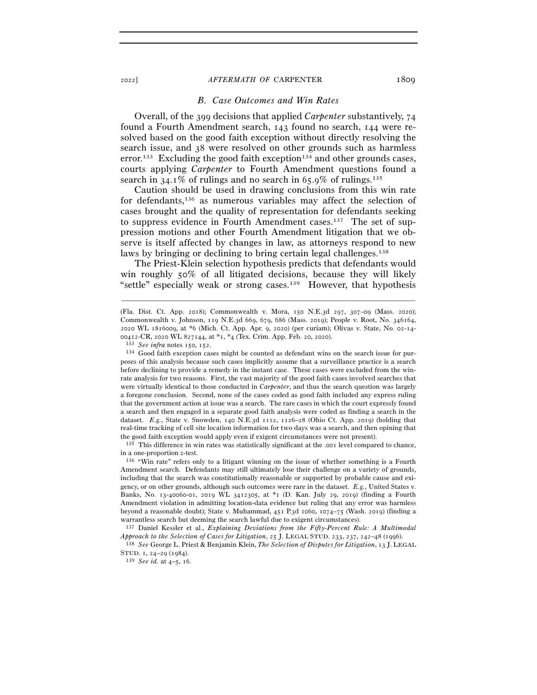#### *B. Case Outcomes and Win Rates*

Overall, of the 399 decisions that applied *Carpenter* substantively, 74 found a Fourth Amendment search, 143 found no search, 144 were resolved based on the good faith exception without directly resolving the search issue, and 38 were resolved on other grounds such as harmless error.<sup>133</sup> Excluding the good faith exception<sup>134</sup> and other grounds cases, courts applying *Carpenter* to Fourth Amendment questions found a search in  $34.1\%$  of rulings and no search in 65.9% of rulings.<sup>135</sup>

Caution should be used in drawing conclusions from this win rate for defendants,136 as numerous variables may affect the selection of cases brought and the quality of representation for defendants seeking to suppress evidence in Fourth Amendment cases.137 The set of suppression motions and other Fourth Amendment litigation that we observe is itself affected by changes in law, as attorneys respond to new laws by bringing or declining to bring certain legal challenges.<sup>138</sup>

The Priest-Klein selection hypothesis predicts that defendants would win roughly 50% of all litigated decisions, because they will likely "settle" especially weak or strong cases.139 However, that hypothesis

–––––––––––––––––––––––––––––––––––––––––––––––––––––––––––––

in a one-proportion *<sup>z</sup>*-test. 136 "Win rate" refers only to a litigant winning on the issue of whether something is a Fourth

Amendment search. Defendants may still ultimately lose their challenge on a variety of grounds, including that the search was constitutionally reasonable or supported by probable cause and exigency, or on other grounds, although such outcomes were rare in the dataset. *E.g.*, United States v. Banks, No. 13-40060-01, 2019 WL 3412305, at \*1 (D. Kan. July 29, 2019) (finding a Fourth Amendment violation in admitting location-data evidence but ruling that any error was harmless beyond a reasonable doubt); State v. Muhammad, 451 P.3d 1060, 1074–75 (Wash. 2019) (finding a warrantless search but deeming the search lawful due to exigent circumstances).

137 Daniel Kessler et al., *Explaining Deviations from the Fifty-Percent Rule: A Multimodal Approach to the Selection of Cases for Litigation*, 25 J. LEGAL STUD. 233, 237, 242–48 (<sup>1996</sup>). 138 *See* George L. Priest & Benjamin Klein, *The Selection of Disputes for Litigation*, 13 J. LEGAL

<sup>(</sup>Fla. Dist. Ct. App. 2018); Commonwealth v. Mora, 150 N.E.3d 297, 307–09 (Mass. 2020); Commonwealth v. Johnson, 119 N.E.3d 669, 679, 686 (Mass. 2019); People v. Root, No. 346164, 2020 WL 1816009, at \*6 (Mich. Ct. App. Apr. 9, 2020) (per curiam); Olivas v. State, No. 02-14-

<sup>00412-</sup>CR, 2020 WL 827144, at  $*_1$ ,  $*_4$  (Tex. Crim. App. Feb. 20, 2020).<br><sup>133</sup> *See infra* notes 150, 152.<br><sup>134</sup> Good faith exception cases might be counted as defendant wins on the search issue for purposes of this analysis because such cases implicitly assume that a surveillance practice is a search before declining to provide a remedy in the instant case. These cases were excluded from the winrate analysis for two reasons. First, the vast majority of the good faith cases involved searches that were virtually identical to those conducted in *Carpenter*, and thus the search question was largely a foregone conclusion. Second, none of the cases coded as good faith included any express ruling that the government action at issue was a search. The rare cases in which the court expressly found a search and then engaged in a separate good faith analysis were coded as finding a search in the dataset. *E.g.*, State v. Snowden, 140 N.E.3d 1112, 1126–28 (Ohio Ct. App. 2019) (holding that real-time tracking of cell site location information for two days was a search, and then opining that the good faith exception would apply even if exigent circumstances were not present).<br><sup>135</sup> This difference in win rates was statistically significant at the .001 level compared to chance,

STUD. 1, 24–29 (<sup>1984</sup>). 139 *See id.* at 4–5, 16.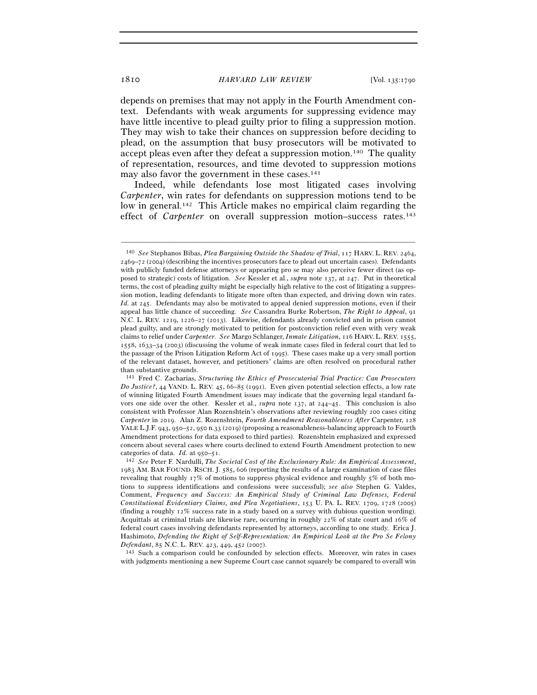depends on premises that may not apply in the Fourth Amendment context. Defendants with weak arguments for suppressing evidence may have little incentive to plead guilty prior to filing a suppression motion. They may wish to take their chances on suppression before deciding to plead, on the assumption that busy prosecutors will be motivated to accept pleas even after they defeat a suppression motion.140 The quality of representation, resources, and time devoted to suppression motions may also favor the government in these cases.141

Indeed, while defendants lose most litigated cases involving *Carpenter*, win rates for defendants on suppression motions tend to be low in general.142 This Article makes no empirical claim regarding the effect of *Carpenter* on overall suppression motion–success rates.<sup>143</sup>

–––––––––––––––––––––––––––––––––––––––––––––––––––––––––––––

<sup>143</sup> Such a comparison could be confounded by selection effects. Moreover, win rates in cases with judgments mentioning a new Supreme Court case cannot squarely be compared to overall win

<sup>140</sup> *See* Stephanos Bibas, *Plea Bargaining Outside the Shadow of Trial*, 117 HARV. L. REV. 2464, 2469–72 (2004) (describing the incentives prosecutors face to plead out uncertain cases). Defendants with publicly funded defense attorneys or appearing pro se may also perceive fewer direct (as opposed to strategic) costs of litigation. *See* Kessler et al., *supra* note 137, at 247. Put in theoretical terms, the cost of pleading guilty might be especially high relative to the cost of litigating a suppression motion, leading defendants to litigate more often than expected, and driving down win rates. *Id.* at 245. Defendants may also be motivated to appeal denied suppression motions, even if their appeal has little chance of succeeding. *See* Cassandra Burke Robertson, *The Right to Appeal*, 91 N.C. L. REV. 1219, 1226–27 (2013). Likewise, defendants already convicted and in prison cannot plead guilty, and are strongly motivated to petition for postconviction relief even with very weak claims to relief under *Carpenter*. *See* Margo Schlanger, *Inmate Litigation*, 116 HARV. L. REV. 1555, 1558, 1633–34 (2003) (discussing the volume of weak inmate cases filed in federal court that led to the passage of the Prison Litigation Reform Act of 1995). These cases make up a very small portion of the relevant dataset, however, and petitioners' claims are often resolved on procedural rather than substantive grounds.

<sup>141</sup> Fred C. Zacharias, *Structuring the Ethics of Prosecutorial Trial Practice: Can Prosecutors Do Justice?*, 44 VAND. L. REV. 45, 66–85 (1991). Even given potential selection effects, a low rate of winning litigated Fourth Amendment issues may indicate that the governing legal standard favors one side over the other. Kessler et al., *supra* note 137, at 244–45. This conclusion is also consistent with Professor Alan Rozenshtein's observations after reviewing roughly 200 cases citing *Carpenter* in 2019. Alan Z. Rozenshtein, *Fourth Amendment Reasonableness After* Carpenter, 128 YALE L.J.F. 943, 950–52, 950 n.33 (2019) (proposing a reasonableness-balancing approach to Fourth Amendment protections for data exposed to third parties). Rozenshtein emphasized and expressed concern about several cases where courts declined to extend Fourth Amendment protection to new categories of data. *Id.* at 950–<sup>51</sup>. 142 *See* Peter F. Nardulli, *The Societal Cost of the Exclusionary Rule: An Empirical Assessment*,

<sup>1983</sup> AM. BAR FOUND. RSCH. J. 585, 606 (reporting the results of a large examination of case files revealing that roughly 17% of motions to suppress physical evidence and roughly 5% of both motions to suppress identifications and confessions were successful); *see also* Stephen G. Valdes, Comment, *Frequency and Success: An Empirical Study of Criminal Law Defenses, Federal Constitutional Evidentiary Claims, and Plea Negotiations*, 153 U. PA. L. REV. 1709, 1728 (2005) (finding a roughly 12% success rate in a study based on a survey with dubious question wording). Acquittals at criminal trials are likewise rare, occurring in roughly 22% of state court and 16% of federal court cases involving defendants represented by attorneys, according to one study. Erica J. Hashimoto, *Defending the Right of Self-Representation: An Empirical Look at the Pro Se Felony*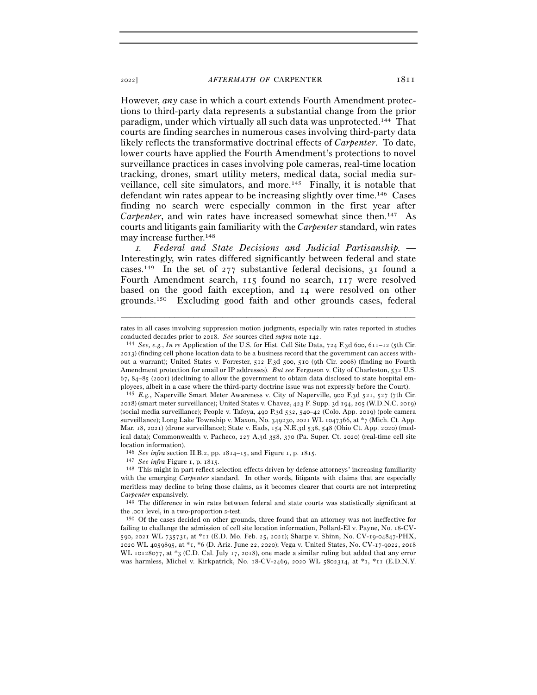However, *any* case in which a court extends Fourth Amendment protections to third-party data represents a substantial change from the prior paradigm, under which virtually all such data was unprotected.144 That courts are finding searches in numerous cases involving third-party data likely reflects the transformative doctrinal effects of *Carpenter*. To date, lower courts have applied the Fourth Amendment's protections to novel surveillance practices in cases involving pole cameras, real-time location tracking, drones, smart utility meters, medical data, social media surveillance, cell site simulators, and more.145 Finally, it is notable that defendant win rates appear to be increasing slightly over time.146 Cases finding no search were especially common in the first year after *Carpenter*, and win rates have increased somewhat since then.147 As courts and litigants gain familiarity with the *Carpenter* standard, win rates may increase further.148

<sup>1</sup>*. Federal and State Decisions and Judicial Partisanship. —*  Interestingly, win rates differed significantly between federal and state cases.<sup>149</sup> In the set of 277 substantive federal decisions, 31 found a Fourth Amendment search, 115 found no search, 117 were resolved based on the good faith exception, and 14 were resolved on other grounds.150 Excluding good faith and other grounds cases, federal

<sup>147</sup> See infra Figure 1, p. 1815.<br><sup>148</sup> This might in part reflect selection effects driven by defense attorneys' increasing familiarity with the emerging *Carpenter* standard. In other words, litigants with claims that are especially meritless may decline to bring those claims, as it becomes clearer that courts are not interpreting *Carpenter* expansively. 149 The difference in win rates between federal and state courts was statistically significant at

the .001 level, in a two-proportion *z*-test.<br><sup>150</sup> Of the cases decided on other grounds, three found that an attorney was not ineffective for

failing to challenge the admission of cell site location information, Pollard-El v. Payne, No. 18-CV-590, 2021 WL 735731, at \*11 (E.D. Mo. Feb. 25, 2021); Sharpe v. Shinn, No. CV-19-04847-PHX, 2020 WL 4059895, at \*1, \*6 (D. Ariz. June 22, 2020); Vega v. United States, No. CV-17-9022, 2018 WL 10128077, at \*3 (C.D. Cal. July 17, 2018), one made a similar ruling but added that any error was harmless, Michel v. Kirkpatrick, No. 18-CV-2469, 2020 WL 5802314, at \*1, \*11 (E.D.N.Y.

<sup>–––––––––––––––––––––––––––––––––––––––––––––––––––––––––––––</sup> rates in all cases involving suppression motion judgments, especially win rates reported in studies conducted decades prior to 2018. *See* sources cited *supra* note <sup>142</sup>. 144 *See, e.g.*, *In re* Application of the U.S. for Hist. Cell Site Data, 724 F.3d 600, 611–12 (5th Cir.

<sup>2013</sup>) (finding cell phone location data to be a business record that the government can access without a warrant); United States v. Forrester, 512 F.3d 500, 510 (9th Cir. 2008) (finding no Fourth Amendment protection for email or IP addresses). *But see* Ferguson v. City of Charleston, 532 U.S. 67, 84–85 (2001) (declining to allow the government to obtain data disclosed to state hospital employees, albeit in a case where the third-party doctrine issue was not expressly before the Court).

<sup>145</sup> *E.g.*, Naperville Smart Meter Awareness v. City of Naperville, 900 F.3d 521, 527 (7th Cir. 2018) (smart meter surveillance); United States v. Chavez, 423 F. Supp. 3d 194, 205 (W.D.N.C. 2019) (social media surveillance); People v. Tafoya, 490 P.3d 532, 540–42 (Colo. App. 2019) (pole camera surveillance); Long Lake Township v. Maxon, No. 349230, 2021 WL 1047366, at \*7 (Mich. Ct. App. Mar. 18, 2021) (drone surveillance); State v. Eads, 154 N.E.3d 538, 548 (Ohio Ct. App. 2020) (medical data); Commonwealth v. Pacheco, 227 A.3d 358, 370 (Pa. Super. Ct. 2020) (real-time cell site location information).<br> $146$  See infra section II.B.2, pp.  $1814-15$ , and Figure 1, p.  $1815$ .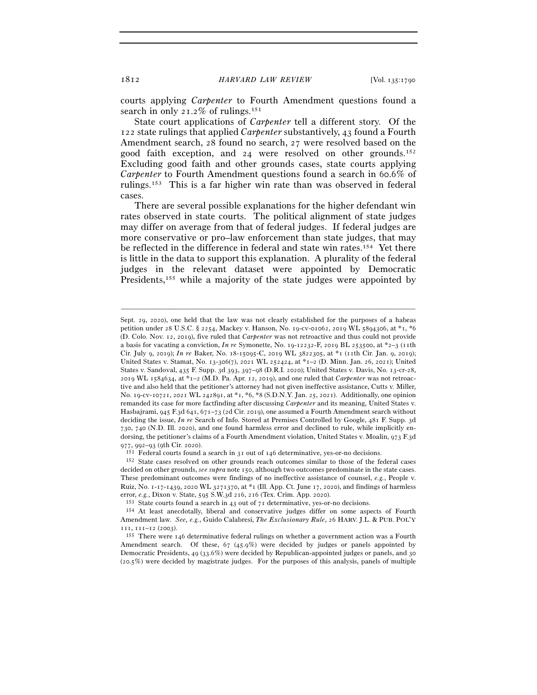courts applying *Carpenter* to Fourth Amendment questions found a search in only  $21.2\%$  of rulings.<sup>151</sup>

State court applications of *Carpenter* tell a different story. Of the 122 state rulings that applied *Carpenter* substantively, 43 found a Fourth Amendment search, 28 found no search, 27 were resolved based on the good faith exception, and 24 were resolved on other grounds.152 Excluding good faith and other grounds cases, state courts applying *Carpenter* to Fourth Amendment questions found a search in 60.6% of rulings.153 This is a far higher win rate than was observed in federal cases.

There are several possible explanations for the higher defendant win rates observed in state courts. The political alignment of state judges may differ on average from that of federal judges. If federal judges are more conservative or pro–law enforcement than state judges, that may be reflected in the difference in federal and state win rates.154 Yet there is little in the data to support this explanation. A plurality of the federal judges in the relevant dataset were appointed by Democratic Presidents,<sup>155</sup> while a majority of the state judges were appointed by

Sept. 29, 2020), one held that the law was not clearly established for the purposes of a habeas petition under 28 U.S.C. § 2254, Mackey v. Hanson, No. 19-cv-01062, 2019 WL 5894306, at \*1, \*6 (D. Colo. Nov. 12, 2019), five ruled that *Carpenter* was not retroactive and thus could not provide a basis for vacating a conviction, *In re* Symonette, No. 19-12232-F, 2019 BL 253500, at \*2–3 (11th Cir. July 9, 2019); *In re* Baker, No. 18-15095-C, 2019 WL 3822305, at \*1 (11th Cir. Jan. 9, 2019); United States v. Stamat, No. 13-306(7), 2021 WL 252424, at \*1–2 (D. Minn. Jan. 26, 2021); United States v. Sandoval, 435 F. Supp. 3d 393, 397–98 (D.R.I. 2020); United States v. Davis, No. 13-cr-28, 2019 WL 1584634, at \*1–2 (M.D. Pa. Apr. 12, 2019), and one ruled that *Carpenter* was not retroactive and also held that the petitioner's attorney had not given ineffective assistance, Cutts v. Miller, No. 19-cv-10721, 2021 WL 242891, at \*1, \*6, \*8 (S.D.N.Y. Jan. 25, 2021). Additionally, one opinion remanded its case for more factfinding after discussing *Carpenter* and its meaning, United States v. Hasbajrami, 945 F.3d 641, 671–73 (2d Cir. 2019), one assumed a Fourth Amendment search without deciding the issue, *In re* Search of Info. Stored at Premises Controlled by Google, 481 F. Supp. 3d 730, 740 (N.D. Ill. 2020), and one found harmless error and declined to rule, while implicitly endorsing, the petitioner's claims of a Fourth Amendment violation, United States v. Moalin, 973 F.3d 977, 992–93 (9th Cir. 2020). 151 Federal courts found a search in 31 out of 146 determinative, yes-or-no decisions.<br><sup>152</sup> State cases resolved on other grounds reach outcomes similar to those of the federal cases

decided on other grounds, *see supra* note 150, although two outcomes predominate in the state cases. These predominant outcomes were findings of no ineffective assistance of counsel, *e.g.*, People v. Ruiz, No. 1-17-1439, 2020 WL 3271370, at  $*_1$  (Ill. App. Ct. June 17, 2020), and findings of harmless error, e.g., Dixon v. State, 595 S.W.3d 216, 216 (Tex. Crim. App. 2020).<br><sup>153</sup> State courts found a search in 43 out of 71 determinative, yes-or-no decisions.<br><sup>154</sup> At least anecdotally, liberal and conservative judges di

Amendment law. *See, e.g.*, Guido Calabresi, *The Exclusionary Rule*, 26 HARV. J.L. & PUB. POL'Y

<sup>111, 111–12 (2003). 155</sup> There were 146 determinative federal rulings on whether a government action was a Fourth Amendment search. Of these, 67 (45.9%) were decided by judges or panels appointed by Democratic Presidents, 49 (33.6%) were decided by Republican-appointed judges or panels, and 30 (20.5%) were decided by magistrate judges. For the purposes of this analysis, panels of multiple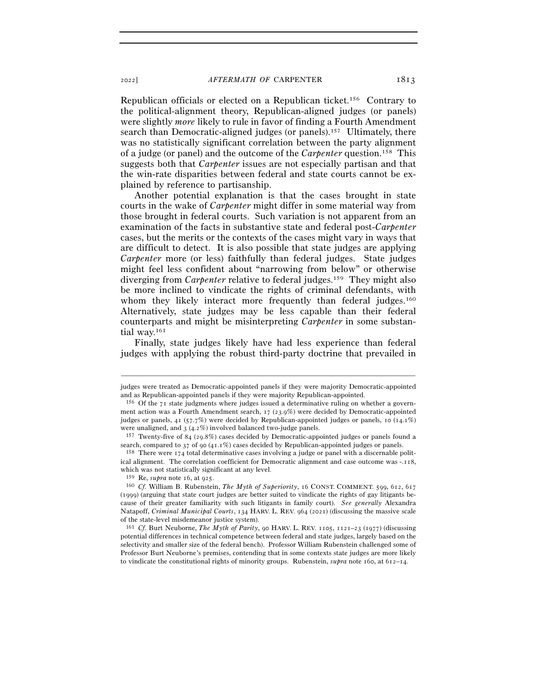Republican officials or elected on a Republican ticket.156 Contrary to the political-alignment theory, Republican-aligned judges (or panels) were slightly *more* likely to rule in favor of finding a Fourth Amendment search than Democratic-aligned judges (or panels).157 Ultimately, there was no statistically significant correlation between the party alignment of a judge (or panel) and the outcome of the *Carpenter* question.158 This suggests both that *Carpenter* issues are not especially partisan and that the win-rate disparities between federal and state courts cannot be explained by reference to partisanship.

Another potential explanation is that the cases brought in state courts in the wake of *Carpenter* might differ in some material way from those brought in federal courts. Such variation is not apparent from an examination of the facts in substantive state and federal post-*Carpenter* cases, but the merits or the contexts of the cases might vary in ways that are difficult to detect. It is also possible that state judges are applying *Carpenter* more (or less) faithfully than federal judges. State judges might feel less confident about "narrowing from below" or otherwise diverging from *Carpenter* relative to federal judges.<sup>159</sup> They might also be more inclined to vindicate the rights of criminal defendants, with whom they likely interact more frequently than federal judges.<sup>160</sup> Alternatively, state judges may be less capable than their federal counterparts and might be misinterpreting *Carpenter* in some substantial way.161

Finally, state judges likely have had less experience than federal judges with applying the robust third-party doctrine that prevailed in

ical alignment. The correlation coefficient for Democratic alignment and case outcome was -.118, which was not statistically significant at any level.

<sup>–––––––––––––––––––––––––––––––––––––––––––––––––––––––––––––</sup> judges were treated as Democratic-appointed panels if they were majority Democratic-appointed and as Republican-appointed panels if they were majority Republican-appointed.<br><sup>156</sup> Of the 71 state judgments where judges issued a determinative ruling on whether a govern-

ment action was a Fourth Amendment search, 17 (23.9%) were decided by Democratic-appointed judges or panels, 41 (57.7%) were decided by Republican-appointed judges or panels, 10 (14.1%) were unaligned, and 3 (4.2%) involved balanced two-judge panels.<br><sup>157</sup> Twenty-five of 84 (29.8%) cases decided by Democratic-appointed judges or panels found a

search, compared to 37 of 90 (41.1%) cases decided by Republican-appointed judges or panels.<br><sup>158</sup> There were 174 total determinative cases involving a judge or panel with a discernable polit-

<sup>159</sup> Re, *supra* note 16, at <sup>925</sup>. 160 *Cf.* William B. Rubenstein, *The Myth of Superiority*, 16 CONST. COMMENT. 599, 612, <sup>617</sup> (1999) (arguing that state court judges are better suited to vindicate the rights of gay litigants because of their greater familiarity with such litigants in family court). *See generally* Alexandra Natapoff, *Criminal Municipal Courts*, 134 HARV. L. REV. 964 (2021) (discussing the massive scale of the state-level misdemeanor justice system).

<sup>161</sup> *Cf.* Burt Neuborne, *The Myth of Parity*, 90 HARV. L. REV. 1105, 1121–23 (1977) (discussing potential differences in technical competence between federal and state judges, largely based on the selectivity and smaller size of the federal bench). Professor William Rubenstein challenged some of Professor Burt Neuborne's premises, contending that in some contexts state judges are more likely to vindicate the constitutional rights of minority groups. Rubenstein, *supra* note 160, at 612–14.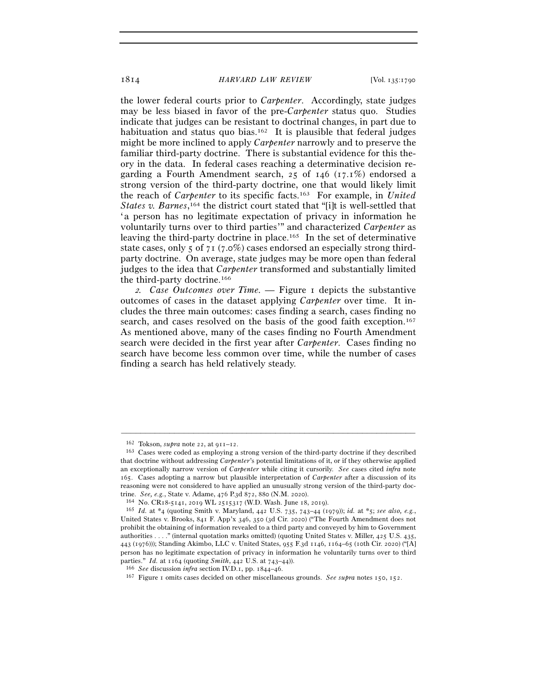the lower federal courts prior to *Carpenter*. Accordingly, state judges may be less biased in favor of the pre-*Carpenter* status quo. Studies indicate that judges can be resistant to doctrinal changes, in part due to habituation and status quo bias.<sup>162</sup> It is plausible that federal judges might be more inclined to apply *Carpenter* narrowly and to preserve the familiar third-party doctrine. There is substantial evidence for this theory in the data. In federal cases reaching a determinative decision regarding a Fourth Amendment search, 25 of 146 (17.1%) endorsed a strong version of the third-party doctrine, one that would likely limit the reach of *Carpenter* to its specific facts.163 For example, in *United*  States v. Barnes,<sup>164</sup> the district court stated that "[i]t is well-settled that 'a person has no legitimate expectation of privacy in information he voluntarily turns over to third parties'" and characterized *Carpenter* as leaving the third-party doctrine in place.165 In the set of determinative state cases, only  $\zeta$  of  $\zeta$  (7.0%) cases endorsed an especially strong thirdparty doctrine. On average, state judges may be more open than federal judges to the idea that *Carpenter* transformed and substantially limited the third-party doctrine.166

<sup>2</sup>*. Case Outcomes over Time. —* Figure 1 depicts the substantive outcomes of cases in the dataset applying *Carpenter* over time. It includes the three main outcomes: cases finding a search, cases finding no search, and cases resolved on the basis of the good faith exception.167 As mentioned above, many of the cases finding no Fourth Amendment search were decided in the first year after *Carpenter*. Cases finding no search have become less common over time, while the number of cases finding a search has held relatively steady.

<sup>&</sup>lt;sup>162</sup> Tokson, *supra* note 22, at  $911-12$ .<br><sup>163</sup> Cases were coded as employing a strong version of the third-party doctrine if they described that doctrine without addressing *Carpenter*'s potential limitations of it, or if they otherwise applied an exceptionally narrow version of *Carpenter* while citing it cursorily. *See* cases cited *infra* note 165. Cases adopting a narrow but plausible interpretation of *Carpenter* after a discussion of its reasoning were not considered to have applied an unusually strong version of the third-party doctrine. See, e.g., State v. Adame, 476 P.3d 872, 880 (N.M. 2020).<br><sup>164</sup> No. CR18-5141, 2019 WL 2515317 (W.D. Wash. June 18, 2019).<br><sup>165</sup> Id. at \*4 (quoting Smith v. Maryland, 442 U.S. 735, 743–44 (1979)); *id.* at \*5; see a

United States v. Brooks, 841 F. App'x 346, 350 (3d Cir. 2020) ("The Fourth Amendment does not prohibit the obtaining of information revealed to a third party and conveyed by him to Government authorities . . . ." (internal quotation marks omitted) (quoting United States v. Miller, 425 U.S. 435, 443 (1976))); Standing Akimbo, LLC v. United States, 955 F.3d 1146, 1164–65 (10th Cir. 2020) ("[A] person has no legitimate expectation of privacy in information he voluntarily turns over to third parties." *Id.* at 1164 (quoting *Smith*, 442 U.S. at 743–44)).<br><sup>166</sup> *See* discussion *infra* section IV.D.1, pp. 1844–46.<br><sup>167</sup> Figure 1 omits cases decided on other miscellaneous grounds. *See supra* notes 150, 152.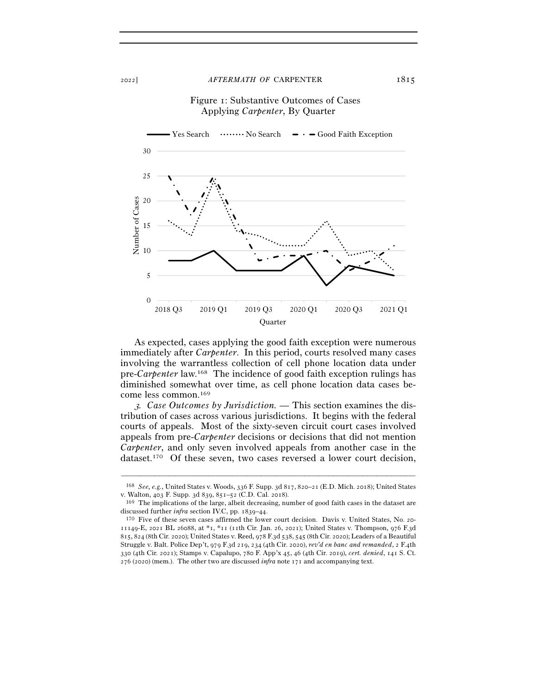## Figure 1: Substantive Outcomes of Cases Applying *Carpenter*, By Quarter



As expected, cases applying the good faith exception were numerous immediately after *Carpenter*. In this period, courts resolved many cases involving the warrantless collection of cell phone location data under pre-*Carpenter* law.168 The incidence of good faith exception rulings has diminished somewhat over time, as cell phone location data cases become less common.169

3*. Case Outcomes by Jurisdiction. —* This section examines the distribution of cases across various jurisdictions. It begins with the federal courts of appeals. Most of the sixty-seven circuit court cases involved appeals from pre-*Carpenter* decisions or decisions that did not mention *Carpenter*, and only seven involved appeals from another case in the dataset.170 Of these seven, two cases reversed a lower court decision,

<sup>–––––––––––––––––––––––––––––––––––––––––––––––––––––––––––––</sup> <sup>168</sup> *See, e.g.*, United States v. Woods, 336 F. Supp. 3d 817, 820–21 (E.D. Mich. 2018); United States v. Walton,  $403$  F. Supp. 3d 839, 851–52 (C.D. Cal. 2018).<br><sup>169</sup> The implications of the large, albeit decreasing, number of good faith cases in the dataset are

discussed further *infra* section IV.C, pp. 1839–44.<br><sup>170</sup> Five of these seven cases affirmed the lower court decision. Davis v. United States, No. 20-11149-E, 2021 BL 26088, at \*1, \*11 (11th Cir. Jan. 26, 2021); United States v. Thompson, 976 F.3d 815, 824 (8th Cir. 2020); United States v. Reed, 978 F.3d 538, 545 (8th Cir. 2020); Leaders of a Beautiful Struggle v. Balt. Police Dep't, 979 F.3d 219, 234 (4th Cir. 2020), *rev'd en banc and remanded*, 2 F.4th 330 (4th Cir. 2021); Stamps v. Capalupo, 780 F. App'x 45, 46 (4th Cir. 2019), *cert. denied*, 141 S. Ct. 276 (2020) (mem.). The other two are discussed *infra* note 171 and accompanying text.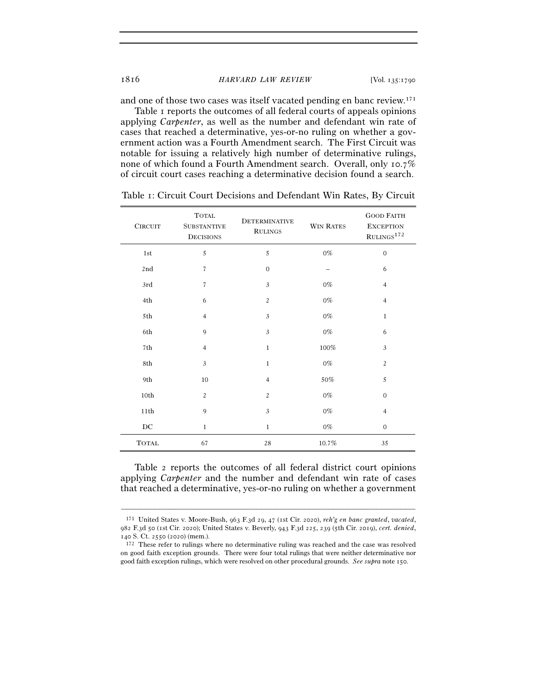and one of those two cases was itself vacated pending en banc review.171

Table 1 reports the outcomes of all federal courts of appeals opinions applying *Carpenter*, as well as the number and defendant win rate of cases that reached a determinative, yes-or-no ruling on whether a government action was a Fourth Amendment search. The First Circuit was notable for issuing a relatively high number of determinative rulings, none of which found a Fourth Amendment search. Overall, only 10.7% of circuit court cases reaching a determinative decision found a search.

| ${\it CIRCUIT}$  | <b>TOTAL</b><br><b>SUBSTANTIVE</b><br><b>DECISIONS</b> | <b>DETERMINATIVE</b><br><b>RULINGS</b> | <b>WIN RATES</b> | <b>GOOD FAITH</b><br><b>EXCEPTION</b><br>$\mathrm{RULINGS}^{172}$ |
|------------------|--------------------------------------------------------|----------------------------------------|------------------|-------------------------------------------------------------------|
| 1st              | $\sqrt{5}$                                             | 5                                      | $0\%$            | $\mathbf{0}$                                                      |
| 2nd              | $\overline{7}$                                         | $\mathbf 0$                            |                  | 6                                                                 |
| 3rd              | $\overline{7}$                                         | 3                                      | $0\%$            | $\overline{4}$                                                    |
| 4th              | 6                                                      | $\overline{c}$                         | $0\%$            | $\overline{4}$                                                    |
| 5th              | $\overline{4}$                                         | $\mathfrak{Z}$                         | $0\%$            | $\mathbf{1}$                                                      |
| 6th              | 9                                                      | 3                                      | $0\%$            | 6                                                                 |
| 7th              | $\overline{4}$                                         | $\mathbf{1}$                           | 100%             | 3                                                                 |
| 8th              | $\mathfrak{Z}$                                         | $\mathbf 1$                            | $0\%$            | $\overline{c}$                                                    |
| 9th              | 10                                                     | $\overline{4}$                         | 50%              | 5                                                                 |
| 10th             | $\overline{2}$                                         | $\overline{c}$                         | $0\%$            | $\mathbf{0}$                                                      |
| 11th             | 9                                                      | 3                                      | $0\%$            | $\overline{4}$                                                    |
| $_{\mathrm{DC}}$ | $1\,$                                                  | $\mathbf{1}$                           | $0\%$            | $\overline{0}$                                                    |
| <b>TOTAL</b>     | 67                                                     | 28                                     | 10.7%            | 35                                                                |

Table 1: Circuit Court Decisions and Defendant Win Rates, By Circuit

Table 2 reports the outcomes of all federal district court opinions applying *Carpenter* and the number and defendant win rate of cases that reached a determinative, yes-or-no ruling on whether a government

<sup>171</sup> United States v. Moore-Bush, 963 F.3d 29, 47 (1st Cir. 2020), *reh'g en banc granted*, *vacated*, 982 F.3d 50 (1st Cir. 2020); United States v. Beverly, 943 F.3d 225, 239 (5th Cir. 2019), *cert. denied*, <sup>140</sup> S. Ct. 2550 (<sup>2020</sup>) (mem.). 172 These refer to rulings where no determinative ruling was reached and the case was resolved

on good faith exception grounds. There were four total rulings that were neither determinative nor good faith exception rulings, which were resolved on other procedural grounds. *See supra* note 150.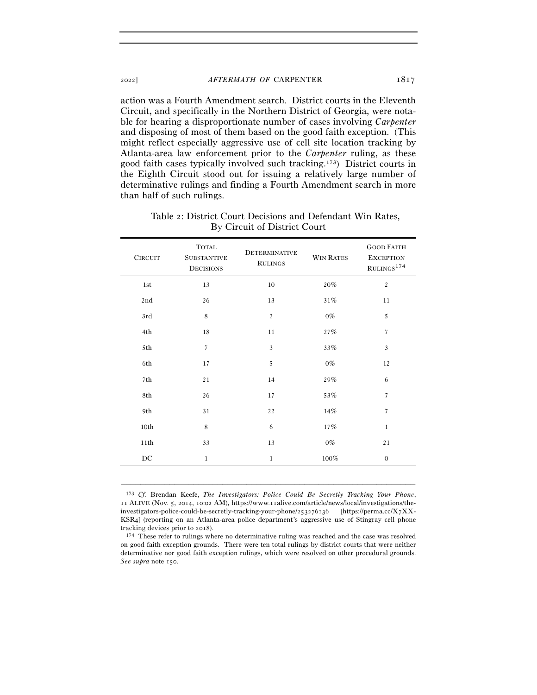action was a Fourth Amendment search. District courts in the Eleventh Circuit, and specifically in the Northern District of Georgia, were notable for hearing a disproportionate number of cases involving *Carpenter* and disposing of most of them based on the good faith exception. (This might reflect especially aggressive use of cell site location tracking by Atlanta-area law enforcement prior to the *Carpenter* ruling, as these good faith cases typically involved such tracking.173) District courts in the Eighth Circuit stood out for issuing a relatively large number of determinative rulings and finding a Fourth Amendment search in more than half of such rulings.

| <b>CIRCUIT</b> | <b>TOTAL</b><br><b>SUBSTANTIVE</b><br><b>DECISIONS</b> | <b>DETERMINATIVE</b><br><b>RULINGS</b> | <b>WIN RATES</b> | <b>GOOD FAITH</b><br><b>EXCEPTION</b><br>$\mathrm{RULINGS}^{1\,74}$ |
|----------------|--------------------------------------------------------|----------------------------------------|------------------|---------------------------------------------------------------------|
| 1st            | 13                                                     | 10                                     | 20%              | $\overline{c}$                                                      |
| 2nd            | 26                                                     | 13                                     | 31%              | 11                                                                  |
| 3rd            | 8                                                      | $\overline{c}$                         | $0\%$            | 5                                                                   |
| 4th            | 18                                                     | 11                                     | 27%              | $\overline{7}$                                                      |
| 5th            | $\overline{7}$                                         | 3                                      | 33%              | $\mathfrak{Z}$                                                      |
| 6th            | 17                                                     | 5                                      | $0\%$            | 12                                                                  |
| 7th            | 21                                                     | 14                                     | 29%              | 6                                                                   |
| 8th            | 26                                                     | 17                                     | 53%              | $\overline{7}$                                                      |
| 9th            | 31                                                     | 22                                     | 14%              | 7                                                                   |
| 10th           | 8                                                      | 6                                      | 17%              | $\mathbf{1}$                                                        |
| 11th           | 33                                                     | 13                                     | $0\%$            | 21                                                                  |
| DC             | $\mathbf{1}$                                           | $\mathbf{1}$                           | $100\%$          | $\mathbf{0}$                                                        |
|                |                                                        |                                        |                  |                                                                     |

Table 2: District Court Decisions and Defendant Win Rates, By Circuit of District Court

173 *Cf.* Brendan Keefe, *The Investigators: Police Could Be Secretly Tracking Your Phone*, 11 ALIVE (Nov. 5, 2014, 10:02 AM), https://www.11alive.com/article/news/local/investigations/theinvestigators-police-could-be-secretly-tracking-your-phone/253276136 [https://perma.cc/X7XX-KSR4] (reporting on an Atlanta-area police department's aggressive use of Stingray cell phone

–––––––––––––––––––––––––––––––––––––––––––––––––––––––––––––

tracking devices prior to 2018).  $174$  These refer to rulings where no determinative ruling was reached and the case was resolved on good faith exception grounds. There were ten total rulings by district courts that were neither determinative nor good faith exception rulings, which were resolved on other procedural grounds. *See supra* note 150.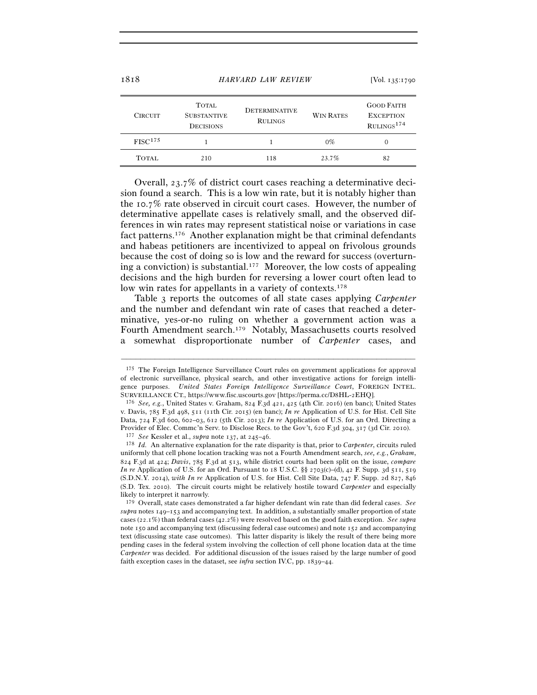| 1010                | HANYAND LAW NEVIEW                                     | $1 \text{VOL}$ . 135.1790              |                  |                                                                |
|---------------------|--------------------------------------------------------|----------------------------------------|------------------|----------------------------------------------------------------|
| <b>CIRCUIT</b>      | <b>TOTAL</b><br><b>SUBSTANTIVE</b><br><b>DECISIONS</b> | <b>DETERMINATIVE</b><br><b>RULINGS</b> | <b>WIN RATES</b> | <b>GOOD FAITH</b><br><b>EXCEPTION</b><br>RUINGS <sup>174</sup> |
| FISC <sup>175</sup> |                                                        |                                        | $0\%$            |                                                                |
| <b>TOTAL</b>        | 210                                                    | 118                                    | 23.7%            | 82                                                             |

Overall, 23.7% of district court cases reaching a determinative decision found a search. This is a low win rate, but it is notably higher than the 10.7% rate observed in circuit court cases. However, the number of determinative appellate cases is relatively small, and the observed differences in win rates may represent statistical noise or variations in case fact patterns.176 Another explanation might be that criminal defendants and habeas petitioners are incentivized to appeal on frivolous grounds because the cost of doing so is low and the reward for success (overturning a conviction) is substantial.<sup>177</sup> Moreover, the low costs of appealing decisions and the high burden for reversing a lower court often lead to low win rates for appellants in a variety of contexts.<sup>178</sup>

Table 3 reports the outcomes of all state cases applying *Carpenter* and the number and defendant win rate of cases that reached a determinative, yes-or-no ruling on whether a government action was a Fourth Amendment search.179 Notably, Massachusetts courts resolved a somewhat disproportionate number of *Carpenter* cases, and

<sup>175</sup> The Foreign Intelligence Surveillance Court rules on government applications for approval of electronic surveillance, physical search, and other investigative actions for foreign intelligence purposes. *United States Foreign Intelligence Surveillance Court*, FOREIGN INTEL. SURVEILLANCE CT., https://www.fisc.uscourts.gov [https://perma.cc/D8HL-<sup>2</sup>EHQ]. 176 *See, e.g.*, United States v. Graham, 824 F.3d 421, 425 (4th Cir. 2016) (en banc); United States

v. Davis, 785 F.3d 498, 511 (11th Cir. 2015) (en banc); *In re* Application of U.S. for Hist. Cell Site Data, 724 F.3d 600, 602–03, 612 (5th Cir. 2013); *In re* Application of U.S. for an Ord. Directing a Provider of Elec. Commc'n Serv. to Disclose Recs. to the Gov't, 620 F.3d 304, 317 (3d Cir. 2010).<br><sup>177</sup> See Kessler et al., *supra* note 137, at 245–46.<br><sup>178</sup> Id. An alternative explanation for the rate disparity is that,

uniformly that cell phone location tracking was not a Fourth Amendment search, *see, e.g.*, *Graham*, 824 F.3d at 424; *Davis*, 785 F.3d at 513, while district courts had been split on the issue, *compare In re* Application of U.S. for an Ord. Pursuant to 18 U.S.C. §§ 2703(c)–(d), 42 F. Supp. 3d 511, 519 (S.D.N.Y. 2014), *with In re* Application of U.S. for Hist. Cell Site Data, 747 F. Supp. 2d 827, 846 (S.D. Tex. 2010). The circuit courts might be relatively hostile toward *Carpenter* and especially likely to interpret it narrowly.

<sup>179</sup> Overall, state cases demonstrated a far higher defendant win rate than did federal cases. *See supra* notes 149–153 and accompanying text. In addition, a substantially smaller proportion of state cases (22.1%) than federal cases (42.2%) were resolved based on the good faith exception. *See supra* note 150 and accompanying text (discussing federal case outcomes) and note 152 and accompanying text (discussing state case outcomes). This latter disparity is likely the result of there being more pending cases in the federal system involving the collection of cell phone location data at the time *Carpenter* was decided. For additional discussion of the issues raised by the large number of good faith exception cases in the dataset, see *infra* section IV.C, pp. 1839–44.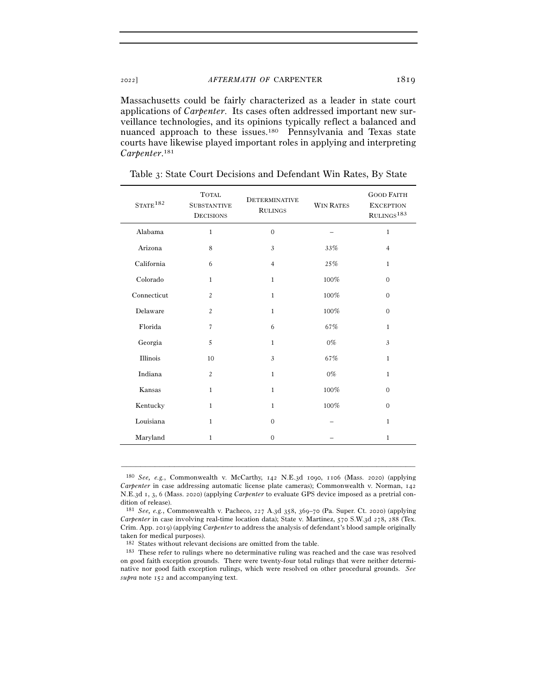Massachusetts could be fairly characterized as a leader in state court applications of *Carpenter*. Its cases often addressed important new surveillance technologies, and its opinions typically reflect a balanced and nuanced approach to these issues.<sup>180</sup> Pennsylvania and Texas state courts have likewise played important roles in applying and interpreting *Carpenter*. 181

| STATE <sup>182</sup> | <b>TOTAL</b><br><b>DETERMINATIVE</b><br><b>SUBSTANTIVE</b><br><b>RULINGS</b><br><b>DECISIONS</b> |                | <b>WIN RATES</b> | <b>GOOD FAITH</b><br><b>EXCEPTION</b><br>$\mathrm{RULINGS}^{183}$ |
|----------------------|--------------------------------------------------------------------------------------------------|----------------|------------------|-------------------------------------------------------------------|
| Alabama              | $\mathbf{1}$                                                                                     | $\overline{0}$ |                  | $\mathbf{1}$                                                      |
| Arizona              | 8                                                                                                | 3              | 33%              | $\overline{4}$                                                    |
| California           | 6                                                                                                | $\overline{4}$ | 25%              | $\mathbf{1}$                                                      |
| Colorado             | $\mathbf{1}$                                                                                     | $\mathbf{1}$   | $100\%$          | $\overline{0}$                                                    |
| Connecticut          | $\overline{c}$                                                                                   | $\mathbf{1}$   | 100%             | $\mathbf{0}$                                                      |
| Delaware             | $\overline{c}$                                                                                   | $1\,$          | 100%             | $\mathbf{0}$                                                      |
| Florida              | $\overline{7}$                                                                                   | 6              | 67%              | $\mathbf{1}$                                                      |
| Georgia              | 5                                                                                                | $\mathbf{1}$   | $0\%$            | $\mathfrak{Z}$                                                    |
| Illinois             | 10                                                                                               | 3              | 67%              | $\mathbf{1}$                                                      |
| Indiana              | $\overline{c}$                                                                                   | $\mathbf{1}$   | $0\%$            | $\mathbf{1}$                                                      |
| Kansas               | $\mathbf{1}$                                                                                     | $\mathbf{1}$   | 100%             | $\overline{0}$                                                    |
| Kentucky             | $\mathbf{1}$                                                                                     | $\mathbf{1}$   | 100%             | $\mathbf{0}$                                                      |
| Louisiana            | $\mathbf{1}$                                                                                     | $\mathbf{0}$   |                  | $\mathbf{1}$                                                      |
| Maryland             | $\mathbf{1}$                                                                                     | $\mathbf{0}$   |                  | $\mathbf{1}$                                                      |

Table 3: State Court Decisions and Defendant Win Rates, By State

<sup>180</sup> *See, e.g.*, Commonwealth v. McCarthy, 142 N.E.3d 1090, 1106 (Mass. 2020) (applying *Carpenter* in case addressing automatic license plate cameras); Commonwealth v. Norman, 142 N.E.3d 1, 3, 6 (Mass. 2020) (applying *Carpenter* to evaluate GPS device imposed as a pretrial condition of release).

<sup>181</sup> *See, e.g.*, Commonwealth v. Pacheco, 227 A.3d 358, 369–70 (Pa. Super. Ct. 2020) (applying *Carpenter* in case involving real-time location data); State v. Martinez, 570 S.W.3d 278, 288 (Tex. Crim. App. 2019) (applying *Carpenter* to address the analysis of defendant's blood sample originally taken for medical purposes).  $$^{182}$$  States without relevant decisions are omitted from the table.

 $^{183}\,$  These refer to rulings where no determinative ruling was reached and the case was resolved on good faith exception grounds. There were twenty-four total rulings that were neither determinative nor good faith exception rulings, which were resolved on other procedural grounds. *See supra* note 152 and accompanying text.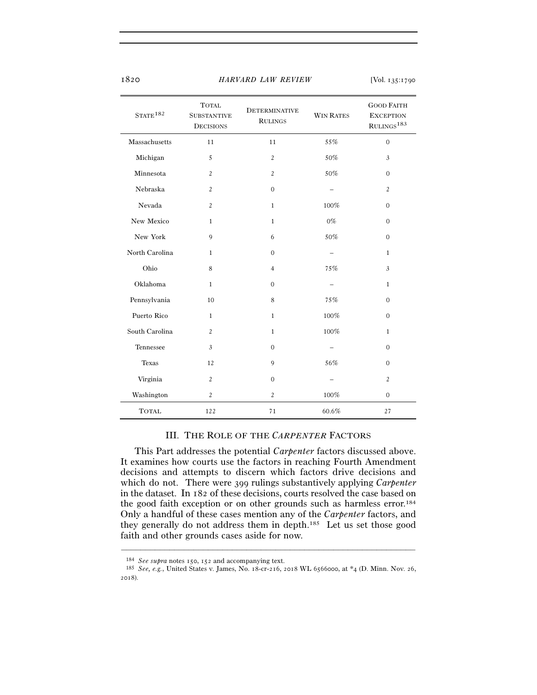| STATE <sup>182</sup>           | <b>TOTAL</b><br><b>SUBSTANTIVE</b><br><b>DECISIONS</b> | <b>DETERMINATIVE</b><br><b>RULINGS</b> | <b>WIN RATES</b> | <b>GOOD FAITH</b><br><b>EXCEPTION</b><br>RULINGS <sup>183</sup> |
|--------------------------------|--------------------------------------------------------|----------------------------------------|------------------|-----------------------------------------------------------------|
| Massachusetts                  | 11                                                     | 11                                     | 55%              | $\overline{0}$                                                  |
| Michigan                       | 5                                                      | $\overline{2}$                         | 50%              | 3                                                               |
| Minnesota                      | $\overline{c}$                                         | $\overline{2}$                         | 50%              | $\overline{0}$                                                  |
| Nebraska                       | $\overline{c}$                                         | $\overline{0}$                         |                  | $\overline{c}$                                                  |
| Nevada                         | $\overline{c}$                                         | $\mathbf{1}$                           | 100%             | $\overline{0}$                                                  |
| New Mexico                     | $\mathbf{1}$                                           | $\mathbf{1}$                           | $0\%$            | $\overline{0}$                                                  |
| New York<br>9                  |                                                        | 6                                      | 50%              | $\overline{0}$                                                  |
| North Carolina<br>$\mathbf{1}$ |                                                        | $\mathbf{0}$                           |                  | $\mathbf{1}$                                                    |
| Ohio                           | 8                                                      | $\overline{4}$                         | 75%              | 3                                                               |
| Oklahoma                       | $\mathbf{1}$                                           | $\overline{0}$                         |                  | $\mathbf{1}$                                                    |
| Pennsylvania                   | 10                                                     | 8                                      | 75%              | $\overline{0}$                                                  |
| Puerto Rico                    | $\mathbf{1}$                                           | $\mathbf{1}$                           | 100%             | $\overline{0}$                                                  |
| South Carolina                 | $\overline{c}$                                         | $\mathbf{1}$                           | 100%             | $\mathbf{1}$                                                    |
| Tennessee                      | 3                                                      |                                        |                  | $\overline{0}$                                                  |
| <b>Texas</b>                   | 12                                                     | 9                                      | 56%              | $\overline{0}$                                                  |
| Virginia                       | $\overline{c}$                                         | $\mathbf{0}$                           |                  | $\overline{c}$                                                  |
| Washington                     | $\overline{c}$                                         | $\overline{2}$                         | $100\%$          | $\overline{0}$                                                  |
| <b>TOTAL</b>                   | 122                                                    | 71                                     | 60.6%            | 27                                                              |

## III. THE ROLE OF THE *CARPENTER* FACTORS

This Part addresses the potential *Carpenter* factors discussed above. It examines how courts use the factors in reaching Fourth Amendment decisions and attempts to discern which factors drive decisions and which do not. There were 399 rulings substantively applying *Carpenter* in the dataset. In 182 of these decisions, courts resolved the case based on the good faith exception or on other grounds such as harmless error.<sup>184</sup> Only a handful of these cases mention any of the *Carpenter* factors, and they generally do not address them in depth.185 Let us set those good faith and other grounds cases aside for now.

<sup>184</sup> *See supra* notes 150, <sup>152</sup> and accompanying text. 185 *See, e.g.*, United States v. James, No. 18-cr-216, 2018 WL 6566000, at \*4 (D. Minn. Nov. 26, 2018).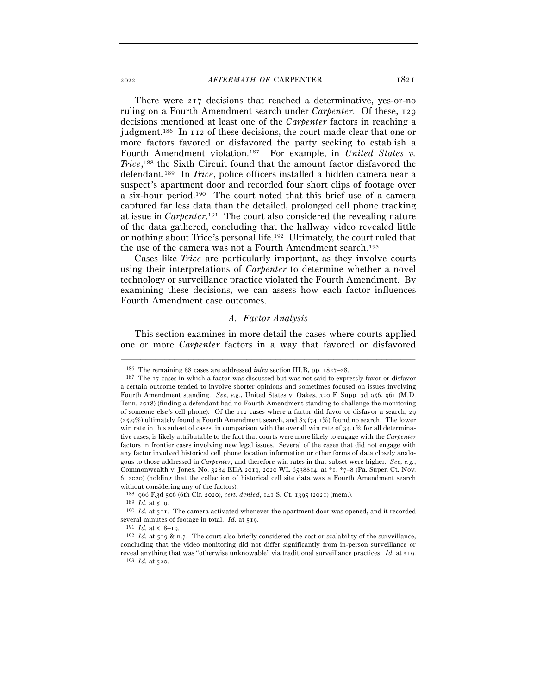There were 217 decisions that reached a determinative, yes-or-no ruling on a Fourth Amendment search under *Carpenter*. Of these, 129 decisions mentioned at least one of the *Carpenter* factors in reaching a judgment.186 In 112 of these decisions, the court made clear that one or more factors favored or disfavored the party seeking to establish a Fourth Amendment violation.187 For example, in *United States v. Trice*, 188 the Sixth Circuit found that the amount factor disfavored the defendant.189 In *Trice*, police officers installed a hidden camera near a suspect's apartment door and recorded four short clips of footage over a six-hour period.190 The court noted that this brief use of a camera captured far less data than the detailed, prolonged cell phone tracking at issue in *Carpenter*. 191 The court also considered the revealing nature of the data gathered, concluding that the hallway video revealed little or nothing about Trice's personal life.192 Ultimately, the court ruled that the use of the camera was not a Fourth Amendment search.193

Cases like *Trice* are particularly important, as they involve courts using their interpretations of *Carpenter* to determine whether a novel technology or surveillance practice violated the Fourth Amendment. By examining these decisions, we can assess how each factor influences Fourth Amendment case outcomes.

## *A. Factor Analysis*

This section examines in more detail the cases where courts applied one or more *Carpenter* factors in a way that favored or disfavored

<sup>&</sup>lt;sup>186</sup> The remaining 88 cases are addressed *infra* section III.B, pp. 1827–28.<br><sup>187</sup> The 17 cases in which a factor was discussed but was not said to expressly favor or disfavor a certain outcome tended to involve shorter opinions and sometimes focused on issues involving Fourth Amendment standing. *See, e.g.*, United States v. Oakes, 320 F. Supp. 3d 956, 961 (M.D. Tenn. 2018) (finding a defendant had no Fourth Amendment standing to challenge the monitoring of someone else's cell phone). Of the 112 cases where a factor did favor or disfavor a search, 29  $(25.9%)$  ultimately found a Fourth Amendment search, and 83 (74.1%) found no search. The lower win rate in this subset of cases, in comparison with the overall win rate of  $34.1\%$  for all determinative cases, is likely attributable to the fact that courts were more likely to engage with the *Carpenter* factors in frontier cases involving new legal issues. Several of the cases that did not engage with any factor involved historical cell phone location information or other forms of data closely analogous to those addressed in *Carpenter*, and therefore win rates in that subset were higher. *See, e.g.*, Commonwealth v. Jones, No. 3284 EDA 2019, 2020 WL 6538814, at \*1, \*7–8 (Pa. Super. Ct. Nov. 6, 2020) (holding that the collection of historical cell site data was a Fourth Amendment search without considering any of the factors).

<sup>188</sup> <sup>966</sup> F.3d 506 (6th Cir. 2020), *cert. denied*, 141 S. Ct. 1395 (<sup>2021</sup>) (mem.). 189 *Id.* at <sup>519</sup>. 190 *Id.* at 511. The camera activated whenever the apartment door was opened, and it recorded several minutes of footage in total. *Id.* at 519.<br><sup>191</sup> *Id.* at 518–19.<br><sup>192</sup> *Id.* at 519 & n.7. The court also briefly considered the cost or scalability of the surveillance,

concluding that the video monitoring did not differ significantly from in-person surveillance or reveal anything that was "otherwise unknowable" via traditional surveillance practices. *Id.* at <sup>519</sup>. 193 *Id.* at 520.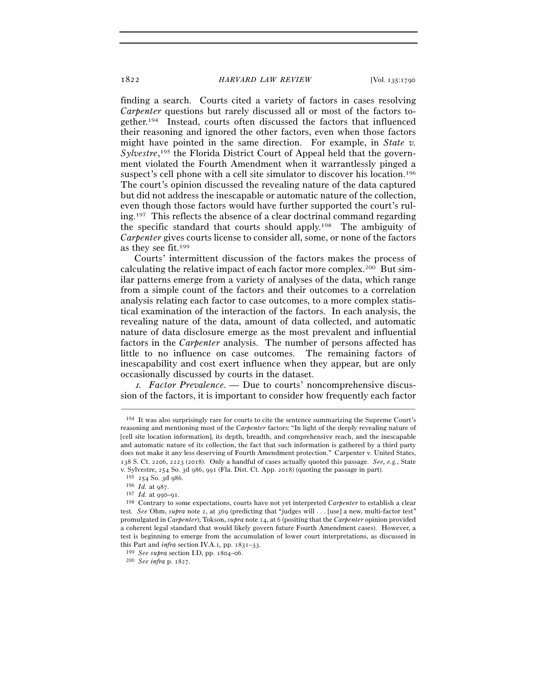finding a search. Courts cited a variety of factors in cases resolving *Carpenter* questions but rarely discussed all or most of the factors together.194 Instead, courts often discussed the factors that influenced their reasoning and ignored the other factors, even when those factors might have pointed in the same direction. For example, in *State v.*  Sylvestre,<sup>195</sup> the Florida District Court of Appeal held that the government violated the Fourth Amendment when it warrantlessly pinged a suspect's cell phone with a cell site simulator to discover his location.<sup>196</sup> The court's opinion discussed the revealing nature of the data captured but did not address the inescapable or automatic nature of the collection, even though those factors would have further supported the court's ruling.197 This reflects the absence of a clear doctrinal command regarding the specific standard that courts should apply.198 The ambiguity of *Carpenter* gives courts license to consider all, some, or none of the factors as they see fit.199

Courts' intermittent discussion of the factors makes the process of calculating the relative impact of each factor more complex.<sup>200</sup> But similar patterns emerge from a variety of analyses of the data, which range from a simple count of the factors and their outcomes to a correlation analysis relating each factor to case outcomes, to a more complex statistical examination of the interaction of the factors. In each analysis, the revealing nature of the data, amount of data collected, and automatic nature of data disclosure emerge as the most prevalent and influential factors in the *Carpenter* analysis. The number of persons affected has little to no influence on case outcomes. The remaining factors of inescapability and cost exert influence when they appear, but are only occasionally discussed by courts in the dataset.

1*. Factor Prevalence. —* Due to courts' noncomprehensive discussion of the factors, it is important to consider how frequently each factor

<sup>194</sup> It was also surprisingly rare for courts to cite the sentence summarizing the Supreme Court's reasoning and mentioning most of the *Carpenter* factors: "In light of the deeply revealing nature of [cell site location information], its depth, breadth, and comprehensive reach, and the inescapable and automatic nature of its collection, the fact that such information is gathered by a third party does not make it any less deserving of Fourth Amendment protection." Carpenter v. United States, 138 S. Ct. 2206, 2223 (2018). Only a handful of cases actually quoted this passage. *See, e.g.*, State v. Sylvestre, 254 So. 3d 986, 991 (Fla. Dist. Ct. App. 2018) (quoting the passage in part).  $^{195}\,$  254 So. 3d 986.

<sup>195</sup> <sup>254</sup> So. 3d <sup>986</sup>. 196 *Id.* at <sup>987</sup>. 197 *Id.* at 990–<sup>91</sup>. 198 Contrary to some expectations, courts have not yet interpreted *Carpenter* to establish a clear test. *See* Ohm, *supra* note 2, at 369 (predicting that "judges will . . . [use] a new, multi-factor test" promulgated in *Carpenter*); Tokson, *supra* note 14, at 6 (positing that the *Carpenter* opinion provided a coherent legal standard that would likely govern future Fourth Amendment cases). However, a test is beginning to emerge from the accumulation of lower court interpretations, as discussed in this Part and *infra* section IV.A.1*,* pp. 1831–<sup>33</sup>. 199 *See supra* section I.D, pp. 1804–<sup>06</sup>. 200 *See infra* p. 1827.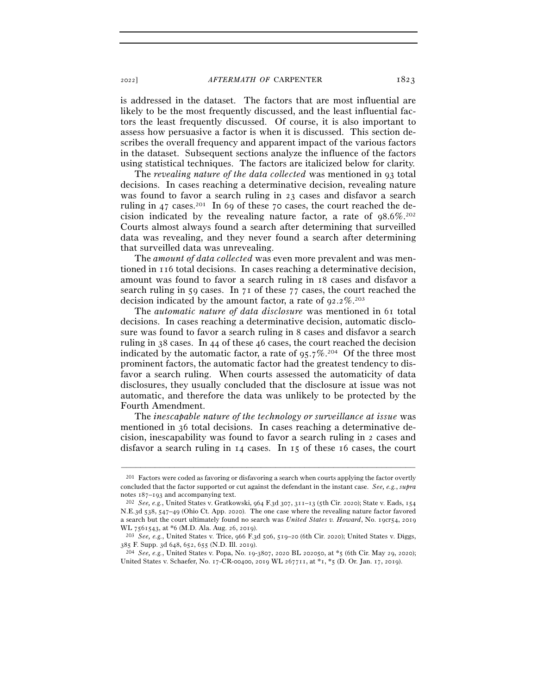is addressed in the dataset. The factors that are most influential are likely to be the most frequently discussed, and the least influential factors the least frequently discussed. Of course, it is also important to assess how persuasive a factor is when it is discussed. This section describes the overall frequency and apparent impact of the various factors in the dataset. Subsequent sections analyze the influence of the factors using statistical techniques. The factors are italicized below for clarity.

The *revealing nature of the data collected* was mentioned in 93 total decisions. In cases reaching a determinative decision, revealing nature was found to favor a search ruling in 23 cases and disfavor a search ruling in 47 cases.<sup>201</sup> In 69 of these 70 cases, the court reached the decision indicated by the revealing nature factor, a rate of 98.6%.202 Courts almost always found a search after determining that surveilled data was revealing, and they never found a search after determining that surveilled data was unrevealing.

The *amount of data collected* was even more prevalent and was mentioned in 116 total decisions. In cases reaching a determinative decision, amount was found to favor a search ruling in 18 cases and disfavor a search ruling in 59 cases. In 71 of these 77 cases, the court reached the decision indicated by the amount factor, a rate of  $92.2\%$ <sup>203</sup>

The *automatic nature of data disclosure* was mentioned in 61 total decisions. In cases reaching a determinative decision, automatic disclosure was found to favor a search ruling in 8 cases and disfavor a search ruling in 38 cases. In 44 of these 46 cases, the court reached the decision indicated by the automatic factor, a rate of  $95.7\%$ <sup>204</sup> Of the three most prominent factors, the automatic factor had the greatest tendency to disfavor a search ruling. When courts assessed the automaticity of data disclosures, they usually concluded that the disclosure at issue was not automatic, and therefore the data was unlikely to be protected by the Fourth Amendment.

The *inescapable nature of the technology or surveillance at issue* was mentioned in 36 total decisions. In cases reaching a determinative decision, inescapability was found to favor a search ruling in 2 cases and disfavor a search ruling in 14 cases. In 15 of these 16 cases, the court

<sup>201</sup> Factors were coded as favoring or disfavoring a search when courts applying the factor overtly concluded that the factor supported or cut against the defendant in the instant case. *See, e.g.*, *supra* notes 187–193 and accompanying text.<br><sup>202</sup> *See, e.g.*, United States v. Gratkowski, 964 F.3d 307, 311–13 (5th Cir. 2020); State v. Eads, 154

N.E.3d 538, 547–49 (Ohio Ct. App. 2020). The one case where the revealing nature factor favored a search but the court ultimately found no search was *United States v. Howard*, No. 19cr54, 2019

WL 7561543, at \*6 (M.D. Ala. Aug. 26, <sup>2019</sup>). 203 *See, e.g.*, United States v. Trice, 966 F.3d 506, 519–20 (6th Cir. 2020); United States v. Diggs, <sup>385</sup> F. Supp. 3d 648, 652, 655 (N.D. Ill. <sup>2019</sup>). 204 *See, e.g.*, United States v. Popa, No. 19-3807, 2020 BL 202050, at \*5 (6th Cir. May 29, 2020);

United States v. Schaefer, No. 17-CR-00400, 2019 WL 267711, at \*1, \*5 (D. Or. Jan. 17, 2019).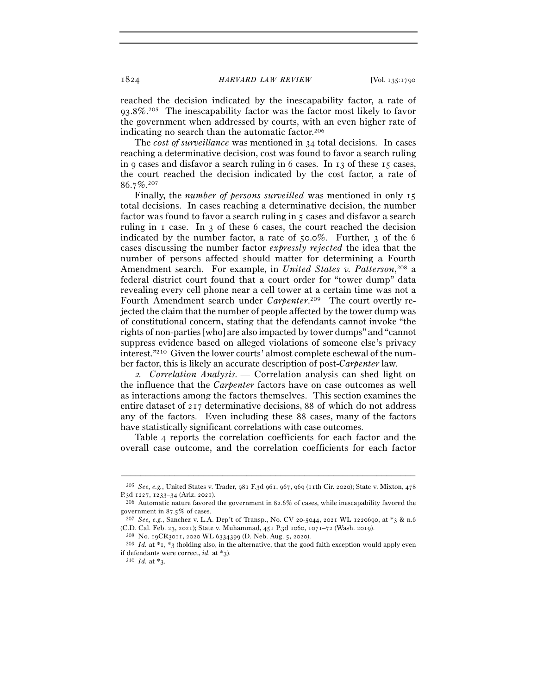reached the decision indicated by the inescapability factor, a rate of 93.8%.205 The inescapability factor was the factor most likely to favor the government when addressed by courts, with an even higher rate of indicating no search than the automatic factor.206

The *cost of surveillance* was mentioned in 34 total decisions. In cases reaching a determinative decision, cost was found to favor a search ruling in 9 cases and disfavor a search ruling in 6 cases. In 13 of these 15 cases, the court reached the decision indicated by the cost factor, a rate of 86.7%.207

Finally, the *number of persons surveilled* was mentioned in only 15 total decisions. In cases reaching a determinative decision, the number factor was found to favor a search ruling in 5 cases and disfavor a search ruling in 1 case. In 3 of these 6 cases, the court reached the decision indicated by the number factor, a rate of 50.0%. Further, 3 of the 6 cases discussing the number factor *expressly rejected* the idea that the number of persons affected should matter for determining a Fourth Amendment search. For example, in *United States v. Patterson*, 208 a federal district court found that a court order for "tower dump" data revealing every cell phone near a cell tower at a certain time was not a Fourth Amendment search under *Carpenter*. 209 The court overtly rejected the claim that the number of people affected by the tower dump was of constitutional concern, stating that the defendants cannot invoke "the rights of non-parties [who] are also impacted by tower dumps" and "cannot suppress evidence based on alleged violations of someone else's privacy interest."210 Given the lower courts' almost complete eschewal of the number factor, this is likely an accurate description of post-*Carpenter* law.

<sup>2</sup>*. Correlation Analysis. —* Correlation analysis can shed light on the influence that the *Carpenter* factors have on case outcomes as well as interactions among the factors themselves. This section examines the entire dataset of 217 determinative decisions, 88 of which do not address any of the factors. Even including these 88 cases, many of the factors have statistically significant correlations with case outcomes.

Table 4 reports the correlation coefficients for each factor and the overall case outcome, and the correlation coefficients for each factor

<sup>–––––––––––––––––––––––––––––––––––––––––––––––––––––––––––––</sup> <sup>205</sup> *See, e.g.*, United States v. Trader, 981 F.3d 961, 967, 969 (11th Cir. 2020); State v. Mixton, 478

P.3d 1227, 1233–34 (Ariz. 2021). <sup>206</sup> Automatic nature favored the government in 82.6% of cases, while inescapability favored the government in 87.5% of cases.

<sup>&</sup>lt;sup>207</sup> *See, e.g.*, Sanchez v. L.A. Dep't of Transp., No. CV 20-5044, 2021 WL 1220690, at \*3 & n.6 (C.D. Cal. Feb. 23, 2021); State v. Muhammad, 451 P.3d 1060, 1071–72 (Wash. 2019).<br><sup>208</sup> No. 19CR3011, 2020 WL 6334399 (D. Neb. Aug. 5, 2020).<br><sup>209</sup> *Id.* at \*1, \*3 (holding also, in the alternative, that the good faith e

if defendants were correct, *id.* at \*3.<br><sup>210</sup> *Id.* at \*3.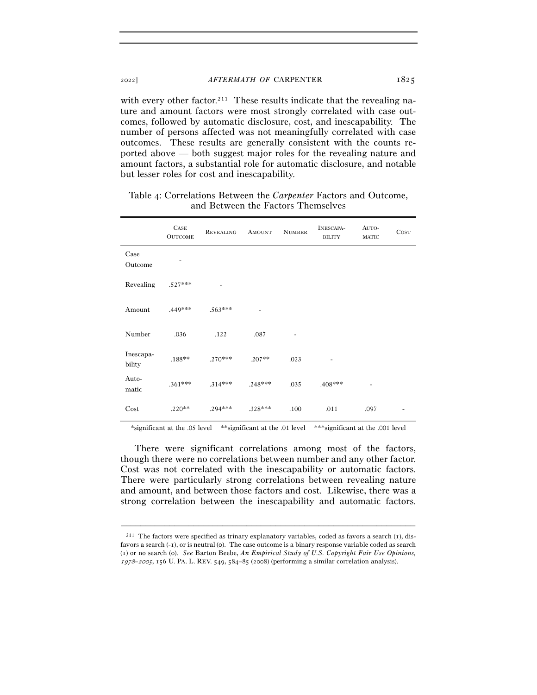with every other factor.<sup>211</sup> These results indicate that the revealing nature and amount factors were most strongly correlated with case outcomes, followed by automatic disclosure, cost, and inescapability. The number of persons affected was not meaningfully correlated with case outcomes. These results are generally consistent with the counts reported above — both suggest major roles for the revealing nature and amount factors, a substantial role for automatic disclosure, and notable but lesser roles for cost and inescapability.

|                     | CASE<br><b>OUTCOME</b> | <b>REVEALING</b> | <b>AMOUNT</b> | <b>NUMBER</b> | INESCAPA-<br><b>BILITY</b> | AUTO-<br>MATIC | COST |
|---------------------|------------------------|------------------|---------------|---------------|----------------------------|----------------|------|
| Case<br>Outcome     |                        |                  |               |               |                            |                |      |
| Revealing           | $.527***$              |                  |               |               |                            |                |      |
| Amount              | .449***                | $.563***$        |               |               |                            |                |      |
| Number              | .036                   | .122             | .087          | Ξ.            |                            |                |      |
| Inescapa-<br>bility | $.188**$               | $.270***$        | $.207**$      | .023          |                            |                |      |
| Auto-<br>matic      | $.361***$              | $.314***$        | $.248***$     | .035          | .408***                    |                |      |
| Cost                | $.220**$               | .294***          | .328***       | .100          | .011                       | .097           |      |

# Table 4: Correlations Between the *Carpenter* Factors and Outcome, and Between the Factors Themselves

\*significant at the .05 level \*\*significant at the .01 level \*\*\*significant at the .001 level

There were significant correlations among most of the factors, though there were no correlations between number and any other factor. Cost was not correlated with the inescapability or automatic factors. There were particularly strong correlations between revealing nature and amount, and between those factors and cost. Likewise, there was a strong correlation between the inescapability and automatic factors.

<sup>211</sup> The factors were specified as trinary explanatory variables, coded as favors a search (1), disfavors a search (-1), or is neutral (0). The case outcome is a binary response variable coded as search (1) or no search (0). *See* Barton Beebe, *An Empirical Study of U.S. Copyright Fair Use Opinions,*  <sup>1978</sup>*–*2005, 156 U. PA. L. REV. 549, 584–85 (2008) (performing a similar correlation analysis).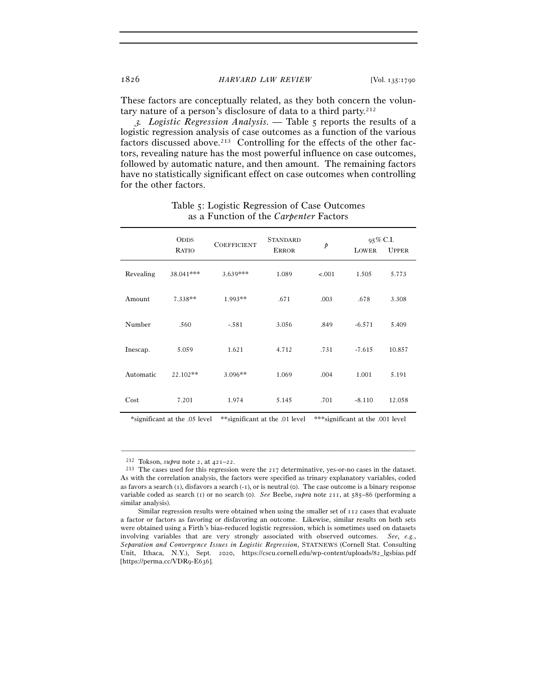These factors are conceptually related, as they both concern the voluntary nature of a person's disclosure of data to a third party.212

<sup>3</sup>*. Logistic Regression Analysis. —* Table 5 reports the results of a logistic regression analysis of case outcomes as a function of the various factors discussed above.<sup>213</sup> Controlling for the effects of the other factors, revealing nature has the most powerful influence on case outcomes, followed by automatic nature, and then amount. The remaining factors have no statistically significant effect on case outcomes when controlling for the other factors.

|           | <b>ODDS</b><br><b>RATIO</b> | <b>COEFFICIENT</b> | <b>STANDARD</b><br><b>ERROR</b> | $\dot{p}$ |          | $95\%$ C.I.<br><b>LOWER</b><br><b>UPPER</b> |  |
|-----------|-----------------------------|--------------------|---------------------------------|-----------|----------|---------------------------------------------|--|
|           |                             |                    |                                 |           |          |                                             |  |
| Revealing | 38.041***                   | $3.639***$         | 1.089                           | < .001    | 1.505    | 5.773                                       |  |
| Amount    | 7.338**                     | 1.993**            | .671                            | .003      | .678     | 3.308                                       |  |
| Number    | .560                        | $-.581$            | 3.056                           | .849      | $-6.571$ | 5.409                                       |  |
| Inescap.  | 5.059                       | 1.621              | 4.712                           | .731      | $-7.615$ | 10.857                                      |  |
| Automatic | 22.102**                    | $3.096**$          | 1.069                           | .004      | 1.001    | 5.191                                       |  |
| Cost      | 7.201                       | 1.974              | 5.145                           | .701      | $-8.110$ | 12.058                                      |  |

## Table 5: Logistic Regression of Case Outcomes as a Function of the *Carpenter* Factors

\*significant at the .05 level \*\*significant at the .01 level \*\*\*significant at the .001 level

<sup>&</sup>lt;sup>212</sup> Tokson, *supra* note 2, at  $421-22$ .<br><sup>213</sup> The cases used for this regression were the 217 determinative, yes-or-no cases in the dataset. As with the correlation analysis, the factors were specified as trinary explanatory variables, coded as favors a search  $(1)$ , disfavors a search  $(-1)$ , or is neutral  $(0)$ . The case outcome is a binary response variable coded as search (1) or no search (0). *See* Beebe, *supra* note 211, at 585–86 (performing a similar analysis).

Similar regression results were obtained when using the smaller set of 112 cases that evaluate a factor or factors as favoring or disfavoring an outcome. Likewise, similar results on both sets were obtained using a Firth's bias-reduced logistic regression, which is sometimes used on datasets involving variables that are very strongly associated with observed outcomes. *See, e.g.*, *Separation and Convergence Issues in Logistic Regression*, STATNEWS (Cornell Stat. Consulting Unit, Ithaca, N.Y.), Sept. 2020, https://cscu.cornell.edu/wp-content/uploads/82\_lgsbias.pdf [https://perma.cc/VDR9-E636].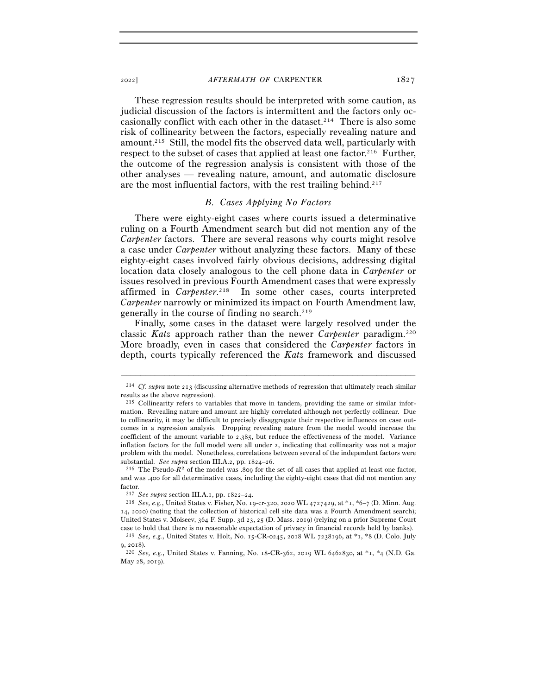These regression results should be interpreted with some caution, as judicial discussion of the factors is intermittent and the factors only occasionally conflict with each other in the dataset.<sup>214</sup> There is also some risk of collinearity between the factors, especially revealing nature and amount.215 Still, the model fits the observed data well, particularly with respect to the subset of cases that applied at least one factor.216 Further, the outcome of the regression analysis is consistent with those of the other analyses — revealing nature, amount, and automatic disclosure are the most influential factors, with the rest trailing behind.217

#### *B. Cases Applying No Factors*

There were eighty-eight cases where courts issued a determinative ruling on a Fourth Amendment search but did not mention any of the *Carpenter* factors. There are several reasons why courts might resolve a case under *Carpenter* without analyzing these factors. Many of these eighty-eight cases involved fairly obvious decisions, addressing digital location data closely analogous to the cell phone data in *Carpenter* or issues resolved in previous Fourth Amendment cases that were expressly affirmed in *Carpenter*. 218 In some other cases, courts interpreted *Carpenter* narrowly or minimized its impact on Fourth Amendment law, generally in the course of finding no search.<sup>219</sup>

Finally, some cases in the dataset were largely resolved under the classic *Katz* approach rather than the newer *Carpenter* paradigm.220 More broadly, even in cases that considered the *Carpenter* factors in depth, courts typically referenced the *Katz* framework and discussed

<sup>–––––––––––––––––––––––––––––––––––––––––––––––––––––––––––––</sup> <sup>214</sup> *Cf. supra* note 213 (discussing alternative methods of regression that ultimately reach similar results as the above regression).

<sup>215</sup> Collinearity refers to variables that move in tandem, providing the same or similar information. Revealing nature and amount are highly correlated although not perfectly collinear. Due to collinearity, it may be difficult to precisely disaggregate their respective influences on case outcomes in a regression analysis. Dropping revealing nature from the model would increase the coefficient of the amount variable to 2.385, but reduce the effectiveness of the model. Variance inflation factors for the full model were all under 2, indicating that collinearity was not a major problem with the model. Nonetheless, correlations between several of the independent factors were substantial. *See supra* section III.A.2, pp. 1824–26.<br><sup>216</sup> The Pseudo-*R*<sup>2</sup> of the model was .809 for the set of all cases that applied at least one factor,

and was .400 for all determinative cases, including the eighty-eight cases that did not mention any factor.<br>  $^{217}$  See supra section III.A.1, pp. 1822–24.

<sup>&</sup>lt;sup>218</sup> *See*, *e.g.*, United States v. Fisher, No. 19-cr-320, 2020 WL 4727429, at \*1, \*6-7 (D. Minn. Aug. 14, 2020) (noting that the collection of historical cell site data was a Fourth Amendment search); United States v. Moiseev, 364 F. Supp. 3d 23, 25 (D. Mass. 2019) (relying on a prior Supreme Court

case to hold that there is no reasonable expectation of privacy in financial records held by banks). 219 *See, e.g.*, United States v. Holt, No. 15-CR-0245, 2018 WL 7238196, at \*1, \*8 (D. Colo. July

<sup>9</sup>, <sup>2018</sup>). 220 *See, e.g.*, United States v. Fanning, No. 18-CR-362, 2019 WL 6462830, at \*1, \*4 (N.D. Ga. May 28, 2019).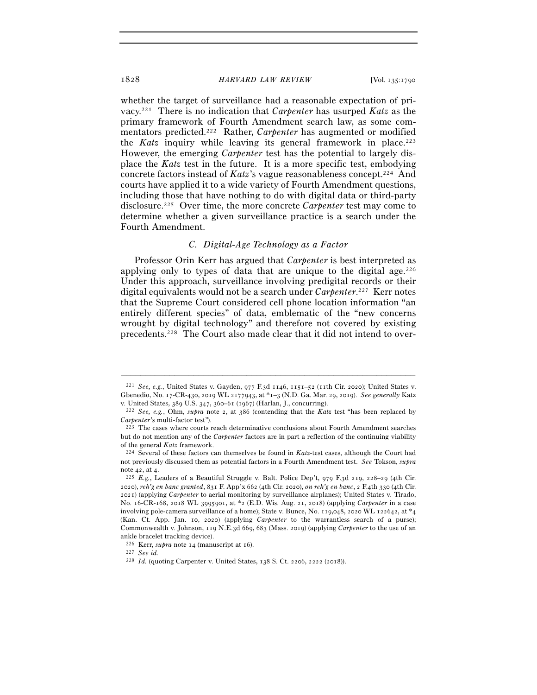whether the target of surveillance had a reasonable expectation of privacy.221 There is no indication that *Carpenter* has usurped *Katz* as the primary framework of Fourth Amendment search law, as some commentators predicted.222 Rather, *Carpenter* has augmented or modified the *Katz* inquiry while leaving its general framework in place.<sup>223</sup> However, the emerging *Carpenter* test has the potential to largely displace the *Katz* test in the future. It is a more specific test, embodying concrete factors instead of *Katz*'s vague reasonableness concept.224 And courts have applied it to a wide variety of Fourth Amendment questions, including those that have nothing to do with digital data or third-party disclosure.225 Over time, the more concrete *Carpenter* test may come to determine whether a given surveillance practice is a search under the Fourth Amendment.

## *C. Digital-Age Technology as a Factor*

Professor Orin Kerr has argued that *Carpenter* is best interpreted as applying only to types of data that are unique to the digital age.  $226$ Under this approach, surveillance involving predigital records or their digital equivalents would not be a search under *Carpenter*. 227 Kerr notes that the Supreme Court considered cell phone location information "an entirely different species" of data, emblematic of the "new concerns wrought by digital technology" and therefore not covered by existing precedents.228 The Court also made clear that it did not intend to over-

<sup>221</sup> *See, e.g.*, United States v. Gayden, 977 F.3d 1146, 1151–52 (11th Cir. 2020); United States v. Gbenedio, No. 17-CR-430, 2019 WL 2177943, at \*1–3 (N.D. Ga. Mar. 29, 2019). *See generally* Katz

v. United States, 389 U.S. 347, 360–61 (<sup>1967</sup>) (Harlan, J., concurring). 222 *See, e.g.*, Ohm, *supra* note 2, at 386 (contending that the *Katz* test "has been replaced by *Carpenter*'s multi-factor test"). 223 The cases where courts reach determinative conclusions about Fourth Amendment searches

but do not mention any of the *Carpenter* factors are in part a reflection of the continuing viability of the general *Katz* framework. 224 Several of these factors can themselves be found in *Katz*-test cases, although the Court had

not previously discussed them as potential factors in a Fourth Amendment test. *See* Tokson, *supra* note 42, at <sup>4</sup>. 225 *E.g.*, Leaders of a Beautiful Struggle v. Balt. Police Dep't, 979 F.3d 219, 228–29 (4th Cir.

<sup>2020</sup>), *reh'g en banc granted*, 831 F. App'x 662 (4th Cir. 2020), *on reh'g en banc*, 2 F.4th 330 (4th Cir. 2021) (applying *Carpenter* to aerial monitoring by surveillance airplanes); United States v. Tirado, No. 16-CR-168, 2018 WL 3995901, at \*2 (E.D. Wis. Aug. 21, 2018) (applying *Carpenter* in a case involving pole-camera surveillance of a home); State v. Bunce, No. 119,048, 2020 WL 122642, at \*4 (Kan. Ct. App. Jan. 10, 2020) (applying *Carpenter* to the warrantless search of a purse); Commonwealth v. Johnson, 119 N.E.3d 669, 683 (Mass. 2019) (applying *Carpenter* to the use of an ankle bracelet tracking device).

<sup>226</sup> Kerr, *supra* note 14 (manuscript at 16). 227 *See id.*<sup>228</sup> *Id.* (quoting Carpenter v. United States, 138 S. Ct. 2206, 2222 (2018)).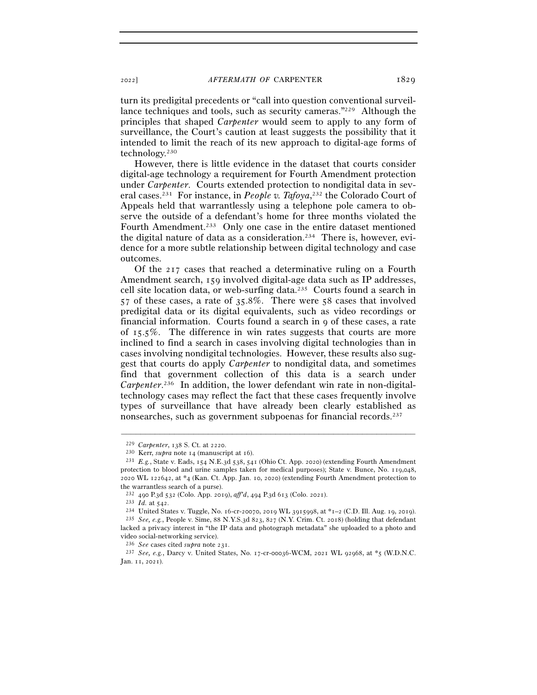turn its predigital precedents or "call into question conventional surveillance techniques and tools, such as security cameras."<sup>229</sup> Although the principles that shaped *Carpenter* would seem to apply to any form of surveillance, the Court's caution at least suggests the possibility that it intended to limit the reach of its new approach to digital-age forms of technology.230

However, there is little evidence in the dataset that courts consider digital-age technology a requirement for Fourth Amendment protection under *Carpenter*. Courts extended protection to nondigital data in several cases.<sup>231</sup> For instance, in *People v. Tafoya*,<sup>232</sup> the Colorado Court of Appeals held that warrantlessly using a telephone pole camera to observe the outside of a defendant's home for three months violated the Fourth Amendment.233 Only one case in the entire dataset mentioned the digital nature of data as a consideration.234 There is, however, evidence for a more subtle relationship between digital technology and case outcomes.

Of the 217 cases that reached a determinative ruling on a Fourth Amendment search, 159 involved digital-age data such as IP addresses, cell site location data, or web-surfing data.235 Courts found a search in 57 of these cases, a rate of 35.8%. There were 58 cases that involved predigital data or its digital equivalents, such as video recordings or financial information. Courts found a search in 9 of these cases, a rate of 15.5%. The difference in win rates suggests that courts are more inclined to find a search in cases involving digital technologies than in cases involving nondigital technologies. However, these results also suggest that courts do apply *Carpenter* to nondigital data, and sometimes find that government collection of this data is a search under Carpenter.<sup>236</sup> In addition, the lower defendant win rate in non-digitaltechnology cases may reflect the fact that these cases frequently involve types of surveillance that have already been clearly established as nonsearches, such as government subpoenas for financial records.237

<sup>229</sup> *Carpenter*, 138 S. Ct. at <sup>2220</sup>. 230 Kerr, *supra* note 14 (manuscript at 16). 231 *E.g.*, State v. Eads, 154 N.E.3d 538, 541 (Ohio Ct. App. 2020) (extending Fourth Amendment protection to blood and urine samples taken for medical purposes); State v. Bunce, No. 119,048, 2020 WL 122642, at \*4 (Kan. Ct. App. Jan. 10, 2020) (extending Fourth Amendment protection to the warrantless search of a purse).

<sup>&</sup>lt;sup>232</sup> 490 P.3d 532 (Colo. App. 2019), *aff<sup>7</sup>d*, 494 P.3d 613 (Colo. 2021).<br>
<sup>233</sup> *Id.* at 542.<br>
<sup>234</sup> United States v. Tuggle, No. 16-cr-20070, 2019 WL 3915998, at \*1–2 (C.D. Ill. Aug. 19, 2019).<br>
<sup>235</sup> *See, e.g.*, Peo

lacked a privacy interest in "the IP data and photograph metadata" she uploaded to a photo and video social-networking service).

<sup>236</sup> *See* cases cited *supra* note <sup>231</sup>. 237 *See, e.g.*, Darcy v. United States, No. 17-cr-00036-WCM, 2021 WL 92968, at \*5 (W.D.N.C. Jan. 11, 2021).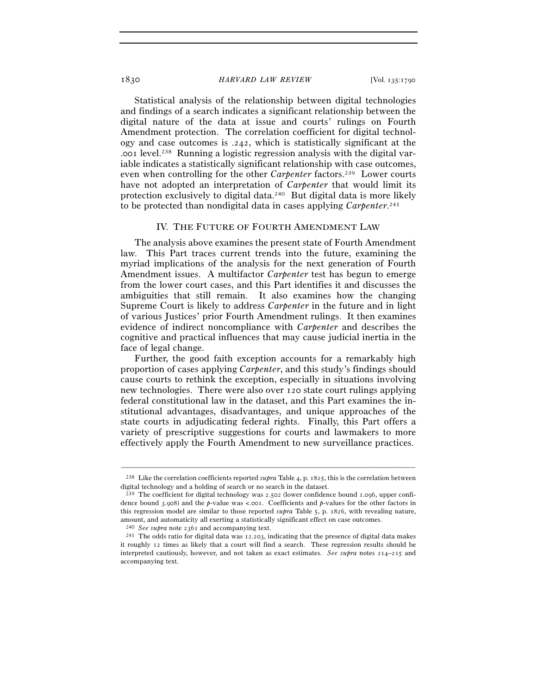Statistical analysis of the relationship between digital technologies and findings of a search indicates a significant relationship between the digital nature of the data at issue and courts' rulings on Fourth Amendment protection. The correlation coefficient for digital technology and case outcomes is .242, which is statistically significant at the .001 level.238 Running a logistic regression analysis with the digital variable indicates a statistically significant relationship with case outcomes, even when controlling for the other *Carpenter* factors.<sup>239</sup> Lower courts have not adopted an interpretation of *Carpenter* that would limit its protection exclusively to digital data.240 But digital data is more likely to be protected than nondigital data in cases applying *Carpenter*. 241

#### IV. THE FUTURE OF FOURTH AMENDMENT LAW

The analysis above examines the present state of Fourth Amendment law. This Part traces current trends into the future, examining the myriad implications of the analysis for the next generation of Fourth Amendment issues. A multifactor *Carpenter* test has begun to emerge from the lower court cases, and this Part identifies it and discusses the ambiguities that still remain. It also examines how the changing Supreme Court is likely to address *Carpenter* in the future and in light of various Justices' prior Fourth Amendment rulings. It then examines evidence of indirect noncompliance with *Carpenter* and describes the cognitive and practical influences that may cause judicial inertia in the face of legal change.

Further, the good faith exception accounts for a remarkably high proportion of cases applying *Carpenter*, and this study's findings should cause courts to rethink the exception, especially in situations involving new technologies. There were also over 120 state court rulings applying federal constitutional law in the dataset, and this Part examines the institutional advantages, disadvantages, and unique approaches of the state courts in adjudicating federal rights. Finally, this Part offers a variety of prescriptive suggestions for courts and lawmakers to more effectively apply the Fourth Amendment to new surveillance practices.

<sup>–––––––––––––––––––––––––––––––––––––––––––––––––––––––––––––</sup> <sup>238</sup> Like the correlation coefficients reported *supra* Table 4, p. 1825, this is the correlation between digital technology and a holding of search or no search in the dataset.

<sup>239</sup> The coefficient for digital technology was 2.502 (lower confidence bound 1.096, upper confidence bound 3.908) and the *p*-value was <.001. Coefficients and *p*-values for the other factors in this regression model are similar to those reported *supra* Table 5, p. 1826, with revealing nature, amount, and automaticity all exerting a statistically significant effect on case outcomes.

<sup>240</sup> *See supra* note <sup>2361</sup> and accompanying text. 241 The odds ratio for digital data was 12.203, indicating that the presence of digital data makes it roughly 12 times as likely that a court will find a search. These regression results should be interpreted cautiously, however, and not taken as exact estimates. *See supra* notes 214–215 and accompanying text.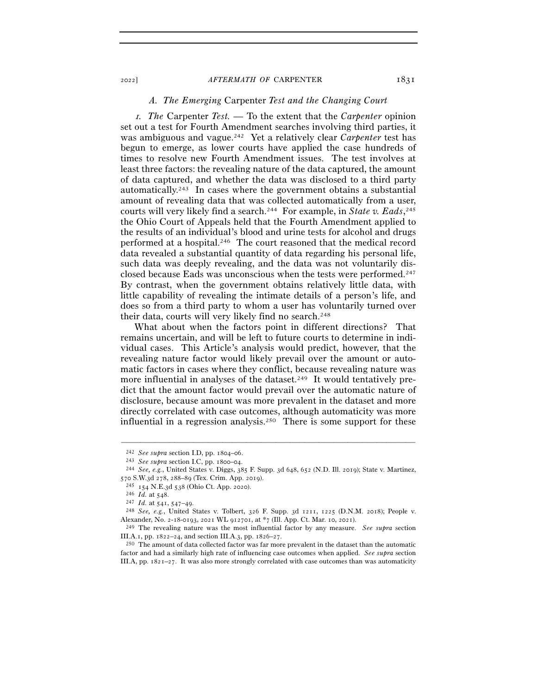## *A. The Emerging* Carpenter *Test and the Changing Court*

<sup>1</sup>*. The* Carpenter *Test. —* To the extent that the *Carpenter* opinion set out a test for Fourth Amendment searches involving third parties, it was ambiguous and vague.242 Yet a relatively clear *Carpenter* test has begun to emerge, as lower courts have applied the case hundreds of times to resolve new Fourth Amendment issues. The test involves at least three factors: the revealing nature of the data captured, the amount of data captured, and whether the data was disclosed to a third party automatically.243 In cases where the government obtains a substantial amount of revealing data that was collected automatically from a user, courts will very likely find a search.244 For example, in *State v. Eads*, 245 the Ohio Court of Appeals held that the Fourth Amendment applied to the results of an individual's blood and urine tests for alcohol and drugs performed at a hospital.246 The court reasoned that the medical record data revealed a substantial quantity of data regarding his personal life, such data was deeply revealing, and the data was not voluntarily disclosed because Eads was unconscious when the tests were performed.<sup>247</sup> By contrast, when the government obtains relatively little data, with little capability of revealing the intimate details of a person's life, and does so from a third party to whom a user has voluntarily turned over their data, courts will very likely find no search.<sup>248</sup>

What about when the factors point in different directions? That remains uncertain, and will be left to future courts to determine in individual cases. This Article's analysis would predict, however, that the revealing nature factor would likely prevail over the amount or automatic factors in cases where they conflict, because revealing nature was more influential in analyses of the dataset.<sup>249</sup> It would tentatively predict that the amount factor would prevail over the automatic nature of disclosure, because amount was more prevalent in the dataset and more directly correlated with case outcomes, although automaticity was more influential in a regression analysis.<sup>250</sup> There is some support for these

<sup>242</sup> *See supra* section I.D, pp. 1804–<sup>06</sup>. 243 *See supra* section I.C, pp. 1800–<sup>04</sup>. 244 *See, e.g.*, United States v. Diggs, 385 F. Supp. 3d 648, 652 (N.D. Ill. 2019); State v. Martinez, 570 S.W.3d 278, 288–89 (Tex. Crim. App. 2019).<br>
<sup>245</sup> 154 N.E.3d 538 (Ohio Ct. App. 2020).<br>
<sup>246</sup> Id. at 548.<br>
<sup>247</sup> Id. at 541, 547–49.<br>
<sup>248</sup> *See, e.g.*, United States v. Tolbert, 326 F. Supp. 3d 1211, 1225 (D.N.M. 201

Alexander, No. 2-18-0193, 2021 WL 912701, at \*7 (Ill. App. Ct. Mar. 10, <sup>2021</sup>). 249 The revealing nature was the most influential factor by any measure. *See supra* section

III.A.1, pp. 1822–24, and section III.A.3, pp. 1826–27.<br><sup>250</sup> The amount of data collected factor was far more prevalent in the dataset than the automatic

factor and had a similarly high rate of influencing case outcomes when applied. *See supra* section III.A, pp. 1821–27. It was also more strongly correlated with case outcomes than was automaticity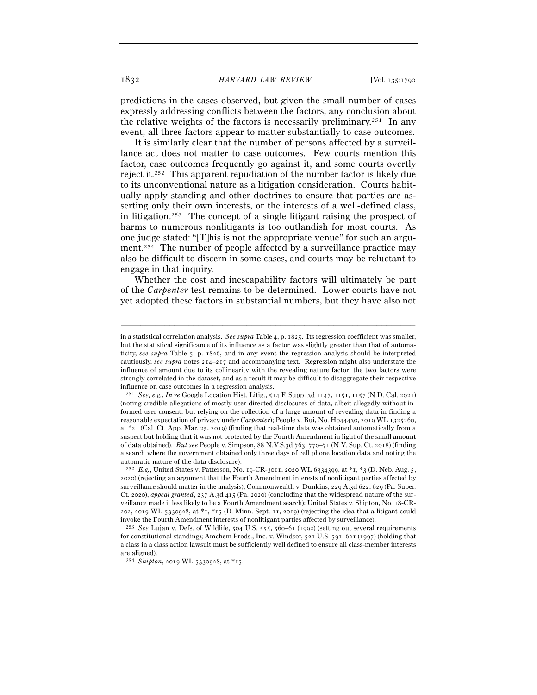predictions in the cases observed, but given the small number of cases expressly addressing conflicts between the factors, any conclusion about the relative weights of the factors is necessarily preliminary.<sup>251</sup> In any event, all three factors appear to matter substantially to case outcomes.

It is similarly clear that the number of persons affected by a surveillance act does not matter to case outcomes. Few courts mention this factor, case outcomes frequently go against it, and some courts overtly reject it.252 This apparent repudiation of the number factor is likely due to its unconventional nature as a litigation consideration. Courts habitually apply standing and other doctrines to ensure that parties are asserting only their own interests, or the interests of a well-defined class, in litigation.253 The concept of a single litigant raising the prospect of harms to numerous nonlitigants is too outlandish for most courts. As one judge stated: "[T]his is not the appropriate venue" for such an argument.254 The number of people affected by a surveillance practice may also be difficult to discern in some cases, and courts may be reluctant to engage in that inquiry.

Whether the cost and inescapability factors will ultimately be part of the *Carpenter* test remains to be determined. Lower courts have not yet adopted these factors in substantial numbers, but they have also not

in a statistical correlation analysis. *See supra* Table 4, p. 1825. Its regression coefficient was smaller, but the statistical significance of its influence as a factor was slightly greater than that of automaticity, *see supra* Table 5, p. 1826, and in any event the regression analysis should be interpreted cautiously, *see supra* notes 214–217 and accompanying text. Regression might also understate the influence of amount due to its collinearity with the revealing nature factor; the two factors were strongly correlated in the dataset, and as a result it may be difficult to disaggregate their respective influence on case outcomes in a regression analysis.

<sup>251</sup> *See, e.g.*, *In re* Google Location Hist. Litig., 514 F. Supp. 3d 1147, 1151, 1157 (N.D. Cal. 2021) (noting credible allegations of mostly user-directed disclosures of data, albeit allegedly without informed user consent, but relying on the collection of a large amount of revealing data in finding a reasonable expectation of privacy under *Carpenter*); People v. Bui, No. H044430, 2019 WL 1325260, at \*21 (Cal. Ct. App. Mar. 25, 2019) (finding that real-time data was obtained automatically from a suspect but holding that it was not protected by the Fourth Amendment in light of the small amount of data obtained). *But see* People v. Simpson, 88 N.Y.S.3d 763, 770–71 (N.Y. Sup. Ct. 2018) (finding a search where the government obtained only three days of cell phone location data and noting the automatic nature of the data disclosure).

<sup>252</sup> *E.g.*, United States v. Patterson, No. 19-CR-3011, 2020 WL 6334399, at \*1, \*3 (D. Neb. Aug. 5, 2020) (rejecting an argument that the Fourth Amendment interests of nonlitigant parties affected by surveillance should matter in the analysis); Commonwealth v. Dunkins, 229 A.3d 622, 629 (Pa. Super. Ct. 2020), *appeal granted*, 237 A.3d 415 (Pa. 2020) (concluding that the widespread nature of the surveillance made it less likely to be a Fourth Amendment search); United States v. Shipton, No. 18-CR-202, 2019 WL 5330928, at \*1, \*15 (D. Minn. Sept. 11, 2019) (rejecting the idea that a litigant could invoke the Fourth Amendment interests of nonlitigant parties affected by surveillance).

<sup>253</sup> *See* Lujan v. Defs. of Wildlife, 504 U.S. 555, 560–61 (1992) (setting out several requirements for constitutional standing); Amchem Prods., Inc. v. Windsor, 521 U.S. 591, 621 (1997) (holding that a class in a class action lawsuit must be sufficiently well defined to ensure all class-member interests are aligned).

<sup>254</sup> *Shipton*, 2019 WL 5330928, at \*15.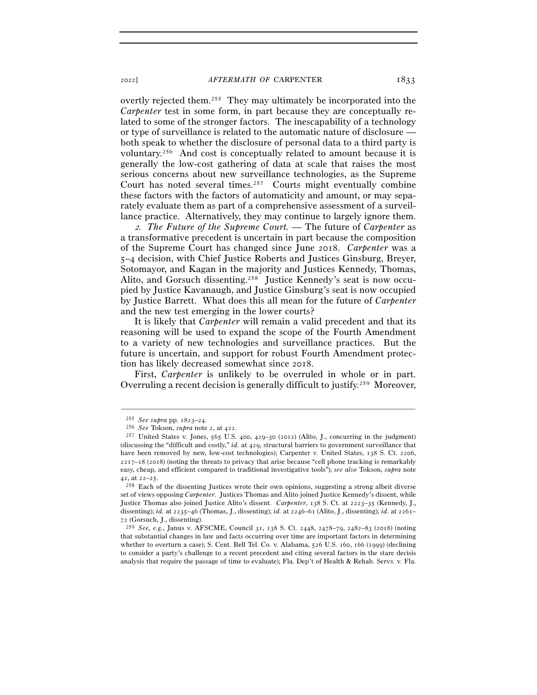overtly rejected them.255 They may ultimately be incorporated into the *Carpenter* test in some form, in part because they are conceptually related to some of the stronger factors. The inescapability of a technology or type of surveillance is related to the automatic nature of disclosure both speak to whether the disclosure of personal data to a third party is voluntary.256 And cost is conceptually related to amount because it is generally the low-cost gathering of data at scale that raises the most serious concerns about new surveillance technologies, as the Supreme Court has noted several times.257 Courts might eventually combine these factors with the factors of automaticity and amount, or may separately evaluate them as part of a comprehensive assessment of a surveillance practice. Alternatively, they may continue to largely ignore them.

<sup>2</sup>*. The Future of the Supreme Court. —* The future of *Carpenter* as a transformative precedent is uncertain in part because the composition of the Supreme Court has changed since June 2018. *Carpenter* was a 5–4 decision, with Chief Justice Roberts and Justices Ginsburg, Breyer, Sotomayor, and Kagan in the majority and Justices Kennedy, Thomas, Alito, and Gorsuch dissenting.258 Justice Kennedy's seat is now occupied by Justice Kavanaugh, and Justice Ginsburg's seat is now occupied by Justice Barrett. What does this all mean for the future of *Carpenter* and the new test emerging in the lower courts?

It is likely that *Carpenter* will remain a valid precedent and that its reasoning will be used to expand the scope of the Fourth Amendment to a variety of new technologies and surveillance practices. But the future is uncertain, and support for robust Fourth Amendment protection has likely decreased somewhat since 2018.

First, *Carpenter* is unlikely to be overruled in whole or in part. Overruling a recent decision is generally difficult to justify.259 Moreover,

<sup>255</sup> *See supra* pp. 1823–<sup>24</sup>. 256 *See* Tokson, *supra* note 2, at <sup>422</sup>. 257 United States v. Jones, 565 U.S. 400, 429–30 (2012) (Alito, J., concurring in the judgment) (discussing the "difficult and costly," *id.* at 429, structural barriers to government surveillance that have been removed by new, low-cost technologies); Carpenter v. United States, 138 S. Ct. 2206, 2217–18 (2018) (noting the threats to privacy that arise because "cell phone tracking is remarkably easy, cheap, and efficient compared to traditional investigative tools"); *see also* Tokson, *supra* note 42, at  $22-25$ .<br><sup>258</sup> Each of the dissenting Justices wrote their own opinions, suggesting a strong albeit diverse

set of views opposing *Carpenter*. Justices Thomas and Alito joined Justice Kennedy's dissent, while Justice Thomas also joined Justice Alito's dissent. *Carpenter*, 138 S. Ct. at 2223–35 (Kennedy, J., dissenting); *id.* at 2235–46 (Thomas, J., dissenting); *id.* at 2246–61 (Alito, J., dissenting); *id.* at 2261– 72 (Gorsuch, J., dissenting).

<sup>259</sup> *See, e.g.*, Janus v. AFSCME, Council 31, 138 S. Ct. 2448, 2478–79, 2482–83 (2018) (noting that substantial changes in law and facts occurring over time are important factors in determining whether to overturn a case); S. Cent. Bell Tel. Co. v. Alabama, 526 U.S. 160, 166 (1999) (declining to consider a party's challenge to a recent precedent and citing several factors in the stare decisis analysis that require the passage of time to evaluate); Fla. Dep't of Health & Rehab. Servs. v. Fla.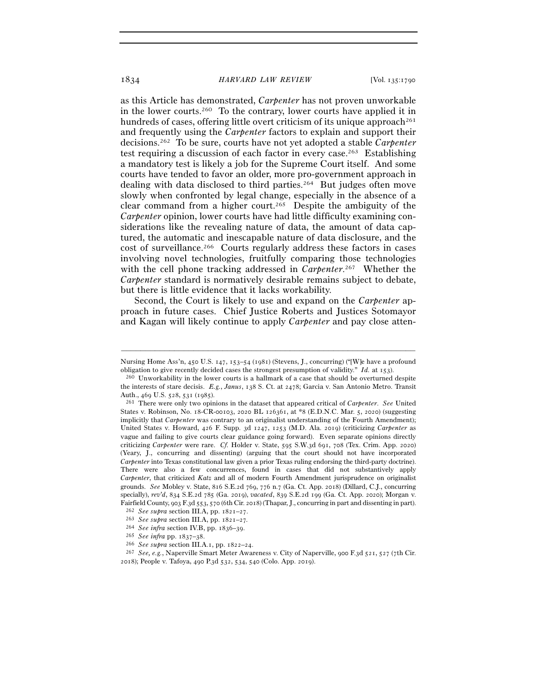as this Article has demonstrated, *Carpenter* has not proven unworkable in the lower courts.260 To the contrary, lower courts have applied it in hundreds of cases, offering little overt criticism of its unique approach<sup>261</sup> and frequently using the *Carpenter* factors to explain and support their decisions.262 To be sure, courts have not yet adopted a stable *Carpenter* test requiring a discussion of each factor in every case.<sup>263</sup> Establishing a mandatory test is likely a job for the Supreme Court itself. And some courts have tended to favor an older, more pro-government approach in dealing with data disclosed to third parties.264 But judges often move slowly when confronted by legal change, especially in the absence of a clear command from a higher court.265 Despite the ambiguity of the *Carpenter* opinion, lower courts have had little difficulty examining considerations like the revealing nature of data, the amount of data captured, the automatic and inescapable nature of data disclosure, and the cost of surveillance.266 Courts regularly address these factors in cases involving novel technologies, fruitfully comparing those technologies with the cell phone tracking addressed in *Carpenter*. 267 Whether the *Carpenter* standard is normatively desirable remains subject to debate, but there is little evidence that it lacks workability.

Second, the Court is likely to use and expand on the *Carpenter* approach in future cases. Chief Justice Roberts and Justices Sotomayor and Kagan will likely continue to apply *Carpenter* and pay close atten-

<sup>–––––––––––––––––––––––––––––––––––––––––––––––––––––––––––––</sup> Nursing Home Ass'n, 450 U.S. 147, 153–54 (1981) (Stevens, J., concurring) ("[W]e have a profound obligation to give recently decided cases the strongest presumption of validity." *Id.* at <sup>153</sup>). 260 Unworkability in the lower courts is a hallmark of a case that should be overturned despite

the interests of stare decisis. *E.g.*, *Janus*, 138 S. Ct. at 2478; Garcia v. San Antonio Metro. Transit Auth., 469 U.S. 528, 531 (<sup>1985</sup>). 261 There were only two opinions in the dataset that appeared critical of *Carpenter*. *See* United

States v. Robinson, No. 18-CR-00103, 2020 BL 126361, at \*8 (E.D.N.C. Mar. 5, 2020) (suggesting implicitly that *Carpenter* was contrary to an originalist understanding of the Fourth Amendment); United States v. Howard, 426 F. Supp. 3d 1247, 1253 (M.D. Ala. 2019) (criticizing *Carpenter* as vague and failing to give courts clear guidance going forward). Even separate opinions directly criticizing *Carpenter* were rare. *Cf.* Holder v. State, 595 S.W.3d 691, 708 (Tex. Crim. App. 2020) (Yeary, J., concurring and dissenting) (arguing that the court should not have incorporated *Carpenter* into Texas constitutional law given a prior Texas ruling endorsing the third-party doctrine). There were also a few concurrences, found in cases that did not substantively apply *Carpenter*, that criticized *Katz* and all of modern Fourth Amendment jurisprudence on originalist grounds. *See* Mobley v. State, 816 S.E.2d 769, 776 n.7 (Ga. Ct. App. 2018) (Dillard, C.J., concurring specially), *rev'd*, 834 S.E.2d 785 (Ga. 2019), *vacated*, 839 S.E.2d 199 (Ga. Ct. App. 2020); Morgan v. Fairfield County, 903 F.3d 553, 570 (6th Cir. 2018) (Thapar, J., concurring in part and dissenting in part).<br>
<sup>262</sup> See supra section III.A, pp. 1821–27.<br>
<sup>263</sup> See supra section III.A, pp. 1821–27.<br>
<sup>264</sup> See infra secti

<sup>2018</sup>); People v. Tafoya, 490 P.3d 532, 534, 540 (Colo. App. 2019).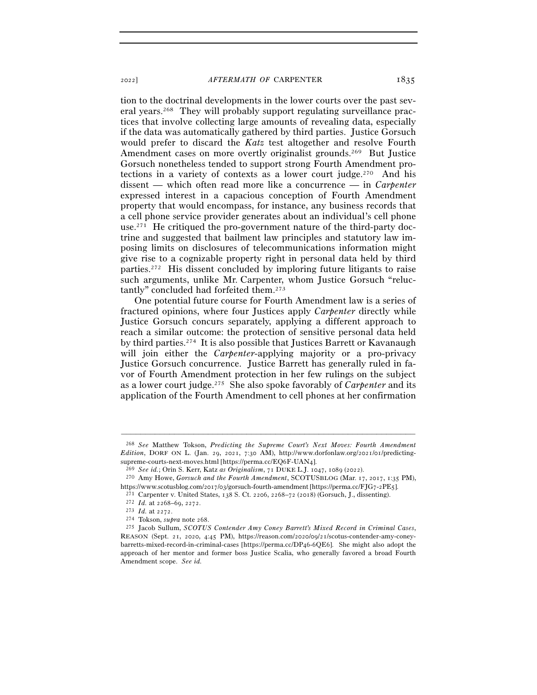tion to the doctrinal developments in the lower courts over the past several years.268 They will probably support regulating surveillance practices that involve collecting large amounts of revealing data, especially if the data was automatically gathered by third parties. Justice Gorsuch would prefer to discard the *Katz* test altogether and resolve Fourth Amendment cases on more overtly originalist grounds.<sup>269</sup> But Justice Gorsuch nonetheless tended to support strong Fourth Amendment protections in a variety of contexts as a lower court judge.270 And his dissent — which often read more like a concurrence — in *Carpenter* expressed interest in a capacious conception of Fourth Amendment property that would encompass, for instance, any business records that a cell phone service provider generates about an individual's cell phone use.<sup>271</sup> He critiqued the pro-government nature of the third-party doctrine and suggested that bailment law principles and statutory law imposing limits on disclosures of telecommunications information might give rise to a cognizable property right in personal data held by third parties.272 His dissent concluded by imploring future litigants to raise such arguments, unlike Mr. Carpenter, whom Justice Gorsuch "reluctantly" concluded had forfeited them.273

One potential future course for Fourth Amendment law is a series of fractured opinions, where four Justices apply *Carpenter* directly while Justice Gorsuch concurs separately, applying a different approach to reach a similar outcome: the protection of sensitive personal data held by third parties.274 It is also possible that Justices Barrett or Kavanaugh will join either the *Carpenter*-applying majority or a pro-privacy Justice Gorsuch concurrence. Justice Barrett has generally ruled in favor of Fourth Amendment protection in her few rulings on the subject as a lower court judge.275 She also spoke favorably of *Carpenter* and its application of the Fourth Amendment to cell phones at her confirmation

<sup>268</sup> *See* Matthew Tokson, *Predicting the Supreme Court's Next Moves: Fourth Amendment Edition*, DORF ON L. (Jan. 29, 2021, 7:30 AM), http://www.dorfonlaw.org/2021/01/predictingsupreme-courts-next-moves.html [https://perma.cc/EQ6F-UAN4].<br><sup>269</sup> See id.; Orin S. Kerr, Katz as Originalism, 71 DUKE L.J. 1047, 1089 (2022).<br><sup>270</sup> Amy Howe, *Gorsuch and the Fourth Amendment*, SCOTUSBLOG (Mar. 17, 2017,

https://www.scotusblog.com/2017/03/gorsuch-fourth-amendment [https://perma.cc/FJG7-2PE5].<br>
<sup>271</sup> Carpenter v. United States, 138 S. Ct. 2206, 2268–72 (2018) (Gorsuch, J., dissenting).<br>
<sup>272</sup> Id. at 2268–69, 2272.<br>
<sup>273</sup> Id

REASON (Sept. 21, 2020, 4:45 PM), https://reason.com/2020/09/21/scotus-contender-amy-coneybarretts-mixed-record-in-criminal-cases [https://perma.cc/DP46-6QE6]. She might also adopt the approach of her mentor and former boss Justice Scalia, who generally favored a broad Fourth Amendment scope. *See id.*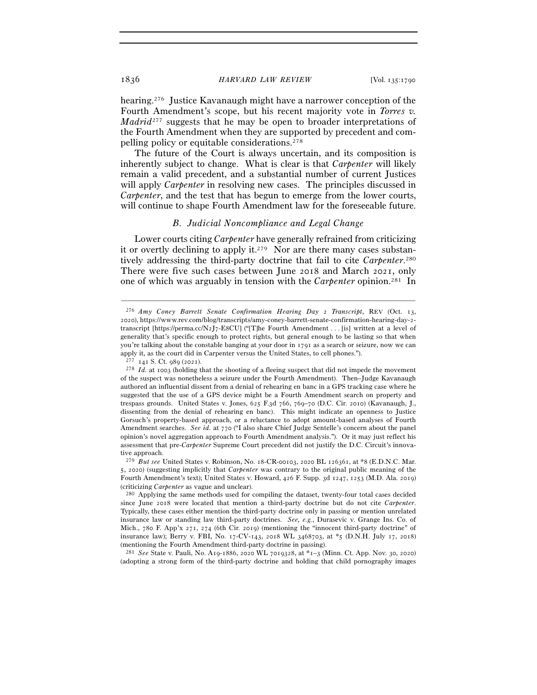hearing.276 Justice Kavanaugh might have a narrower conception of the Fourth Amendment's scope, but his recent majority vote in *Torres v. Madrid*<sup>277</sup> suggests that he may be open to broader interpretations of the Fourth Amendment when they are supported by precedent and compelling policy or equitable considerations.278

The future of the Court is always uncertain, and its composition is inherently subject to change. What is clear is that *Carpenter* will likely remain a valid precedent, and a substantial number of current Justices will apply *Carpenter* in resolving new cases. The principles discussed in *Carpenter*, and the test that has begun to emerge from the lower courts, will continue to shape Fourth Amendment law for the foreseeable future.

## *B. Judicial Noncompliance and Legal Change*

Lower courts citing *Carpenter* have generally refrained from criticizing it or overtly declining to apply it.279 Nor are there many cases substantively addressing the third-party doctrine that fail to cite *Carpenter*. 280 There were five such cases between June 2018 and March 2021, only one of which was arguably in tension with the *Carpenter* opinion.281 In

–––––––––––––––––––––––––––––––––––––––––––––––––––––––––––––

<sup>281</sup> *See* State v. Pauli, No. A19-1886, 2020 WL 7019328, at \*1–3 (Minn. Ct. App. Nov. 30, 2020) (adopting a strong form of the third-party doctrine and holding that child pornography images

<sup>276</sup> *Amy Coney Barrett Senate Confirmation Hearing Day* 2 *Transcript*, REV (Oct. 13, 2020), https://www.rev.com/blog/transcripts/amy-coney-barrett-senate-confirmation-hearing-day-2 transcript [https://perma.cc/N2J7-E8CU] ("[T]he Fourth Amendment . . . [is] written at a level of generality that's specific enough to protect rights, but general enough to be lasting so that when you're talking about the constable banging at your door in 1791 as a search or seizure, now we can apply it, as the court did in Carpenter versus the United States, to cell phones.").

<sup>&</sup>lt;sup>277</sup> 141 S. Ct. 989 (2021). <sup>278</sup> *Id.* at 1003 (holding that the shooting of a fleeing suspect that did not impede the movement of the suspect was nonetheless a seizure under the Fourth Amendment). Then–Judge Kavanaugh authored an influential dissent from a denial of rehearing en banc in a GPS tracking case where he suggested that the use of a GPS device might be a Fourth Amendment search on property and trespass grounds. United States v. Jones, 625 F.3d 766, 769–70 (D.C. Cir. 2010) (Kavanaugh, J., dissenting from the denial of rehearing en banc). This might indicate an openness to Justice Gorsuch's property-based approach, or a reluctance to adopt amount-based analyses of Fourth Amendment searches. *See id.* at 770 ("I also share Chief Judge Sentelle's concern about the panel opinion's novel aggregation approach to Fourth Amendment analysis."). Or it may just reflect his assessment that pre-*Carpenter* Supreme Court precedent did not justify the D.C. Circuit's innovative approach.

<sup>279</sup> *But see* United States v. Robinson, No. 18-CR-00103, 2020 BL 126361, at \*8 (E.D.N.C. Mar. 5, 2020) (suggesting implicitly that *Carpenter* was contrary to the original public meaning of the Fourth Amendment's text); United States v. Howard, 426 F. Supp. 3d 1247, 1253 (M.D. Ala. 2019) (criticizing *Carpenter* as vague and unclear). 280 Applying the same methods used for compiling the dataset, twenty-four total cases decided

since June 2018 were located that mention a third-party doctrine but do not cite *Carpenter*. Typically, these cases either mention the third-party doctrine only in passing or mention unrelated insurance law or standing law third-party doctrines. *See, e.g.*, Durasevic v. Grange Ins. Co. of Mich., 780 F. App'x 271, 274 (6th Cir. 2019) (mentioning the "innocent third-party doctrine" of insurance law); Berry v. FBI, No. 17-CV-143, 2018 WL 3468703, at \*5 (D.N.H. July 17, 2018) (mentioning the Fourth Amendment third-party doctrine in passing).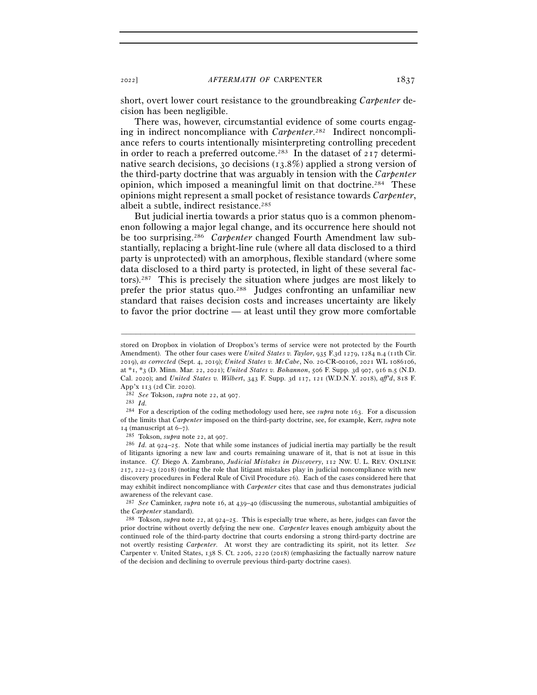short, overt lower court resistance to the groundbreaking *Carpenter* decision has been negligible.

There was, however, circumstantial evidence of some courts engaging in indirect noncompliance with *Carpenter*. 282 Indirect noncompliance refers to courts intentionally misinterpreting controlling precedent in order to reach a preferred outcome.<sup>283</sup> In the dataset of  $217$  determinative search decisions, 30 decisions (13.8%) applied a strong version of the third-party doctrine that was arguably in tension with the *Carpenter*  opinion, which imposed a meaningful limit on that doctrine.284 These opinions might represent a small pocket of resistance towards *Carpenter*, albeit a subtle, indirect resistance.<sup>285</sup>

But judicial inertia towards a prior status quo is a common phenomenon following a major legal change, and its occurrence here should not be too surprising.286 *Carpenter* changed Fourth Amendment law substantially, replacing a bright-line rule (where all data disclosed to a third party is unprotected) with an amorphous, flexible standard (where some data disclosed to a third party is protected, in light of these several factors).287 This is precisely the situation where judges are most likely to prefer the prior status quo.288 Judges confronting an unfamiliar new standard that raises decision costs and increases uncertainty are likely to favor the prior doctrine — at least until they grow more comfortable

–––––––––––––––––––––––––––––––––––––––––––––––––––––––––––––

App'x 113 (2d Cir. 2020).<br>
<sup>282</sup> *See* Tokson, *supra* note 22, at 907.<br>
<sup>283</sup> *Id.*<br>
<sup>284</sup> For a description of the coding methodology used here, see *supra* note 163. For a discussion of the limits that *Carpenter* imposed on the third-party doctrine, see, for example, Kerr, *supra* note <sup>14</sup> (manuscript at 6–7). 285 Tokson, *supra* note 22, at <sup>907</sup>. 286 *Id.* at 924–25. Note that while some instances of judicial inertia may partially be the result

of litigants ignoring a new law and courts remaining unaware of it, that is not at issue in this instance. *Cf.* Diego A. Zambrano, *Judicial Mistakes in Discovery*, 112 NW. U. L. REV. ONLINE 217, 222–23 (2018) (noting the role that litigant mistakes play in judicial noncompliance with new discovery procedures in Federal Rule of Civil Procedure 26). Each of the cases considered here that may exhibit indirect noncompliance with *Carpenter* cites that case and thus demonstrates judicial awareness of the relevant case.

<sup>287</sup> *See* Caminker, *supra* note 16, at 439–40 (discussing the numerous, substantial ambiguities of the *Carpenter* standard). 288 Tokson, *supra* note 22, at 924–25. This is especially true where, as here, judges can favor the

prior doctrine without overtly defying the new one. *Carpenter* leaves enough ambiguity about the continued role of the third-party doctrine that courts endorsing a strong third-party doctrine are not overtly resisting *Carpenter*. At worst they are contradicting its spirit, not its letter. *See* Carpenter v. United States, 138 S. Ct. 2206, 2220 (2018) (emphasizing the factually narrow nature of the decision and declining to overrule previous third-party doctrine cases).

stored on Dropbox in violation of Dropbox's terms of service were not protected by the Fourth Amendment). The other four cases were *United States v. Taylor*, 935 F.3d 1279, 1284 n.4 (11th Cir. 2019), *as corrected* (Sept. 4, 2019); *United States v. McCabe*, No. 20-CR-00106, 2021 WL 1086106, at \*1, \*3 (D. Minn. Mar. 22, 2021); *United States v. Bohannon*, 506 F. Supp. 3d 907, 916 n.5 (N.D. Cal. 2020); and *United States v. Wilbert*, 343 F. Supp. 3d 117, 121 (W.D.N.Y. 2018), *aff'd*, 818 F.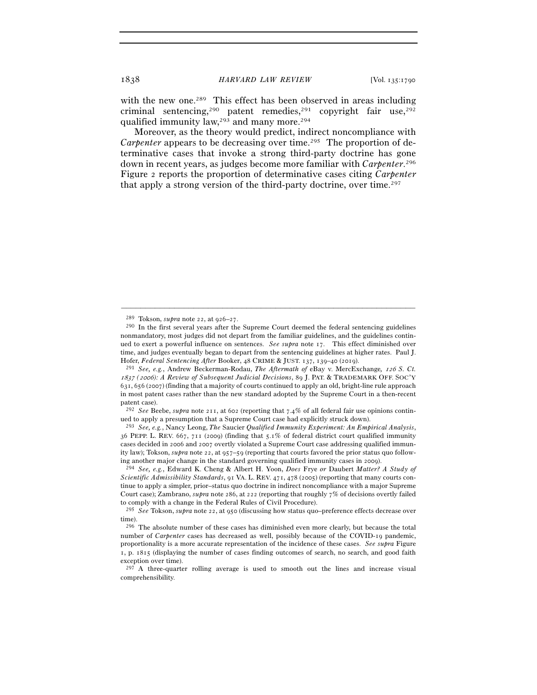with the new one.<sup>289</sup> This effect has been observed in areas including criminal sentencing,<sup>290</sup> patent remedies,<sup>291</sup> copyright fair use,<sup>292</sup> qualified immunity law,293 and many more.294

Moreover, as the theory would predict, indirect noncompliance with *Carpenter* appears to be decreasing over time.<sup>295</sup> The proportion of determinative cases that invoke a strong third-party doctrine has gone down in recent years, as judges become more familiar with *Carpenter*. 296 Figure 2 reports the proportion of determinative cases citing *Carpenter* that apply a strong version of the third-party doctrine, over time.297

<sup>&</sup>lt;sup>289</sup> Tokson, *supra* note 22, at 926–27.<br><sup>290</sup> In the first several years after the Supreme Court deemed the federal sentencing guidelines nonmandatory, most judges did not depart from the familiar guidelines, and the guidelines continued to exert a powerful influence on sentences. *See supra* note 17. This effect diminished over time, and judges eventually began to depart from the sentencing guidelines at higher rates. Paul J. Hofer, *Federal Sentencing After* Booker, 48 CRIME & JUST. 137, 139–40 (<sup>2019</sup>). 291 *See, e.g.*, Andrew Beckerman-Rodau, *The Aftermath of* eBay v. MercExchange*,* 126 *S. Ct.* 

<sup>1837</sup> *(*2006*): A Review of Subsequent Judicial Decisions*, 89 J. PAT. & TRADEMARK OFF. SOC'Y 631, 656 (2007) (finding that a majority of courts continued to apply an old, bright-line rule approach in most patent cases rather than the new standard adopted by the Supreme Court in a then-recent patent case).

<sup>292</sup> *See* Beebe, *supra* note 211, at 602 (reporting that 7.4% of all federal fair use opinions continued to apply a presumption that a Supreme Court case had explicitly struck down).

<sup>293</sup> *See, e.g.*, Nancy Leong, *The* Saucier *Qualified Immunity Experiment: An Empirical Analysis*, 36 PEPP. L. REV. 667, 711 (2009) (finding that 5.1% of federal district court qualified immunity cases decided in 2006 and 2007 overtly violated a Supreme Court case addressing qualified immunity law); Tokson, *supra* note 22, at 957–59 (reporting that courts favored the prior status quo following another major change in the standard governing qualified immunity cases in <sup>2009</sup>). 294 *See, e.g.*, Edward K. Cheng & Albert H. Yoon, *Does* Frye *or* Daubert *Matter? A Study of* 

*Scientific Admissibility Standards*, 91 VA. L. REV. 471, 478 (2005) (reporting that many courts continue to apply a simpler, prior–status quo doctrine in indirect noncompliance with a major Supreme Court case); Zambrano, *supra* note 286, at 222 (reporting that roughly 7% of decisions overtly failed to comply with a change in the Federal Rules of Civil Procedure).

<sup>295</sup> *See* Tokson, *supra* note 22, at 950 (discussing how status quo–preference effects decrease over time).

<sup>296</sup> The absolute number of these cases has diminished even more clearly, but because the total number of *Carpenter* cases has decreased as well, possibly because of the COVID-19 pandemic, proportionality is a more accurate representation of the incidence of these cases. *See supra* Figure 1, p. 1815 (displaying the number of cases finding outcomes of search, no search, and good faith exception over time).

<sup>&</sup>lt;sup>297</sup> A three-quarter rolling average is used to smooth out the lines and increase visual comprehensibility.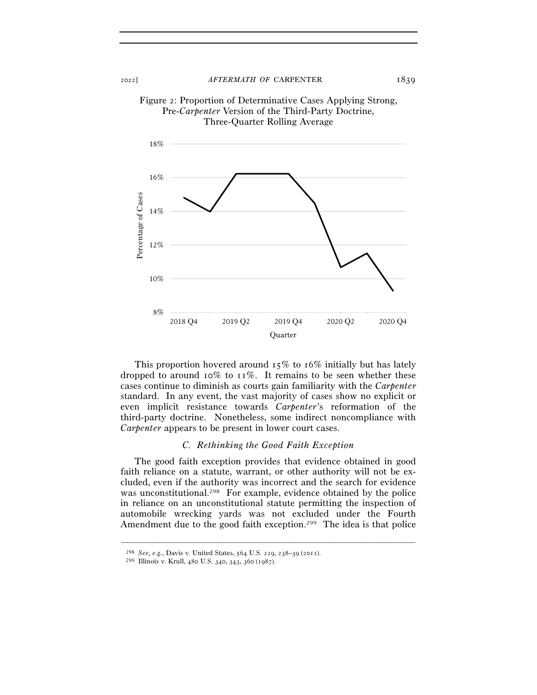

Figure 2: Proportion of Determinative Cases Applying Strong, Pre-*Carpenter* Version of the Third-Party Doctrine, Three-Quarter Rolling Average

This proportion hovered around  $15\%$  to  $16\%$  initially but has lately dropped to around  $10\%$  to  $11\%$ . It remains to be seen whether these cases continue to diminish as courts gain familiarity with the *Carpenter* standard. In any event, the vast majority of cases show no explicit or even implicit resistance towards *Carpenter*'s reformation of the third-party doctrine. Nonetheless, some indirect noncompliance with *Carpenter* appears to be present in lower court cases.

#### *C. Rethinking the Good Faith Exception*

The good faith exception provides that evidence obtained in good faith reliance on a statute, warrant, or other authority will not be excluded, even if the authority was incorrect and the search for evidence was unconstitutional.<sup>298</sup> For example, evidence obtained by the police in reliance on an unconstitutional statute permitting the inspection of automobile wrecking yards was not excluded under the Fourth Amendment due to the good faith exception.<sup>299</sup> The idea is that police

<sup>298</sup> *See, e.g.*, Davis v. United States, 564 U.S. 229, 238–39 (<sup>2011</sup>). 299 Illinois v. Krull, 480 U.S. 340, 343, 360 (1987).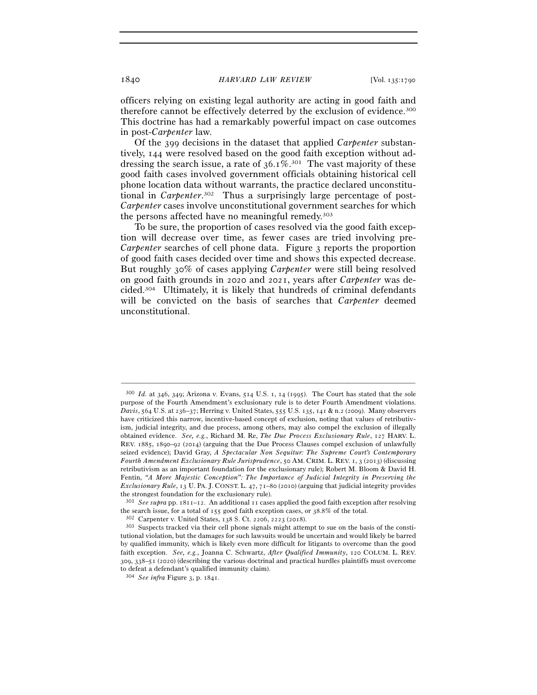officers relying on existing legal authority are acting in good faith and therefore cannot be effectively deterred by the exclusion of evidence.300 This doctrine has had a remarkably powerful impact on case outcomes in post-*Carpenter* law.

Of the 399 decisions in the dataset that applied *Carpenter* substantively, 144 were resolved based on the good faith exception without addressing the search issue, a rate of  $36.1\%$ <sup>301</sup> The vast majority of these good faith cases involved government officials obtaining historical cell phone location data without warrants, the practice declared unconstitutional in *Carpenter*. 302 Thus a surprisingly large percentage of post-*Carpenter* cases involve unconstitutional government searches for which the persons affected have no meaningful remedy.<sup>303</sup>

To be sure, the proportion of cases resolved via the good faith exception will decrease over time, as fewer cases are tried involving pre-*Carpenter* searches of cell phone data. Figure 3 reports the proportion of good faith cases decided over time and shows this expected decrease. But roughly 30% of cases applying *Carpenter* were still being resolved on good faith grounds in 2020 and 2021, years after *Carpenter* was decided.304 Ultimately, it is likely that hundreds of criminal defendants will be convicted on the basis of searches that *Carpenter* deemed unconstitutional.

<sup>300</sup> *Id.* at 346, 349; Arizona v. Evans, 514 U.S. 1, 14 (1995). The Court has stated that the sole purpose of the Fourth Amendment's exclusionary rule is to deter Fourth Amendment violations. *Davis*, 564 U.S. at 236–37; Herring v. United States, 555 U.S. 135, 141 & n.2 (2009). Many observers have criticized this narrow, incentive-based concept of exclusion, noting that values of retributivism, judicial integrity, and due process, among others, may also compel the exclusion of illegally obtained evidence. *See, e.g.*, Richard M. Re, *The Due Process Exclusionary Rule*, 127 HARV. L. REV. 1885, 1890–92 (2014) (arguing that the Due Process Clauses compel exclusion of unlawfully seized evidence); David Gray, *A Spectacular Non Sequitur: The Supreme Court's Contemporary Fourth Amendment Exclusionary Rule Jurisprudence*, 50 AM. CRIM. L. REV. 1, 3 (2013) (discussing retributivism as an important foundation for the exclusionary rule); Robert M. Bloom & David H. Fentin, *"A More Majestic Conception": The Importance of Judicial Integrity in Preserving the Exclusionary Rule*, 13 U. PA. J. CONST. L. 47, 71–80 (2010) (arguing that judicial integrity provides the strongest foundation for the exclusionary rule).

<sup>301</sup> *See supra* pp. 1811–12. An additional 11 cases applied the good faith exception after resolving the search issue, for a total of  $155$  good faith exception cases, or  $38.8\%$  of the total.<br><sup>302</sup> Carpenter v. United States,  $138$  S. Ct.  $2206$ ,  $2223$  ( $2018$ ).<br><sup>303</sup> Suspects tracked via their cell phone signals migh

tutional violation, but the damages for such lawsuits would be uncertain and would likely be barred by qualified immunity, which is likely even more difficult for litigants to overcome than the good faith exception. *See, e.g.*, Joanna C. Schwartz, *After Qualified Immunity*, 120 COLUM. L. REV. 309, 338–51 (2020) (describing the various doctrinal and practical hurdles plaintiffs must overcome to defeat a defendant's qualified immunity claim).

<sup>304</sup> *See infra* Figure 3, p. 1841.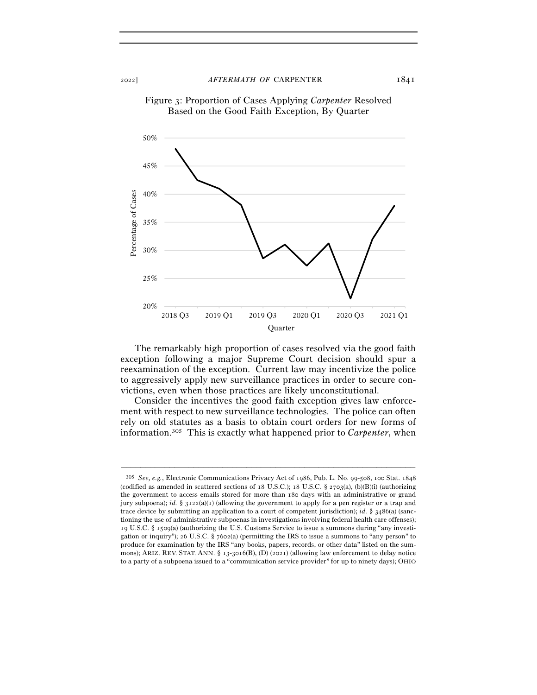

Figure 3: Proportion of Cases Applying *Carpenter* Resolved Based on the Good Faith Exception, By Quarter

The remarkably high proportion of cases resolved via the good faith exception following a major Supreme Court decision should spur a reexamination of the exception. Current law may incentivize the police to aggressively apply new surveillance practices in order to secure convictions, even when those practices are likely unconstitutional.

Consider the incentives the good faith exception gives law enforcement with respect to new surveillance technologies. The police can often rely on old statutes as a basis to obtain court orders for new forms of information.305 This is exactly what happened prior to *Carpenter*, when

<sup>305</sup> *See, e.g.*, Electronic Communications Privacy Act of 1986, Pub. L. No. 99-508, 100 Stat. 1848 (codified as amended in scattered sections of 18 U.S.C.); 18 U.S.C. § 2703(a), (b)(B)(i) (authorizing the government to access emails stored for more than 180 days with an administrative or grand jury subpoena); *id.* §  $3122(a)(1)$  (allowing the government to apply for a pen register or a trap and trace device by submitting an application to a court of competent jurisdiction); *id.* § 3486(a) (sanctioning the use of administrative subpoenas in investigations involving federal health care offenses); 19 U.S.C. § 1509(a) (authorizing the U.S. Customs Service to issue a summons during "any investigation or inquiry"); 26 U.S.C. § 7602(a) (permitting the IRS to issue a summons to "any person" to produce for examination by the IRS "any books, papers, records, or other data" listed on the summons); ARIZ. REV. STAT. ANN. § 13-3016(B), (D) (2021) (allowing law enforcement to delay notice to a party of a subpoena issued to a "communication service provider" for up to ninety days); OHIO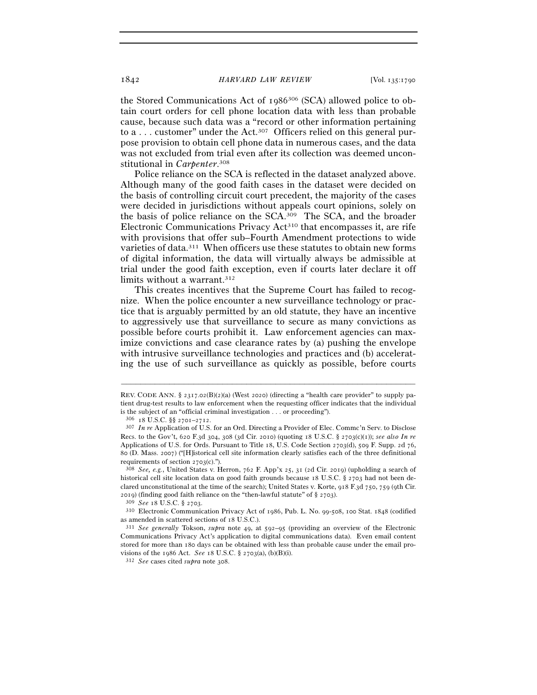the Stored Communications Act of 1986306 (SCA) allowed police to obtain court orders for cell phone location data with less than probable cause, because such data was a "record or other information pertaining to a . . . customer" under the Act.307 Officers relied on this general purpose provision to obtain cell phone data in numerous cases, and the data was not excluded from trial even after its collection was deemed unconstitutional in *Carpenter*. 308

Police reliance on the SCA is reflected in the dataset analyzed above. Although many of the good faith cases in the dataset were decided on the basis of controlling circuit court precedent, the majority of the cases were decided in jurisdictions without appeals court opinions, solely on the basis of police reliance on the SCA.309 The SCA, and the broader Electronic Communications Privacy Act310 that encompasses it, are rife with provisions that offer sub–Fourth Amendment protections to wide varieties of data.311 When officers use these statutes to obtain new forms of digital information, the data will virtually always be admissible at trial under the good faith exception, even if courts later declare it off limits without a warrant.<sup>312</sup>

This creates incentives that the Supreme Court has failed to recognize. When the police encounter a new surveillance technology or practice that is arguably permitted by an old statute, they have an incentive to aggressively use that surveillance to secure as many convictions as possible before courts prohibit it. Law enforcement agencies can maximize convictions and case clearance rates by (a) pushing the envelope with intrusive surveillance technologies and practices and (b) accelerating the use of such surveillance as quickly as possible, before courts

REV. CODE ANN. § 2317.02(B)(2)(a) (West 2020) (directing a "health care provider" to supply patient drug-test results to law enforcement when the requesting officer indicates that the individual is the subject of an "official criminal investigation . . . or proceeding").<br><sup>306</sup> 18 U.S.C. §§ 2701–2712.<br><sup>307</sup> *In re* Application of U.S. for an Ord. Directing a Provider of Elec. Commc'n Serv. to Disclose

Recs. to the Gov't, 620 F.3d 304, 308 (3d Cir. 2010) (quoting 18 U.S.C. § 2703(c)(1)); *see also In re* Applications of U.S. for Ords. Pursuant to Title 18, U.S. Code Section 2703(d), 509 F. Supp. 2d 76, 80 (D. Mass. 2007) ("[H]istorical cell site information clearly satisfies each of the three definitional requirements of section <sup>2703</sup>(c)."). 308 *See, e.g.*, United States v. Herron, 762 F. App'x 25, 31 (2d Cir. 2019) (upholding a search of

historical cell site location data on good faith grounds because 18 U.S.C. § 2703 had not been declared unconstitutional at the time of the search); United States v. Korte, 918 F.3d 750, 759 (9th Cir. <sup>2019</sup>) (finding good faith reliance on the "then-lawful statute" of § <sup>2703</sup>). 309 *See* <sup>18</sup> U.S.C. § <sup>2703</sup>. 310 Electronic Communication Privacy Act of 1986, Pub. L. No. 99-508, 100 Stat. 1848 (codified

as amended in scattered sections of <sup>18</sup> U.S.C.). 311 *See generally* Tokson, *supra* note 49, at 592–95 (providing an overview of the Electronic

Communications Privacy Act's application to digital communications data). Even email content stored for more than 180 days can be obtained with less than probable cause under the email provisions of the 1986 Act. *See* <sup>18</sup> U.S.C. § 2703(a), (b)(B)(i). 312 *See* cases cited *supra* note 308.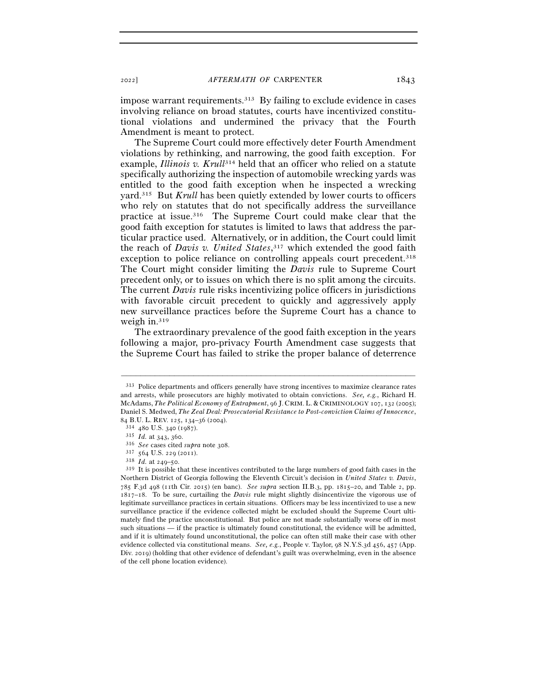impose warrant requirements.<sup>313</sup> By failing to exclude evidence in cases involving reliance on broad statutes, courts have incentivized constitutional violations and undermined the privacy that the Fourth Amendment is meant to protect.

The Supreme Court could more effectively deter Fourth Amendment violations by rethinking, and narrowing, the good faith exception. For example, *Illinois v. Krull*<sup>314</sup> held that an officer who relied on a statute specifically authorizing the inspection of automobile wrecking yards was entitled to the good faith exception when he inspected a wrecking yard.315 But *Krull* has been quietly extended by lower courts to officers who rely on statutes that do not specifically address the surveillance practice at issue.316 The Supreme Court could make clear that the good faith exception for statutes is limited to laws that address the particular practice used. Alternatively, or in addition, the Court could limit the reach of *Davis v. United States*, 317 which extended the good faith exception to police reliance on controlling appeals court precedent.<sup>318</sup> The Court might consider limiting the *Davis* rule to Supreme Court precedent only, or to issues on which there is no split among the circuits. The current *Davis* rule risks incentivizing police officers in jurisdictions with favorable circuit precedent to quickly and aggressively apply new surveillance practices before the Supreme Court has a chance to weigh in.319

The extraordinary prevalence of the good faith exception in the years following a major, pro-privacy Fourth Amendment case suggests that the Supreme Court has failed to strike the proper balance of deterrence

<sup>313</sup> Police departments and officers generally have strong incentives to maximize clearance rates and arrests, while prosecutors are highly motivated to obtain convictions. *See, e.g.*, Richard H. McAdams, *The Political Economy of Entrapment*, 96 J. CRIM. L. & CRIMINOLOGY 107, 132 (2005); Daniel S. Medwed, *The Zeal Deal: Prosecutorial Resistance to Post-conviction Claims of Innocence*, 84 B.U. L. REV. 125, 134–36 (2004).<br>
<sup>314</sup> 480 U.S. 340 (1987).<br>
<sup>315</sup> *Id.* at 343, 360.<br>
<sup>315</sup> *Id.* at 343, 360.<br>
<sup>316</sup> *See* cases cited *supra* note 308.<br>
<sup>317</sup> 564 U.S. 229 (2011).<br>
<sup>318</sup> *Id.* at 249–50.<br>
<sup>318</sup> It

Northern District of Georgia following the Eleventh Circuit's decision in *United States v. Davis*, 785 F.3d 498 (11th Cir. 2015) (en banc). *See supra* section II.B.3, pp. 1815–20, and Table 2, pp. 1817–18. To be sure, curtailing the *Davis* rule might slightly disincentivize the vigorous use of legitimate surveillance practices in certain situations. Officers may be less incentivized to use a new surveillance practice if the evidence collected might be excluded should the Supreme Court ultimately find the practice unconstitutional. But police are not made substantially worse off in most such situations — if the practice is ultimately found constitutional, the evidence will be admitted, and if it is ultimately found unconstitutional, the police can often still make their case with other evidence collected via constitutional means. *See, e.g.*, People v. Taylor, 98 N.Y.S.3d 456, 457 (App. Div. 2019) (holding that other evidence of defendant's guilt was overwhelming, even in the absence of the cell phone location evidence).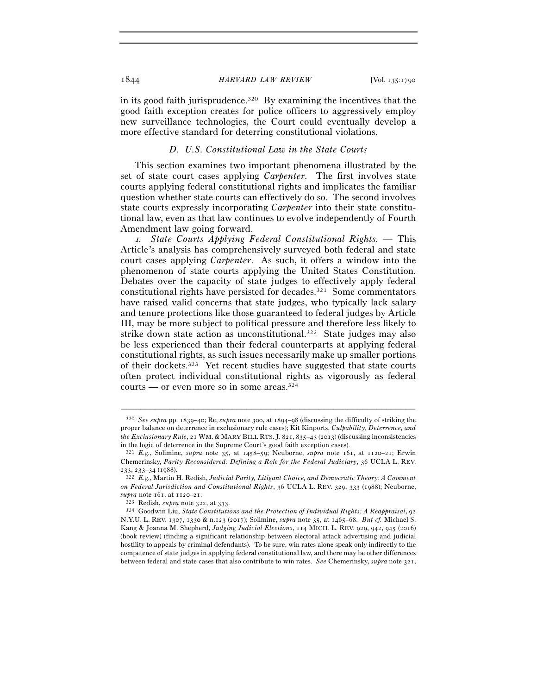in its good faith jurisprudence.<sup>320</sup> By examining the incentives that the good faith exception creates for police officers to aggressively employ new surveillance technologies, the Court could eventually develop a more effective standard for deterring constitutional violations.

## *D. U.S. Constitutional Law in the State Courts*

This section examines two important phenomena illustrated by the set of state court cases applying *Carpenter*. The first involves state courts applying federal constitutional rights and implicates the familiar question whether state courts can effectively do so. The second involves state courts expressly incorporating *Carpenter* into their state constitutional law, even as that law continues to evolve independently of Fourth Amendment law going forward.

<sup>1</sup>*. State Courts Applying Federal Constitutional Rights. —* This Article's analysis has comprehensively surveyed both federal and state court cases applying *Carpenter*. As such, it offers a window into the phenomenon of state courts applying the United States Constitution. Debates over the capacity of state judges to effectively apply federal constitutional rights have persisted for decades.<sup>321</sup> Some commentators have raised valid concerns that state judges, who typically lack salary and tenure protections like those guaranteed to federal judges by Article III, may be more subject to political pressure and therefore less likely to strike down state action as unconstitutional.322 State judges may also be less experienced than their federal counterparts at applying federal constitutional rights, as such issues necessarily make up smaller portions of their dockets.323 Yet recent studies have suggested that state courts often protect individual constitutional rights as vigorously as federal courts — or even more so in some areas.324

<sup>320</sup> *See supra* pp. 1839–40; Re, *supra* note 300, at 1894–98 (discussing the difficulty of striking the proper balance on deterrence in exclusionary rule cases); Kit Kinports, *Culpability, Deterrence, and the Exclusionary Rule*, 21 WM. & MARY BILL RTS. J. 821, 835–43 (2013) (discussing inconsistencies in the logic of deterrence in the Supreme Court's good faith exception cases).

<sup>321</sup> *E.g.*, Solimine, *supra* note 35, at 1458–59; Neuborne, *supra* note 161, at 1120–21; Erwin Chemerinsky, *Parity Reconsidered: Defining a Role for the Federal Judiciary*, 36 UCLA L. REV. <sup>233</sup>, 233–34 (<sup>1988</sup>). 322 *E.g.*, Martin H. Redish, *Judicial Parity, Litigant Choice, and Democratic Theory: A Comment* 

*on Federal Jurisdiction and Constitutional Rights*, 36 UCLA L. REV. 329, 333 (1988); Neuborne,

*supra* note 161, at 1120–<sup>21</sup>. 323 Redish, *supra* note 322, at <sup>333</sup>. 324 Goodwin Liu, *State Constitutions and the Protection of Individual Rights: A Reappraisal*, <sup>92</sup> N.Y.U. L. REV. 1307, 1330 & n.123 (2017); Solimine, *supra* note 35, at 1465–68. *But cf.* Michael S. Kang & Joanna M. Shepherd, *Judging Judicial Elections*, 114 MICH. L. REV. 929, 942, 945 (2016) (book review) (finding a significant relationship between electoral attack advertising and judicial hostility to appeals by criminal defendants). To be sure, win rates alone speak only indirectly to the competence of state judges in applying federal constitutional law, and there may be other differences between federal and state cases that also contribute to win rates. *See* Chemerinsky, *supra* note 321,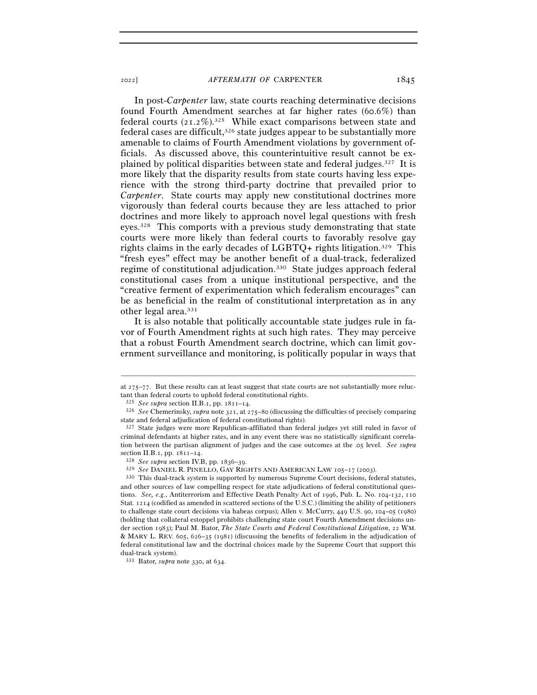In post-*Carpenter* law, state courts reaching determinative decisions found Fourth Amendment searches at far higher rates (60.6%) than federal courts  $(21.2\%)$ <sup>325</sup> While exact comparisons between state and federal cases are difficult.<sup>326</sup> state judges appear to be substantially more amenable to claims of Fourth Amendment violations by government officials. As discussed above, this counterintuitive result cannot be explained by political disparities between state and federal judges.327 It is more likely that the disparity results from state courts having less experience with the strong third-party doctrine that prevailed prior to *Carpenter*. State courts may apply new constitutional doctrines more vigorously than federal courts because they are less attached to prior doctrines and more likely to approach novel legal questions with fresh eyes.328 This comports with a previous study demonstrating that state courts were more likely than federal courts to favorably resolve gay rights claims in the early decades of LGBTQ+ rights litigation.329 This "fresh eyes" effect may be another benefit of a dual-track, federalized regime of constitutional adjudication.330 State judges approach federal constitutional cases from a unique institutional perspective, and the "creative ferment of experimentation which federalism encourages" can be as beneficial in the realm of constitutional interpretation as in any other legal area.331

It is also notable that politically accountable state judges rule in favor of Fourth Amendment rights at such high rates. They may perceive that a robust Fourth Amendment search doctrine, which can limit government surveillance and monitoring, is politically popular in ways that

<sup>–––––––––––––––––––––––––––––––––––––––––––––––––––––––––––––</sup> at 275–77. But these results can at least suggest that state courts are not substantially more reluctant than federal courts to uphold federal constitutional rights.

<sup>325</sup> *See supra* section II.B.1, pp. 1811–<sup>14</sup>. 326 *See* Chemerinsky, *supra* note 321, at 275–80 (discussing the difficulties of precisely comparing state and federal adjudication of federal constitutional rights).

<sup>327</sup> State judges were more Republican-affiliated than federal judges yet still ruled in favor of criminal defendants at higher rates, and in any event there was no statistically significant correlation between the partisan alignment of judges and the case outcomes at the .05 level. *See supra*

section II.B.1, pp. 1811–14.<br>
<sup>328</sup> See supra section IV.B, pp. 1836–39.<br>
<sup>329</sup> See DANIEL R. PINELLO, GAY RIGHTS AND AMERICAN LAW 105–17 (2003).<br>
<sup>329</sup> See DANIEL R. PINELLO, GAY RIGHTS AND AMERICAN LAW 105–17 (2003).<br>
<sup></sup> and other sources of law compelling respect for state adjudications of federal constitutional questions. *See, e.g.*, Antiterrorism and Effective Death Penalty Act of 1996, Pub. L. No. 104-132, 110 Stat. 1214 (codified as amended in scattered sections of the U.S.C.) (limiting the ability of petitioners to challenge state court decisions via habeas corpus); Allen v. McCurry, 449 U.S. 90, 104–05 (1980) (holding that collateral estoppel prohibits challenging state court Fourth Amendment decisions under section 1983); Paul M. Bator, *The State Courts and Federal Constitutional Litigation*, 22 WM. & MARY L. REV. 605, 626–35 (1981) (discussing the benefits of federalism in the adjudication of federal constitutional law and the doctrinal choices made by the Supreme Court that support this dual-track system).

<sup>331</sup> Bator, *supra* note 330, at 634.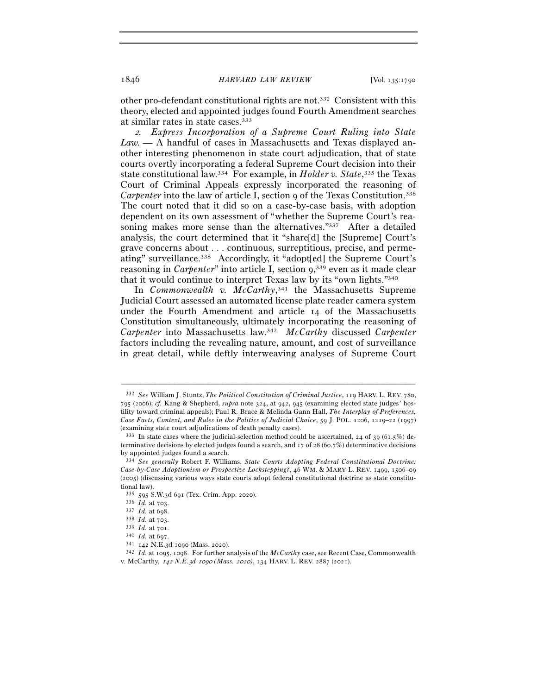other pro-defendant constitutional rights are not.332 Consistent with this theory, elected and appointed judges found Fourth Amendment searches at similar rates in state cases.333

<sup>2</sup>*. Express Incorporation of a Supreme Court Ruling into State Law. —* A handful of cases in Massachusetts and Texas displayed another interesting phenomenon in state court adjudication, that of state courts overtly incorporating a federal Supreme Court decision into their state constitutional law.334 For example, in *Holder v. State*, 335 the Texas Court of Criminal Appeals expressly incorporated the reasoning of *Carpenter* into the law of article I, section 9 of the Texas Constitution.<sup>336</sup> The court noted that it did so on a case-by-case basis, with adoption dependent on its own assessment of "whether the Supreme Court's reasoning makes more sense than the alternatives."<sup>337</sup> After a detailed analysis, the court determined that it "share[d] the [Supreme] Court's grave concerns about . . . continuous, surreptitious, precise, and permeating" surveillance.338 Accordingly, it "adopt[ed] the Supreme Court's reasoning in *Carpenter*" into article I, section 9,<sup>339</sup> even as it made clear that it would continue to interpret Texas law by its "own lights."340

In *Commonwealth v. McCarthy*, 341 the Massachusetts Supreme Judicial Court assessed an automated license plate reader camera system under the Fourth Amendment and article 14 of the Massachusetts Constitution simultaneously, ultimately incorporating the reasoning of *Carpenter* into Massachusetts law.342 *McCarthy* discussed *Carpenter* factors including the revealing nature, amount, and cost of surveillance in great detail, while deftly interweaving analyses of Supreme Court

<sup>332</sup> *See* William J. Stuntz, *The Political Constitution of Criminal Justice*, 119 HARV. L. REV. 780, 795 (2006); *cf.* Kang & Shepherd, *supra* note 324, at 942, 945 (examining elected state judges' hostility toward criminal appeals); Paul R. Brace & Melinda Gann Hall, *The Interplay of Preferences, Case Facts, Context, and Rules in the Politics of Judicial Choice*, 59 J. POL. 1206, 1219–22 (1997) (examining state court adjudications of death penalty cases).<br> $333$  In state cases where the judicial-selection method could be ascertained, 24 of 39 (61.5%) de-

terminative decisions by elected judges found a search, and  $\tau$  of 28 (60.7%) determinative decisions by appointed judges found a search.

<sup>334</sup> *See generally* Robert F. Williams, *State Courts Adopting Federal Constitutional Doctrine: Case-by-Case Adoptionism or Prospective Lockstepping?*, 46 WM. & MARY L. REV. 1499, 1506–09 (2005) (discussing various ways state courts adopt federal constitutional doctrine as state constitutional law).

<sup>&</sup>lt;sup>335</sup> 595 S.W.3d 691 (Tex. Crim. App. 2020).<br><sup>336</sup> *Id.* at 703.<br><sup>337</sup> *Id.* at 698.<br><sup>339</sup> *Id.* at 703.<br><sup>339</sup> *Id.* at 701.<br><sup>340</sup> *Id.* at 697.<br><sup>341</sup> 142 N.E.3d 1090 (Mass. 2020).<br><sup>342</sup> *Id.* at 1095, 1098. For further a v. McCarthy*,* 142 *N.E.*3*d* 1090 *(Mass.* 2020*)*, 134 HARV. L. REV. 2887 (2021).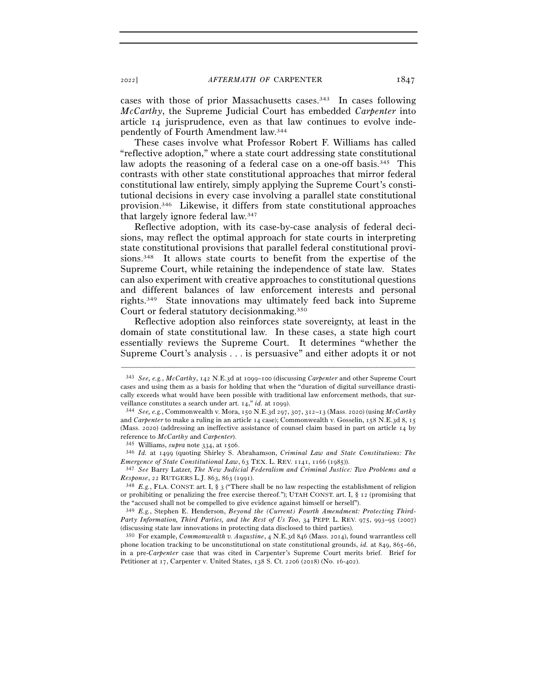cases with those of prior Massachusetts cases.343 In cases following *McCarthy*, the Supreme Judicial Court has embedded *Carpenter* into article 14 jurisprudence, even as that law continues to evolve independently of Fourth Amendment law.344

These cases involve what Professor Robert F. Williams has called "reflective adoption," where a state court addressing state constitutional law adopts the reasoning of a federal case on a one-off basis.<sup>345</sup> This contrasts with other state constitutional approaches that mirror federal constitutional law entirely, simply applying the Supreme Court's constitutional decisions in every case involving a parallel state constitutional provision.346 Likewise, it differs from state constitutional approaches that largely ignore federal law.347

Reflective adoption, with its case-by-case analysis of federal decisions, may reflect the optimal approach for state courts in interpreting state constitutional provisions that parallel federal constitutional provisions.348 It allows state courts to benefit from the expertise of the Supreme Court, while retaining the independence of state law. States can also experiment with creative approaches to constitutional questions and different balances of law enforcement interests and personal rights.349 State innovations may ultimately feed back into Supreme Court or federal statutory decisionmaking.350

Reflective adoption also reinforces state sovereignty, at least in the domain of state constitutional law. In these cases, a state high court essentially reviews the Supreme Court. It determines "whether the Supreme Court's analysis . . . is persuasive" and either adopts it or not

–––––––––––––––––––––––––––––––––––––––––––––––––––––––––––––

*Emergence of State Constitutional Law*, 63 TEX. L. REV. 1141, 1166 (1985)).<br><sup>347</sup> *See* Barry Latzer, *The New Judicial Federalism and Criminal Justice: Two Problems and a Response*, 22 RUTGERS L.J. 863, 863 (1991).

<sup>343</sup> *See, e.g.*, *McCarthy*, 142 N.E.3d at 1099–100 (discussing *Carpenter* and other Supreme Court cases and using them as a basis for holding that when the "duration of digital surveillance drastically exceeds what would have been possible with traditional law enforcement methods, that surveillance constitutes a search under art. 14," *id.* at 1099).<br><sup>344</sup> *See, e.g.*, Commonwealth v. Mora, 150 N.E.3d 297, 307, 312–13 (Mass. 2020) (using *McCarthy* 

and *Carpenter* to make a ruling in an article 14 case); Commonwealth v. Gosselin, 158 N.E.3d 8, 15 (Mass. 2020) (addressing an ineffective assistance of counsel claim based in part on article 14 by reference to *McCarthy* and *Carpenter*). 345 Williams, *supra* note 334, at <sup>1506</sup>. 346 *Id.* at 1499 (quoting Shirley S. Abrahamson, *Criminal Law and State Constitutions: The* 

<sup>&</sup>lt;sup>348</sup> *E.g.*, FLA. CONST. art. I, § 3 ("There shall be no law respecting the establishment of religion or prohibiting or penalizing the free exercise thereof."); UTAH CONST. art. I,  $\S$  12 (promising that the "accused shall not be compelled to give evidence against himself or herself").

<sup>349</sup> *E.g.*, Stephen E. Henderson, *Beyond the (Current) Fourth Amendment: Protecting Third-Party Information, Third Parties, and the Rest of Us Too*, 34 PEPP. L. REV. 975, 993–95 (2007) (discussing state law innovations in protecting data disclosed to third parties). 350 For example, *Commonwealth v. Augustine*, 4 N.E.3d 846 (Mass. 2014), found warrantless cell

phone location tracking to be unconstitutional on state constitutional grounds, *id.* at 849, 865–66, in a pre-*Carpenter* case that was cited in Carpenter's Supreme Court merits brief. Brief for Petitioner at 17, Carpenter v. United States, 138 S. Ct. 2206 (2018) (No. 16-402).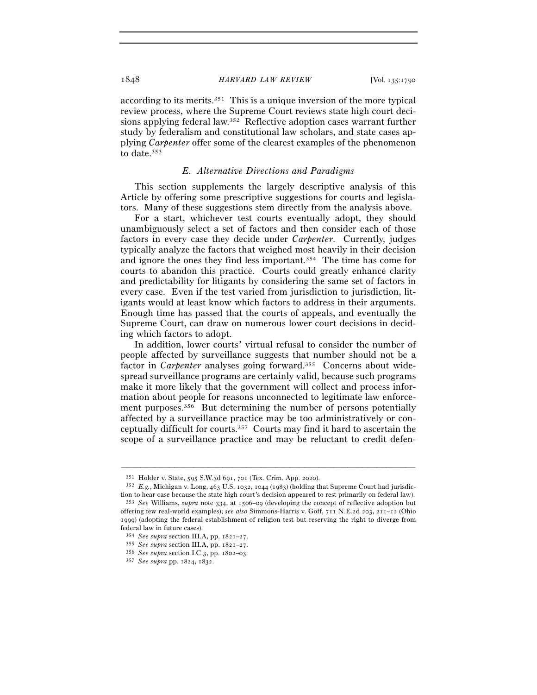according to its merits.351 This is a unique inversion of the more typical review process, where the Supreme Court reviews state high court decisions applying federal law.352 Reflective adoption cases warrant further study by federalism and constitutional law scholars, and state cases applying *Carpenter* offer some of the clearest examples of the phenomenon to date.353

#### *E. Alternative Directions and Paradigms*

This section supplements the largely descriptive analysis of this Article by offering some prescriptive suggestions for courts and legislators. Many of these suggestions stem directly from the analysis above.

For a start, whichever test courts eventually adopt, they should unambiguously select a set of factors and then consider each of those factors in every case they decide under *Carpenter*. Currently, judges typically analyze the factors that weighed most heavily in their decision and ignore the ones they find less important.354 The time has come for courts to abandon this practice. Courts could greatly enhance clarity and predictability for litigants by considering the same set of factors in every case. Even if the test varied from jurisdiction to jurisdiction, litigants would at least know which factors to address in their arguments. Enough time has passed that the courts of appeals, and eventually the Supreme Court, can draw on numerous lower court decisions in deciding which factors to adopt.

In addition, lower courts' virtual refusal to consider the number of people affected by surveillance suggests that number should not be a factor in *Carpenter* analyses going forward.<sup>355</sup> Concerns about widespread surveillance programs are certainly valid, because such programs make it more likely that the government will collect and process information about people for reasons unconnected to legitimate law enforcement purposes.<sup>356</sup> But determining the number of persons potentially affected by a surveillance practice may be too administratively or conceptually difficult for courts.357 Courts may find it hard to ascertain the scope of a surveillance practice and may be reluctant to credit defen-

<sup>351</sup> Holder v. State, 595 S.W.3d 691, 701 (Tex. Crim. App. <sup>2020</sup>). 352 *E.g.*, Michigan v. Long, 463 U.S. 1032, 1044 (1983) (holding that Supreme Court had jurisdiction to hear case because the state high court's decision appeared to rest primarily on federal law).

<sup>353</sup> *See* Williams, *supra* note 334, at 1506–09 (developing the concept of reflective adoption but offering few real-world examples); *see also* Simmons-Harris v. Goff, 711 N.E.2d 203, 211–12 (Ohio 1999) (adopting the federal establishment of religion test but reserving the right to diverge from federal law in future cases).

<sup>354</sup> *See supra* section III.A, pp. 1821–<sup>27</sup>. 355 *See supra* section III.A, pp. 1821–<sup>27</sup>. 356 *See supra* section I.C.3, pp. 1802–<sup>03</sup>. 357 *See supra* pp. 1824, 1832.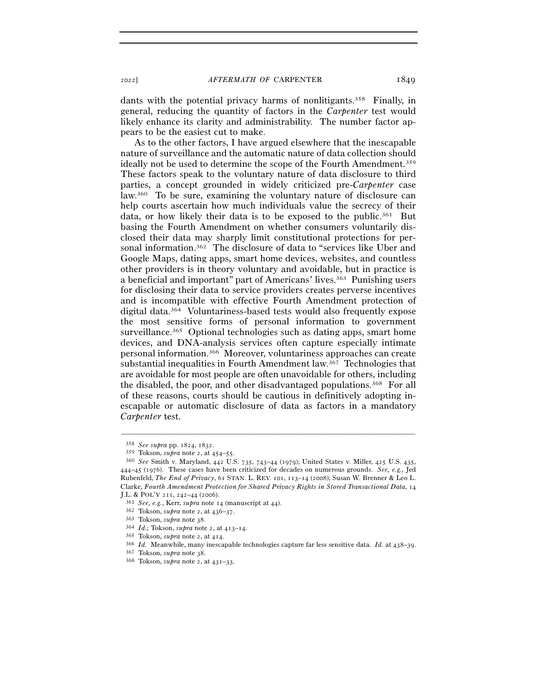dants with the potential privacy harms of nonlitigants.<sup>358</sup> Finally, in general, reducing the quantity of factors in the *Carpenter* test would likely enhance its clarity and administrability. The number factor appears to be the easiest cut to make.

As to the other factors, I have argued elsewhere that the inescapable nature of surveillance and the automatic nature of data collection should ideally not be used to determine the scope of the Fourth Amendment.<sup>359</sup> These factors speak to the voluntary nature of data disclosure to third parties, a concept grounded in widely criticized pre-*Carpenter* case law.360 To be sure, examining the voluntary nature of disclosure can help courts ascertain how much individuals value the secrecy of their data, or how likely their data is to be exposed to the public.<sup>361</sup> But basing the Fourth Amendment on whether consumers voluntarily disclosed their data may sharply limit constitutional protections for personal information.362 The disclosure of data to "services like Uber and Google Maps, dating apps, smart home devices, websites, and countless other providers is in theory voluntary and avoidable, but in practice is a beneficial and important" part of Americans' lives.363 Punishing users for disclosing their data to service providers creates perverse incentives and is incompatible with effective Fourth Amendment protection of digital data.364 Voluntariness-based tests would also frequently expose the most sensitive forms of personal information to government surveillance.<sup>365</sup> Optional technologies such as dating apps, smart home devices, and DNA-analysis services often capture especially intimate personal information.366 Moreover, voluntariness approaches can create substantial inequalities in Fourth Amendment law.367 Technologies that are avoidable for most people are often unavoidable for others, including the disabled, the poor, and other disadvantaged populations.<sup>368</sup> For all of these reasons, courts should be cautious in definitively adopting inescapable or automatic disclosure of data as factors in a mandatory *Carpenter* test.

<sup>358</sup> *See supra* pp. 1824, <sup>1832</sup>. 359 Tokson, *supra* note 2, at 454–<sup>55</sup>. 360 *See* Smith v. Maryland, 442 U.S. 735, 743–44 (1979); United States v. Miller, 425 U.S. 435, 444–45 (1976). These cases have been criticized for decades on numerous grounds. *See, e.g.*, Jed Rubenfeld, *The End of Privacy*, 61 STAN. L. REV. 101, 113–14 (2008); Susan W. Brenner & Leo L. Clarke, *Fourth Amendment Protection for Shared Privacy Rights in Stored Transactional Data*, 14 J.L. & POL'Y 211, 242-44 (2006).<br>
<sup>361</sup> See, e.g., Kerr, *supra* note 14 (manuscript at 44).<br>
<sup>362</sup> Tokson, *supra* note 2, at 436-37.<br>
<sup>363</sup> Tokson, *supra* note 2, at 413-14.<br>
<sup>364</sup> Id.; Tokson, *supra* note 2, at 413-1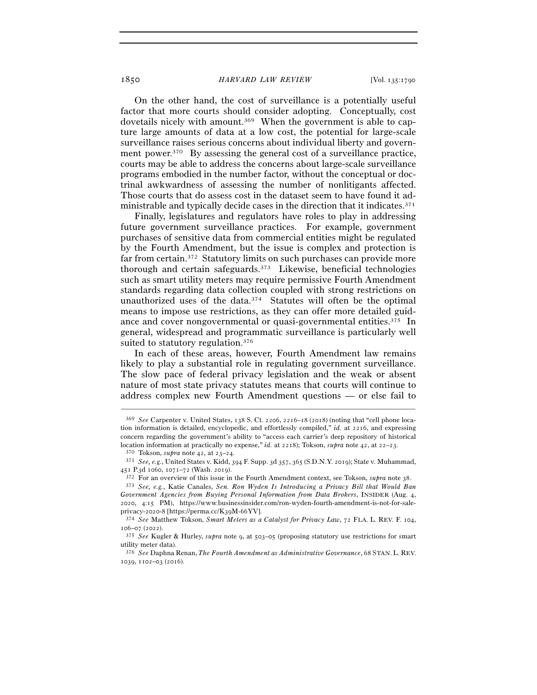On the other hand, the cost of surveillance is a potentially useful factor that more courts should consider adopting. Conceptually, cost dovetails nicely with amount.369 When the government is able to capture large amounts of data at a low cost, the potential for large-scale surveillance raises serious concerns about individual liberty and government power.<sup>370</sup> By assessing the general cost of a surveillance practice, courts may be able to address the concerns about large-scale surveillance programs embodied in the number factor, without the conceptual or doctrinal awkwardness of assessing the number of nonlitigants affected. Those courts that do assess cost in the dataset seem to have found it administrable and typically decide cases in the direction that it indicates.371

Finally, legislatures and regulators have roles to play in addressing future government surveillance practices. For example, government purchases of sensitive data from commercial entities might be regulated by the Fourth Amendment, but the issue is complex and protection is far from certain.372 Statutory limits on such purchases can provide more thorough and certain safeguards.373 Likewise, beneficial technologies such as smart utility meters may require permissive Fourth Amendment standards regarding data collection coupled with strong restrictions on unauthorized uses of the data.374 Statutes will often be the optimal means to impose use restrictions, as they can offer more detailed guidance and cover nongovernmental or quasi-governmental entities.375 In general, widespread and programmatic surveillance is particularly well suited to statutory regulation.376

In each of these areas, however, Fourth Amendment law remains likely to play a substantial role in regulating government surveillance. The slow pace of federal privacy legislation and the weak or absent nature of most state privacy statutes means that courts will continue to address complex new Fourth Amendment questions — or else fail to

<sup>369</sup> *See* Carpenter v. United States, 138 S. Ct. 2206, 2216–18 (2018) (noting that "cell phone location information is detailed, encyclopedic, and effortlessly compiled," *id.* at 2216, and expressing concern regarding the government's ability to "access each carrier's deep repository of historical location information at practically no expense," id. at 2218); Tokson, *supra* note 42, at 22–23.<br><sup>370</sup> Tokson, *supra* note 42, at 23–24.<br><sup>371</sup> *See, e.g.*, United States v. Kidd, 394 F. Supp. 3d 357, 365 (S.D.N.Y. 2019)

<sup>451</sup> P.3d 1060, 1071-72 (Wash. 2019).<br><sup>372</sup> For an overview of this issue in the Fourth Amendment context, see Tokson, *supra* note 38.<br><sup>373</sup> See, e.g., Katie Canales, Sen. Ron Wyden Is Introducing a Privacy Bill that Woul

*Government Agencies from Buying Personal Information from Data Brokers*, INSIDER (Aug. 4, 2020, 4:15 PM), https://www.businessinsider.com/ron-wyden-fourth-amendment-is-not-for-saleprivacy-2020-8 [https://perma.cc/K39M-<sup>66</sup>YV]. 374 *See* Matthew Tokson, *Smart Meters as a Catalyst for Privacy Law*, 72 FLA. L. REV. F. 104,

<sup>106–07</sup> (<sup>2022</sup>). 375 *See* Kugler & Hurley, *supra* note 9, at 503–05 (proposing statutory use restrictions for smart

utility meter data).

<sup>376</sup> *See* Daphna Renan, *The Fourth Amendment as Administrative Governance*, 68 STAN. L. REV. 1039, 1102–03 (2016).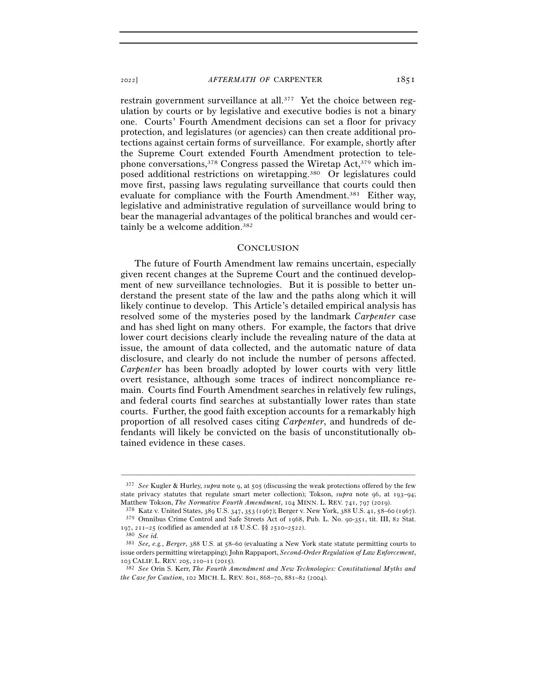restrain government surveillance at all.377 Yet the choice between regulation by courts or by legislative and executive bodies is not a binary one. Courts' Fourth Amendment decisions can set a floor for privacy protection, and legislatures (or agencies) can then create additional protections against certain forms of surveillance. For example, shortly after the Supreme Court extended Fourth Amendment protection to telephone conversations,378 Congress passed the Wiretap Act,379 which imposed additional restrictions on wiretapping.380 Or legislatures could move first, passing laws regulating surveillance that courts could then evaluate for compliance with the Fourth Amendment.<sup>381</sup> Either way, legislative and administrative regulation of surveillance would bring to bear the managerial advantages of the political branches and would certainly be a welcome addition.382

#### **CONCLUSION**

The future of Fourth Amendment law remains uncertain, especially given recent changes at the Supreme Court and the continued development of new surveillance technologies. But it is possible to better understand the present state of the law and the paths along which it will likely continue to develop. This Article's detailed empirical analysis has resolved some of the mysteries posed by the landmark *Carpenter* case and has shed light on many others. For example, the factors that drive lower court decisions clearly include the revealing nature of the data at issue, the amount of data collected, and the automatic nature of data disclosure, and clearly do not include the number of persons affected. *Carpenter* has been broadly adopted by lower courts with very little overt resistance, although some traces of indirect noncompliance remain. Courts find Fourth Amendment searches in relatively few rulings, and federal courts find searches at substantially lower rates than state courts. Further, the good faith exception accounts for a remarkably high proportion of all resolved cases citing *Carpenter*, and hundreds of defendants will likely be convicted on the basis of unconstitutionally obtained evidence in these cases.

<sup>377</sup> *See* Kugler & Hurley, *supra* note 9, at 505 (discussing the weak protections offered by the few state privacy statutes that regulate smart meter collection); Tokson, *supra* note 96, at 193–94; Matthew Tokson, *The Normative Fourth Amendment*, 104 MINN. L. REV. 741, 797 (<sup>2019</sup>). 378 Katz v. United States, 389 U.S. 347, 353 (1967); Berger v. New York, 388 U.S. 41, 58–60 (1967).

<sup>379</sup> Omnibus Crime Control and Safe Streets Act of 1968, Pub. L. No. 90-351, tit. III, 82 Stat. <sup>197</sup>, 211–25 (codified as amended at 18 U.S.C. §§ 2510–<sup>2522</sup>). 380 *See id.*

<sup>381</sup> *See, e.g.*, *Berger*, 388 U.S. at 58–60 (evaluating a New York state statute permitting courts to issue orders permitting wiretapping); John Rappaport, *Second-Order Regulation of Law Enforcement*, <sup>103</sup> CALIF. L. REV. 205, 210–11 (<sup>2015</sup>). 382 *See* Orin S. Kerr, *The Fourth Amendment and New Technologies: Constitutional Myths and* 

*the Case for Caution*, 102 MICH. L. REV. 801, 868–70, 881–82 (2004).